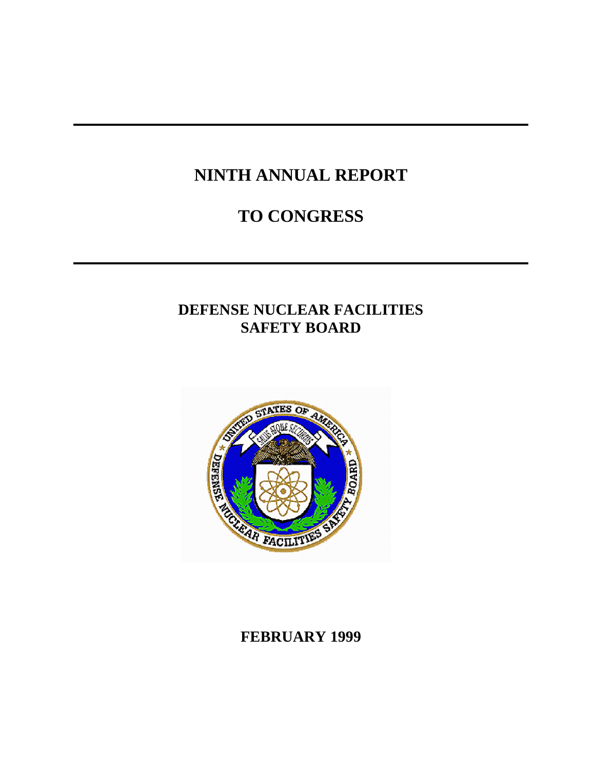# **NINTH ANNUAL REPORT**

# **TO CONGRESS**

# **DEFENSE NUCLEAR FACILITIES SAFETY BOARD**



## **FEBRUARY 1999**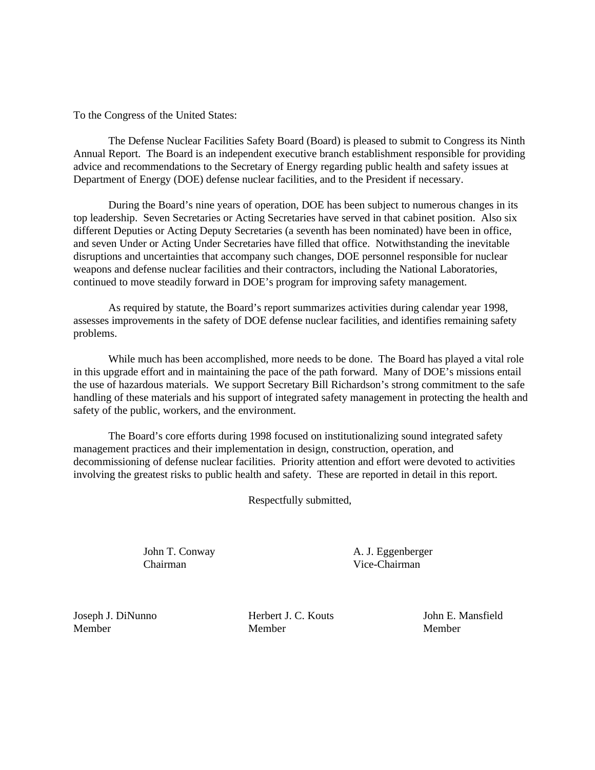To the Congress of the United States:

The Defense Nuclear Facilities Safety Board (Board) is pleased to submit to Congress its Ninth Annual Report. The Board is an independent executive branch establishment responsible for providing advice and recommendations to the Secretary of Energy regarding public health and safety issues at Department of Energy (DOE) defense nuclear facilities, and to the President if necessary.

During the Board's nine years of operation, DOE has been subject to numerous changes in its top leadership. Seven Secretaries or Acting Secretaries have served in that cabinet position. Also six different Deputies or Acting Deputy Secretaries (a seventh has been nominated) have been in office, and seven Under or Acting Under Secretaries have filled that office. Notwithstanding the inevitable disruptions and uncertainties that accompany such changes, DOE personnel responsible for nuclear weapons and defense nuclear facilities and their contractors, including the National Laboratories, continued to move steadily forward in DOE's program for improving safety management.

As required by statute, the Board's report summarizes activities during calendar year 1998, assesses improvements in the safety of DOE defense nuclear facilities, and identifies remaining safety problems.

While much has been accomplished, more needs to be done. The Board has played a vital role in this upgrade effort and in maintaining the pace of the path forward. Many of DOE's missions entail the use of hazardous materials. We support Secretary Bill Richardson's strong commitment to the safe handling of these materials and his support of integrated safety management in protecting the health and safety of the public, workers, and the environment.

The Board's core efforts during 1998 focused on institutionalizing sound integrated safety management practices and their implementation in design, construction, operation, and decommissioning of defense nuclear facilities. Priority attention and effort were devoted to activities involving the greatest risks to public health and safety. These are reported in detail in this report.

Respectfully submitted,

Chairman Vice-Chairman

John T. Conway A. J. Eggenberger

Joseph J. DiNunno Herbert J. C. Kouts John E. Mansfield Member Member Member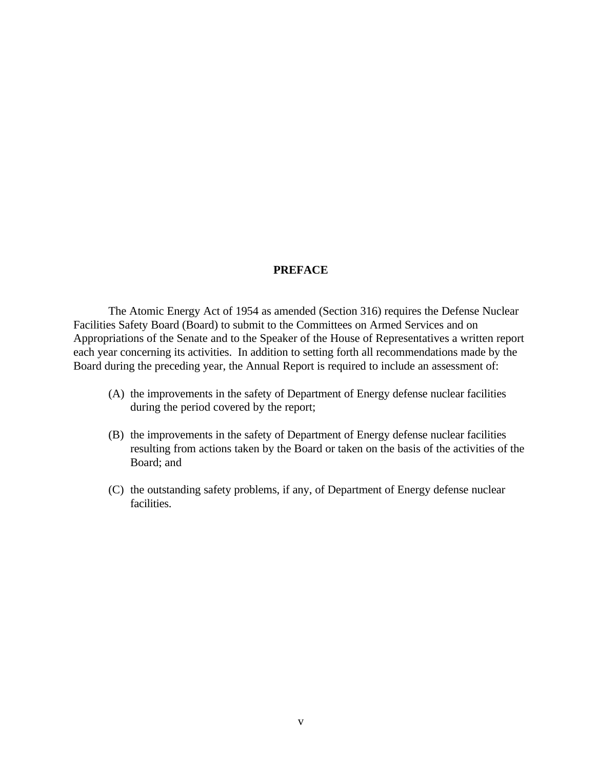#### **PREFACE**

The Atomic Energy Act of 1954 as amended (Section 316) requires the Defense Nuclear Facilities Safety Board (Board) to submit to the Committees on Armed Services and on Appropriations of the Senate and to the Speaker of the House of Representatives a written report each year concerning its activities. In addition to setting forth all recommendations made by the Board during the preceding year, the Annual Report is required to include an assessment of:

- (A) the improvements in the safety of Department of Energy defense nuclear facilities during the period covered by the report;
- (B) the improvements in the safety of Department of Energy defense nuclear facilities resulting from actions taken by the Board or taken on the basis of the activities of the Board; and
- (C) the outstanding safety problems, if any, of Department of Energy defense nuclear facilities.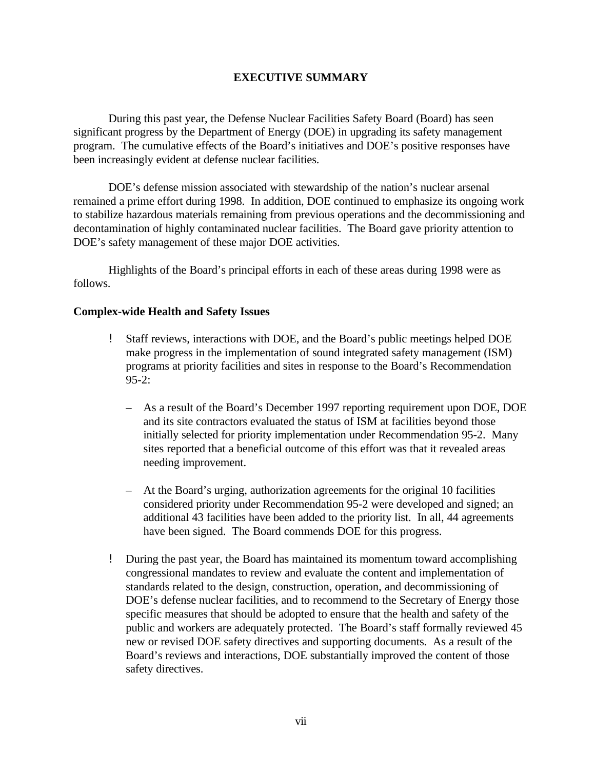#### **EXECUTIVE SUMMARY**

During this past year, the Defense Nuclear Facilities Safety Board (Board) has seen significant progress by the Department of Energy (DOE) in upgrading its safety management program. The cumulative effects of the Board's initiatives and DOE's positive responses have been increasingly evident at defense nuclear facilities.

DOE's defense mission associated with stewardship of the nation's nuclear arsenal remained a prime effort during 1998. In addition, DOE continued to emphasize its ongoing work to stabilize hazardous materials remaining from previous operations and the decommissioning and decontamination of highly contaminated nuclear facilities. The Board gave priority attention to DOE's safety management of these major DOE activities.

Highlights of the Board's principal efforts in each of these areas during 1998 were as follows.

#### **Complex-wide Health and Safety Issues**

- ! Staff reviews, interactions with DOE, and the Board's public meetings helped DOE make progress in the implementation of sound integrated safety management (ISM) programs at priority facilities and sites in response to the Board's Recommendation 95-2:
	- As a result of the Board's December 1997 reporting requirement upon DOE, DOE and its site contractors evaluated the status of ISM at facilities beyond those initially selected for priority implementation under Recommendation 95-2. Many sites reported that a beneficial outcome of this effort was that it revealed areas needing improvement.
	- At the Board's urging, authorization agreements for the original 10 facilities considered priority under Recommendation 95-2 were developed and signed; an additional 43 facilities have been added to the priority list. In all, 44 agreements have been signed. The Board commends DOE for this progress.
- ! During the past year, the Board has maintained its momentum toward accomplishing congressional mandates to review and evaluate the content and implementation of standards related to the design, construction, operation, and decommissioning of DOE's defense nuclear facilities, and to recommend to the Secretary of Energy those specific measures that should be adopted to ensure that the health and safety of the public and workers are adequately protected. The Board's staff formally reviewed 45 new or revised DOE safety directives and supporting documents. As a result of the Board's reviews and interactions, DOE substantially improved the content of those safety directives.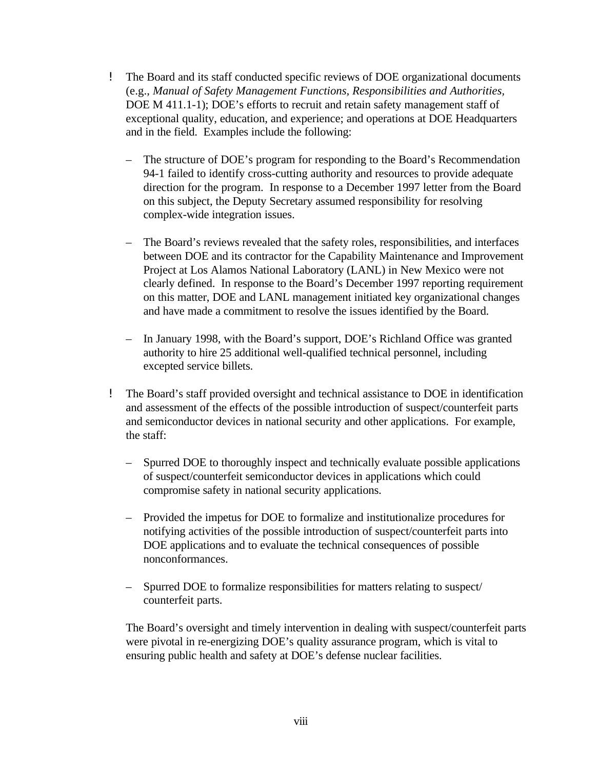- ! The Board and its staff conducted specific reviews of DOE organizational documents (e.g., *Manual of Safety Management Functions, Responsibilities and Authorities,* DOE M 411.1-1); DOE's efforts to recruit and retain safety management staff of exceptional quality, education, and experience; and operations at DOE Headquarters and in the field. Examples include the following:
	- The structure of DOE's program for responding to the Board's Recommendation 94-1 failed to identify cross-cutting authority and resources to provide adequate direction for the program. In response to a December 1997 letter from the Board on this subject, the Deputy Secretary assumed responsibility for resolving complex-wide integration issues.
	- The Board's reviews revealed that the safety roles, responsibilities, and interfaces between DOE and its contractor for the Capability Maintenance and Improvement Project at Los Alamos National Laboratory (LANL) in New Mexico were not clearly defined. In response to the Board's December 1997 reporting requirement on this matter, DOE and LANL management initiated key organizational changes and have made a commitment to resolve the issues identified by the Board.
	- In January 1998, with the Board's support, DOE's Richland Office was granted authority to hire 25 additional well-qualified technical personnel, including excepted service billets.
- ! The Board's staff provided oversight and technical assistance to DOE in identification and assessment of the effects of the possible introduction of suspect/counterfeit parts and semiconductor devices in national security and other applications. For example, the staff:
	- Spurred DOE to thoroughly inspect and technically evaluate possible applications of suspect/counterfeit semiconductor devices in applications which could compromise safety in national security applications.
	- Provided the impetus for DOE to formalize and institutionalize procedures for notifying activities of the possible introduction of suspect/counterfeit parts into DOE applications and to evaluate the technical consequences of possible nonconformances.
	- Spurred DOE to formalize responsibilities for matters relating to suspect/ counterfeit parts.

The Board's oversight and timely intervention in dealing with suspect/counterfeit parts were pivotal in re-energizing DOE's quality assurance program, which is vital to ensuring public health and safety at DOE's defense nuclear facilities.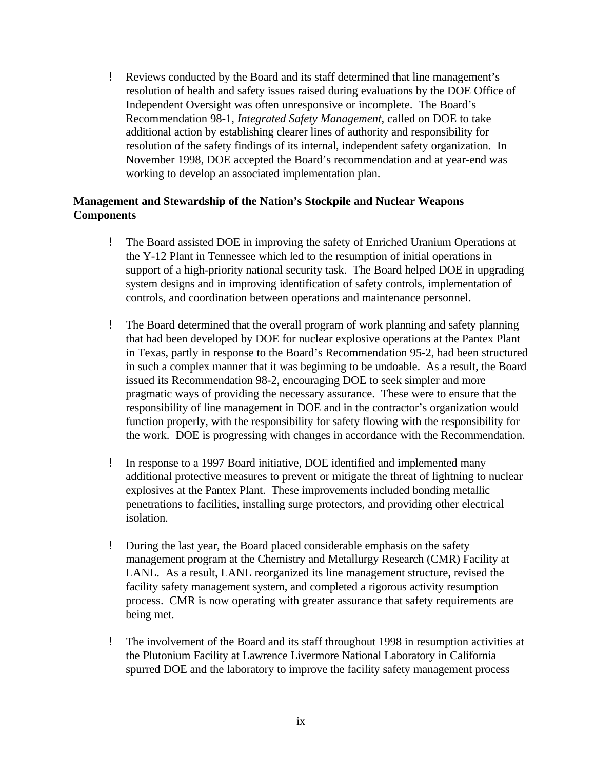! Reviews conducted by the Board and its staff determined that line management's resolution of health and safety issues raised during evaluations by the DOE Office of Independent Oversight was often unresponsive or incomplete. The Board's Recommendation 98-1, *Integrated Safety Management*, called on DOE to take additional action by establishing clearer lines of authority and responsibility for resolution of the safety findings of its internal, independent safety organization. In November 1998, DOE accepted the Board's recommendation and at year-end was working to develop an associated implementation plan.

#### **Management and Stewardship of the Nation's Stockpile and Nuclear Weapons Components**

- ! The Board assisted DOE in improving the safety of Enriched Uranium Operations at the Y-12 Plant in Tennessee which led to the resumption of initial operations in support of a high-priority national security task. The Board helped DOE in upgrading system designs and in improving identification of safety controls, implementation of controls, and coordination between operations and maintenance personnel.
- ! The Board determined that the overall program of work planning and safety planning that had been developed by DOE for nuclear explosive operations at the Pantex Plant in Texas, partly in response to the Board's Recommendation 95-2, had been structured in such a complex manner that it was beginning to be undoable. As a result, the Board issued its Recommendation 98-2, encouraging DOE to seek simpler and more pragmatic ways of providing the necessary assurance. These were to ensure that the responsibility of line management in DOE and in the contractor's organization would function properly, with the responsibility for safety flowing with the responsibility for the work. DOE is progressing with changes in accordance with the Recommendation.
- ! In response to a 1997 Board initiative, DOE identified and implemented many additional protective measures to prevent or mitigate the threat of lightning to nuclear explosives at the Pantex Plant. These improvements included bonding metallic penetrations to facilities, installing surge protectors, and providing other electrical isolation.
- ! During the last year, the Board placed considerable emphasis on the safety management program at the Chemistry and Metallurgy Research (CMR) Facility at LANL. As a result, LANL reorganized its line management structure, revised the facility safety management system, and completed a rigorous activity resumption process. CMR is now operating with greater assurance that safety requirements are being met.
- ! The involvement of the Board and its staff throughout 1998 in resumption activities at the Plutonium Facility at Lawrence Livermore National Laboratory in California spurred DOE and the laboratory to improve the facility safety management process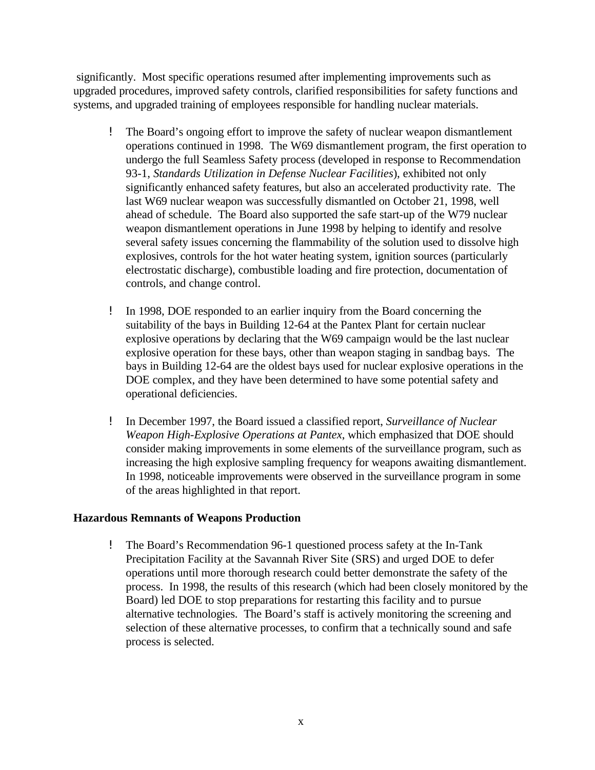significantly. Most specific operations resumed after implementing improvements such as upgraded procedures, improved safety controls, clarified responsibilities for safety functions and systems, and upgraded training of employees responsible for handling nuclear materials.

- ! The Board's ongoing effort to improve the safety of nuclear weapon dismantlement operations continued in 1998. The W69 dismantlement program, the first operation to undergo the full Seamless Safety process (developed in response to Recommendation 93-1, *Standards Utilization in Defense Nuclear Facilities*), exhibited not only significantly enhanced safety features, but also an accelerated productivity rate. The last W69 nuclear weapon was successfully dismantled on October 21, 1998, well ahead of schedule. The Board also supported the safe start-up of the W79 nuclear weapon dismantlement operations in June 1998 by helping to identify and resolve several safety issues concerning the flammability of the solution used to dissolve high explosives, controls for the hot water heating system, ignition sources (particularly electrostatic discharge), combustible loading and fire protection, documentation of controls, and change control.
- ! In 1998, DOE responded to an earlier inquiry from the Board concerning the suitability of the bays in Building 12-64 at the Pantex Plant for certain nuclear explosive operations by declaring that the W69 campaign would be the last nuclear explosive operation for these bays, other than weapon staging in sandbag bays. The bays in Building 12-64 are the oldest bays used for nuclear explosive operations in the DOE complex, and they have been determined to have some potential safety and operational deficiencies.
- ! In December 1997, the Board issued a classified report, *Surveillance of Nuclear Weapon High-Explosive Operations at Pantex*, which emphasized that DOE should consider making improvements in some elements of the surveillance program, such as increasing the high explosive sampling frequency for weapons awaiting dismantlement. In 1998, noticeable improvements were observed in the surveillance program in some of the areas highlighted in that report.

#### **Hazardous Remnants of Weapons Production**

! The Board's Recommendation 96-1 questioned process safety at the In-Tank Precipitation Facility at the Savannah River Site (SRS) and urged DOE to defer operations until more thorough research could better demonstrate the safety of the process. In 1998, the results of this research (which had been closely monitored by the Board) led DOE to stop preparations for restarting this facility and to pursue alternative technologies. The Board's staff is actively monitoring the screening and selection of these alternative processes, to confirm that a technically sound and safe process is selected.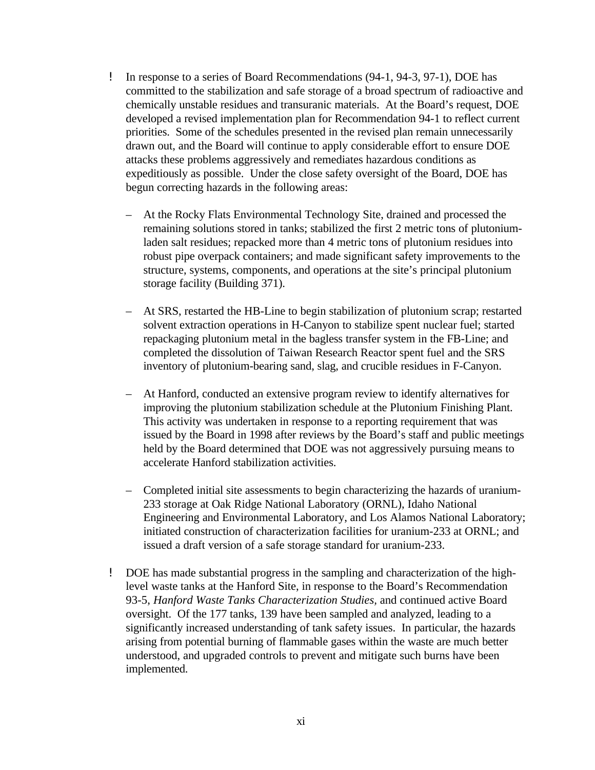- ! In response to a series of Board Recommendations (94-1, 94-3, 97-1), DOE has committed to the stabilization and safe storage of a broad spectrum of radioactive and chemically unstable residues and transuranic materials. At the Board's request, DOE developed a revised implementation plan for Recommendation 94-1 to reflect current priorities. Some of the schedules presented in the revised plan remain unnecessarily drawn out, and the Board will continue to apply considerable effort to ensure DOE attacks these problems aggressively and remediates hazardous conditions as expeditiously as possible. Under the close safety oversight of the Board, DOE has begun correcting hazards in the following areas:
	- At the Rocky Flats Environmental Technology Site, drained and processed the remaining solutions stored in tanks; stabilized the first 2 metric tons of plutoniumladen salt residues; repacked more than 4 metric tons of plutonium residues into robust pipe overpack containers; and made significant safety improvements to the structure, systems, components, and operations at the site's principal plutonium storage facility (Building 371).
	- At SRS, restarted the HB-Line to begin stabilization of plutonium scrap; restarted solvent extraction operations in H-Canyon to stabilize spent nuclear fuel; started repackaging plutonium metal in the bagless transfer system in the FB-Line; and completed the dissolution of Taiwan Research Reactor spent fuel and the SRS inventory of plutonium-bearing sand, slag, and crucible residues in F-Canyon.
	- At Hanford, conducted an extensive program review to identify alternatives for improving the plutonium stabilization schedule at the Plutonium Finishing Plant. This activity was undertaken in response to a reporting requirement that was issued by the Board in 1998 after reviews by the Board's staff and public meetings held by the Board determined that DOE was not aggressively pursuing means to accelerate Hanford stabilization activities.
	- Completed initial site assessments to begin characterizing the hazards of uranium-233 storage at Oak Ridge National Laboratory (ORNL), Idaho National Engineering and Environmental Laboratory, and Los Alamos National Laboratory; initiated construction of characterization facilities for uranium-233 at ORNL; and issued a draft version of a safe storage standard for uranium-233.
- ! DOE has made substantial progress in the sampling and characterization of the highlevel waste tanks at the Hanford Site, in response to the Board's Recommendation 93-5, *Hanford Waste Tanks Characterization Studies,* and continued active Board oversight. Of the 177 tanks, 139 have been sampled and analyzed, leading to a significantly increased understanding of tank safety issues. In particular, the hazards arising from potential burning of flammable gases within the waste are much better understood, and upgraded controls to prevent and mitigate such burns have been implemented.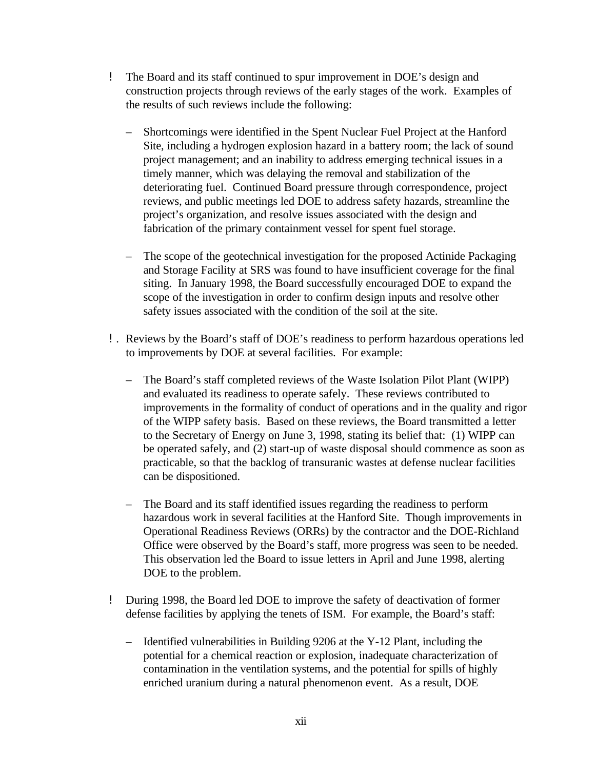- ! The Board and its staff continued to spur improvement in DOE's design and construction projects through reviews of the early stages of the work. Examples of the results of such reviews include the following:
	- Shortcomings were identified in the Spent Nuclear Fuel Project at the Hanford Site, including a hydrogen explosion hazard in a battery room; the lack of sound project management; and an inability to address emerging technical issues in a timely manner, which was delaying the removal and stabilization of the deteriorating fuel. Continued Board pressure through correspondence, project reviews, and public meetings led DOE to address safety hazards, streamline the project's organization, and resolve issues associated with the design and fabrication of the primary containment vessel for spent fuel storage.
	- The scope of the geotechnical investigation for the proposed Actinide Packaging and Storage Facility at SRS was found to have insufficient coverage for the final siting. In January 1998, the Board successfully encouraged DOE to expand the scope of the investigation in order to confirm design inputs and resolve other safety issues associated with the condition of the soil at the site.
- !. Reviews by the Board's staff of DOE's readiness to perform hazardous operations led to improvements by DOE at several facilities. For example:
	- The Board's staff completed reviews of the Waste Isolation Pilot Plant (WIPP) and evaluated its readiness to operate safely. These reviews contributed to improvements in the formality of conduct of operations and in the quality and rigor of the WIPP safety basis. Based on these reviews, the Board transmitted a letter to the Secretary of Energy on June 3, 1998, stating its belief that: (1) WIPP can be operated safely, and (2) start-up of waste disposal should commence as soon as practicable, so that the backlog of transuranic wastes at defense nuclear facilities can be dispositioned.
	- The Board and its staff identified issues regarding the readiness to perform hazardous work in several facilities at the Hanford Site. Though improvements in Operational Readiness Reviews (ORRs) by the contractor and the DOE-Richland Office were observed by the Board's staff, more progress was seen to be needed. This observation led the Board to issue letters in April and June 1998, alerting DOE to the problem.
- ! During 1998, the Board led DOE to improve the safety of deactivation of former defense facilities by applying the tenets of ISM. For example, the Board's staff:
	- Identified vulnerabilities in Building 9206 at the Y-12 Plant, including the potential for a chemical reaction or explosion, inadequate characterization of contamination in the ventilation systems, and the potential for spills of highly enriched uranium during a natural phenomenon event. As a result, DOE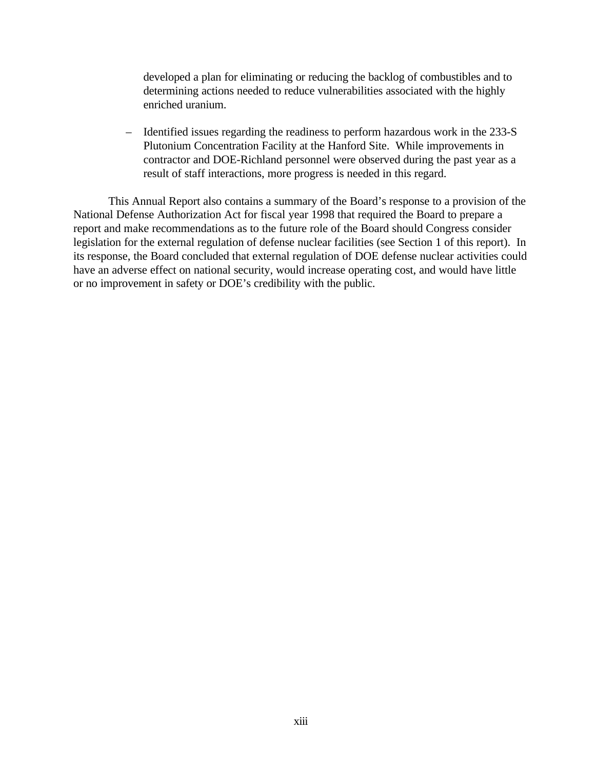developed a plan for eliminating or reducing the backlog of combustibles and to determining actions needed to reduce vulnerabilities associated with the highly enriched uranium.

– Identified issues regarding the readiness to perform hazardous work in the 233-S Plutonium Concentration Facility at the Hanford Site. While improvements in contractor and DOE-Richland personnel were observed during the past year as a result of staff interactions, more progress is needed in this regard.

This Annual Report also contains a summary of the Board's response to a provision of the National Defense Authorization Act for fiscal year 1998 that required the Board to prepare a report and make recommendations as to the future role of the Board should Congress consider legislation for the external regulation of defense nuclear facilities (see Section 1 of this report). In its response, the Board concluded that external regulation of DOE defense nuclear activities could have an adverse effect on national security, would increase operating cost, and would have little or no improvement in safety or DOE's credibility with the public.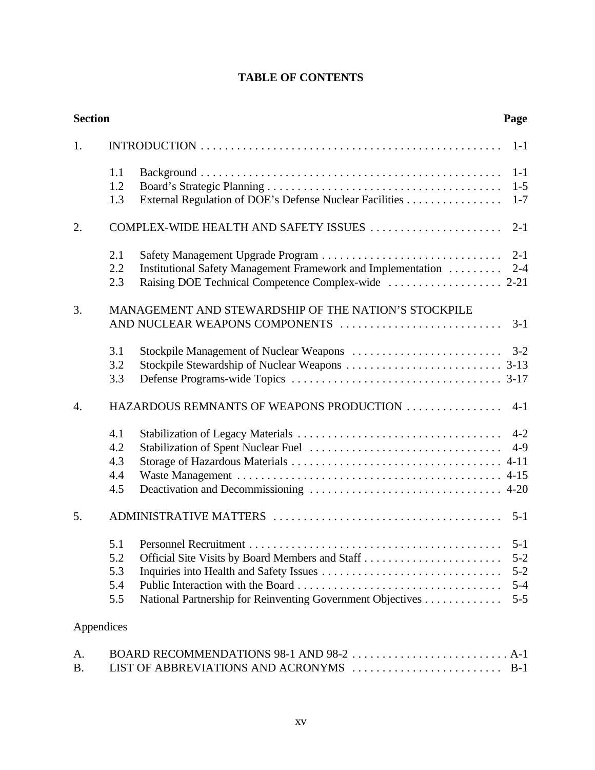## **TABLE OF CONTENTS**

| <b>Section</b>   |                                 |                                                                                        | Page                                                |
|------------------|---------------------------------|----------------------------------------------------------------------------------------|-----------------------------------------------------|
| 1.               |                                 |                                                                                        | $1-1$                                               |
|                  | 1.1<br>1.2<br>1.3               | External Regulation of DOE's Defense Nuclear Facilities                                | $1-1$<br>$1 - 5$<br>$1 - 7$                         |
| 2.               |                                 | COMPLEX-WIDE HEALTH AND SAFETY ISSUES                                                  | $2 - 1$                                             |
|                  | 2.1                             |                                                                                        | $2 - 1$                                             |
|                  | 2.2<br>2.3                      | Institutional Safety Management Framework and Implementation                           | $2 - 4$                                             |
| 3.               |                                 | MANAGEMENT AND STEWARDSHIP OF THE NATION'S STOCKPILE<br>AND NUCLEAR WEAPONS COMPONENTS | $3-1$                                               |
|                  | 3.1<br>3.2<br>3.3               |                                                                                        | $3 - 2$                                             |
| $\overline{4}$ . |                                 | HAZARDOUS REMNANTS OF WEAPONS PRODUCTION                                               | $4 - 1$                                             |
|                  | 4.1<br>4.2<br>4.3<br>4.4<br>4.5 |                                                                                        | $4 - 2$<br>$4-9$                                    |
| 5.               |                                 |                                                                                        | $5 - 1$                                             |
|                  | 5.2<br>5.3<br>5.4<br>5.5        | National Partnership for Reinventing Government Objectives                             | $5 - 1$<br>$5 - 2$<br>$5 - 2$<br>$5 - 4$<br>$5 - 5$ |
| Appendices       |                                 |                                                                                        |                                                     |
|                  |                                 | <b>ROADD DECOMMENDATIONS 08 1 AND 08 2</b>                                             | $\Lambda$ 1                                         |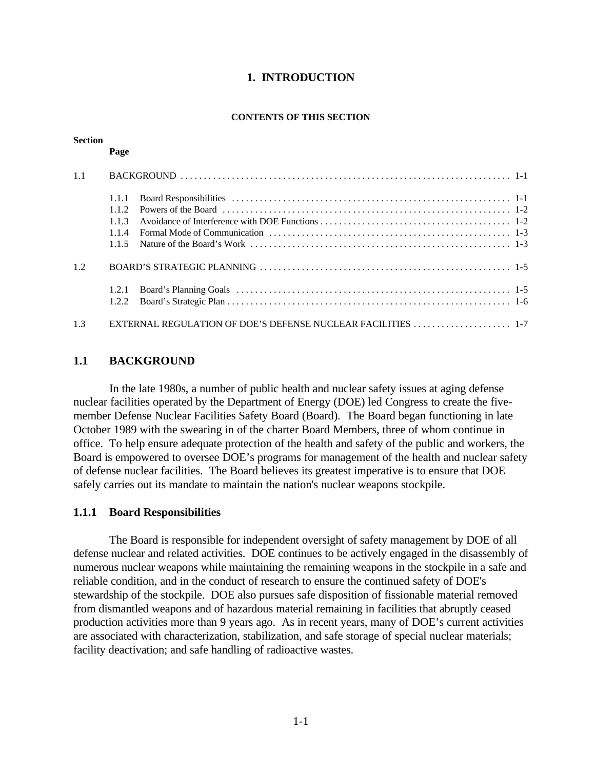#### **1. INTRODUCTION**

#### **CONTENTS OF THIS SECTION**

#### **Section**

#### **Page**

| 1.1 |        |                                                              |  |  |
|-----|--------|--------------------------------------------------------------|--|--|
|     | 1.1.1  |                                                              |  |  |
|     | 112    |                                                              |  |  |
|     | 113    |                                                              |  |  |
|     | 114    |                                                              |  |  |
|     | 115    |                                                              |  |  |
| 1.2 |        |                                                              |  |  |
|     | 1.2.1  |                                                              |  |  |
|     | 1.2.2. |                                                              |  |  |
| 1.3 |        | EXTERNAL REGULATION OF DOE'S DEFENSE NUCLEAR FACILITIES  1-7 |  |  |

#### **1.1 BACKGROUND**

In the late 1980s, a number of public health and nuclear safety issues at aging defense nuclear facilities operated by the Department of Energy (DOE) led Congress to create the fivemember Defense Nuclear Facilities Safety Board (Board). The Board began functioning in late October 1989 with the swearing in of the charter Board Members, three of whom continue in office. To help ensure adequate protection of the health and safety of the public and workers, the Board is empowered to oversee DOE's programs for management of the health and nuclear safety of defense nuclear facilities. The Board believes its greatest imperative is to ensure that DOE safely carries out its mandate to maintain the nation's nuclear weapons stockpile.

#### **1.1.1 Board Responsibilities**

The Board is responsible for independent oversight of safety management by DOE of all defense nuclear and related activities. DOE continues to be actively engaged in the disassembly of numerous nuclear weapons while maintaining the remaining weapons in the stockpile in a safe and reliable condition, and in the conduct of research to ensure the continued safety of DOE's stewardship of the stockpile. DOE also pursues safe disposition of fissionable material removed from dismantled weapons and of hazardous material remaining in facilities that abruptly ceased production activities more than 9 years ago. As in recent years, many of DOE's current activities are associated with characterization, stabilization, and safe storage of special nuclear materials; facility deactivation; and safe handling of radioactive wastes.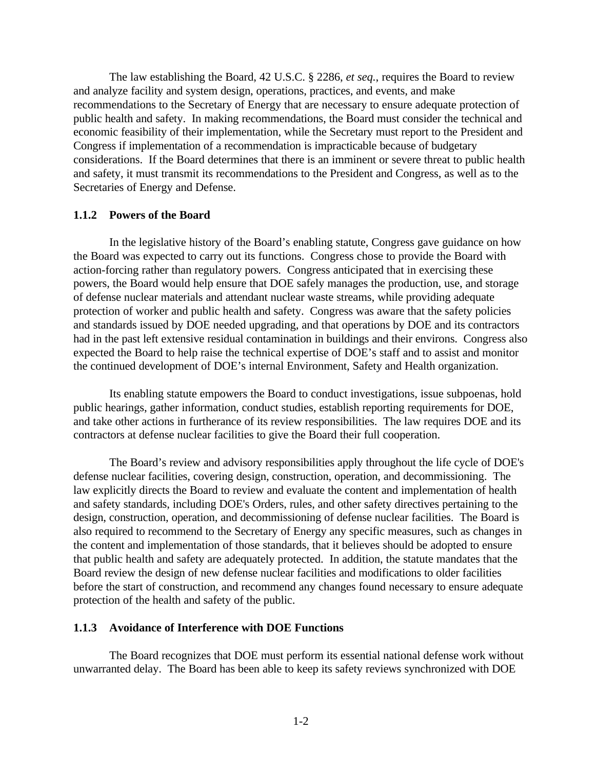The law establishing the Board, 42 U.S.C. § 2286, *et seq.*, requires the Board to review and analyze facility and system design, operations, practices, and events, and make recommendations to the Secretary of Energy that are necessary to ensure adequate protection of public health and safety. In making recommendations, the Board must consider the technical and economic feasibility of their implementation, while the Secretary must report to the President and Congress if implementation of a recommendation is impracticable because of budgetary considerations. If the Board determines that there is an imminent or severe threat to public health and safety, it must transmit its recommendations to the President and Congress, as well as to the Secretaries of Energy and Defense.

#### **1.1.2 Powers of the Board**

In the legislative history of the Board's enabling statute, Congress gave guidance on how the Board was expected to carry out its functions. Congress chose to provide the Board with action-forcing rather than regulatory powers. Congress anticipated that in exercising these powers, the Board would help ensure that DOE safely manages the production, use, and storage of defense nuclear materials and attendant nuclear waste streams, while providing adequate protection of worker and public health and safety. Congress was aware that the safety policies and standards issued by DOE needed upgrading, and that operations by DOE and its contractors had in the past left extensive residual contamination in buildings and their environs. Congress also expected the Board to help raise the technical expertise of DOE's staff and to assist and monitor the continued development of DOE's internal Environment, Safety and Health organization.

Its enabling statute empowers the Board to conduct investigations, issue subpoenas, hold public hearings, gather information, conduct studies, establish reporting requirements for DOE, and take other actions in furtherance of its review responsibilities. The law requires DOE and its contractors at defense nuclear facilities to give the Board their full cooperation.

The Board's review and advisory responsibilities apply throughout the life cycle of DOE's defense nuclear facilities, covering design, construction, operation, and decommissioning. The law explicitly directs the Board to review and evaluate the content and implementation of health and safety standards, including DOE's Orders, rules, and other safety directives pertaining to the design, construction, operation, and decommissioning of defense nuclear facilities. The Board is also required to recommend to the Secretary of Energy any specific measures, such as changes in the content and implementation of those standards, that it believes should be adopted to ensure that public health and safety are adequately protected. In addition, the statute mandates that the Board review the design of new defense nuclear facilities and modifications to older facilities before the start of construction, and recommend any changes found necessary to ensure adequate protection of the health and safety of the public.

#### **1.1.3 Avoidance of Interference with DOE Functions**

The Board recognizes that DOE must perform its essential national defense work without unwarranted delay. The Board has been able to keep its safety reviews synchronized with DOE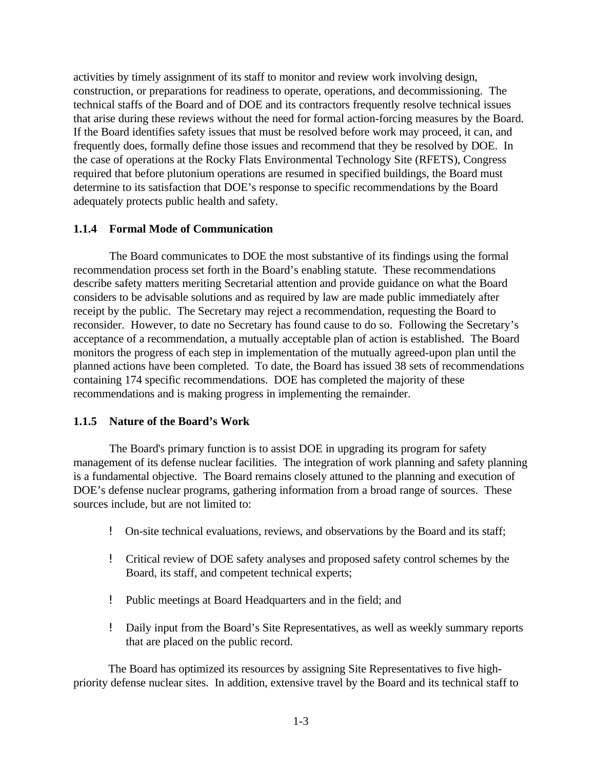activities by timely assignment of its staff to monitor and review work involving design, construction, or preparations for readiness to operate, operations, and decommissioning. The technical staffs of the Board and of DOE and its contractors frequently resolve technical issues that arise during these reviews without the need for formal action-forcing measures by the Board. If the Board identifies safety issues that must be resolved before work may proceed, it can, and frequently does, formally define those issues and recommend that they be resolved by DOE. In the case of operations at the Rocky Flats Environmental Technology Site (RFETS), Congress required that before plutonium operations are resumed in specified buildings, the Board must determine to its satisfaction that DOE's response to specific recommendations by the Board adequately protects public health and safety.

#### **1.1.4 Formal Mode of Communication**

The Board communicates to DOE the most substantive of its findings using the formal recommendation process set forth in the Board's enabling statute. These recommendations describe safety matters meriting Secretarial attention and provide guidance on what the Board considers to be advisable solutions and as required by law are made public immediately after receipt by the public. The Secretary may reject a recommendation, requesting the Board to reconsider. However, to date no Secretary has found cause to do so. Following the Secretary's acceptance of a recommendation, a mutually acceptable plan of action is established. The Board monitors the progress of each step in implementation of the mutually agreed-upon plan until the planned actions have been completed. To date, the Board has issued 38 sets of recommendations containing 174 specific recommendations. DOE has completed the majority of these recommendations and is making progress in implementing the remainder.

#### **1.1.5 Nature of the Board's Work**

The Board's primary function is to assist DOE in upgrading its program for safety management of its defense nuclear facilities. The integration of work planning and safety planning is a fundamental objective. The Board remains closely attuned to the planning and execution of DOE's defense nuclear programs, gathering information from a broad range of sources. These sources include, but are not limited to:

- ! On-site technical evaluations, reviews, and observations by the Board and its staff;
- ! Critical review of DOE safety analyses and proposed safety control schemes by the Board, its staff, and competent technical experts;
- ! Public meetings at Board Headquarters and in the field; and
- ! Daily input from the Board's Site Representatives, as well as weekly summary reports that are placed on the public record.

The Board has optimized its resources by assigning Site Representatives to five highpriority defense nuclear sites. In addition, extensive travel by the Board and its technical staff to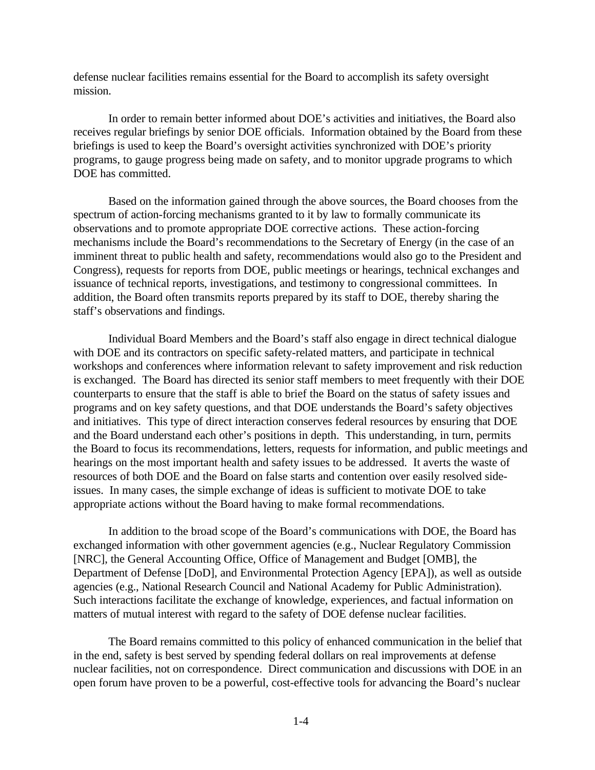defense nuclear facilities remains essential for the Board to accomplish its safety oversight mission.

In order to remain better informed about DOE's activities and initiatives, the Board also receives regular briefings by senior DOE officials. Information obtained by the Board from these briefings is used to keep the Board's oversight activities synchronized with DOE's priority programs, to gauge progress being made on safety, and to monitor upgrade programs to which DOE has committed.

Based on the information gained through the above sources, the Board chooses from the spectrum of action-forcing mechanisms granted to it by law to formally communicate its observations and to promote appropriate DOE corrective actions. These action-forcing mechanisms include the Board's recommendations to the Secretary of Energy (in the case of an imminent threat to public health and safety, recommendations would also go to the President and Congress), requests for reports from DOE, public meetings or hearings, technical exchanges and issuance of technical reports, investigations, and testimony to congressional committees. In addition, the Board often transmits reports prepared by its staff to DOE, thereby sharing the staff's observations and findings.

Individual Board Members and the Board's staff also engage in direct technical dialogue with DOE and its contractors on specific safety-related matters, and participate in technical workshops and conferences where information relevant to safety improvement and risk reduction is exchanged. The Board has directed its senior staff members to meet frequently with their DOE counterparts to ensure that the staff is able to brief the Board on the status of safety issues and programs and on key safety questions, and that DOE understands the Board's safety objectives and initiatives. This type of direct interaction conserves federal resources by ensuring that DOE and the Board understand each other's positions in depth. This understanding, in turn, permits the Board to focus its recommendations, letters, requests for information, and public meetings and hearings on the most important health and safety issues to be addressed. It averts the waste of resources of both DOE and the Board on false starts and contention over easily resolved sideissues. In many cases, the simple exchange of ideas is sufficient to motivate DOE to take appropriate actions without the Board having to make formal recommendations.

In addition to the broad scope of the Board's communications with DOE, the Board has exchanged information with other government agencies (e.g., Nuclear Regulatory Commission [NRC], the General Accounting Office, Office of Management and Budget [OMB], the Department of Defense [DoD], and Environmental Protection Agency [EPA]), as well as outside agencies (e.g., National Research Council and National Academy for Public Administration). Such interactions facilitate the exchange of knowledge, experiences, and factual information on matters of mutual interest with regard to the safety of DOE defense nuclear facilities.

The Board remains committed to this policy of enhanced communication in the belief that in the end, safety is best served by spending federal dollars on real improvements at defense nuclear facilities, not on correspondence. Direct communication and discussions with DOE in an open forum have proven to be a powerful, cost-effective tools for advancing the Board's nuclear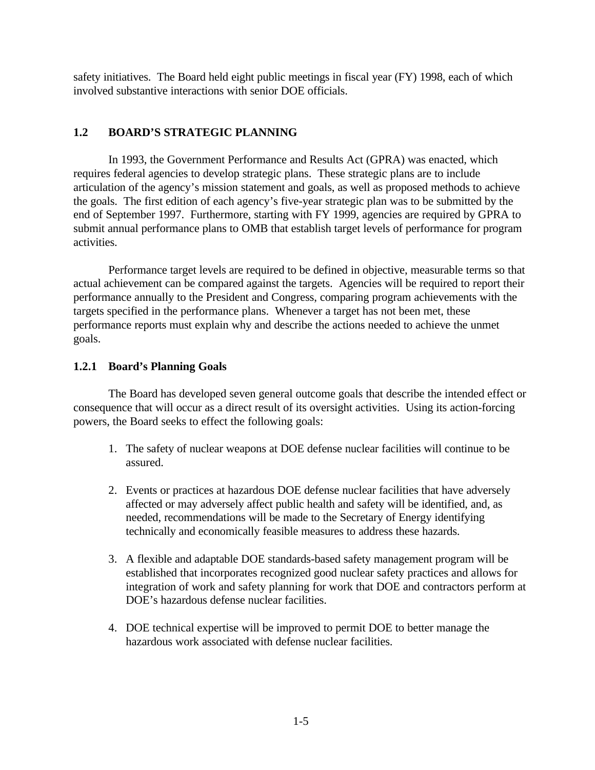safety initiatives. The Board held eight public meetings in fiscal year (FY) 1998, each of which involved substantive interactions with senior DOE officials.

### **1.2 BOARD'S STRATEGIC PLANNING**

In 1993, the Government Performance and Results Act (GPRA) was enacted, which requires federal agencies to develop strategic plans. These strategic plans are to include articulation of the agency's mission statement and goals, as well as proposed methods to achieve the goals. The first edition of each agency's five-year strategic plan was to be submitted by the end of September 1997. Furthermore, starting with FY 1999, agencies are required by GPRA to submit annual performance plans to OMB that establish target levels of performance for program activities.

Performance target levels are required to be defined in objective, measurable terms so that actual achievement can be compared against the targets. Agencies will be required to report their performance annually to the President and Congress, comparing program achievements with the targets specified in the performance plans. Whenever a target has not been met, these performance reports must explain why and describe the actions needed to achieve the unmet goals.

## **1.2.1 Board's Planning Goals**

The Board has developed seven general outcome goals that describe the intended effect or consequence that will occur as a direct result of its oversight activities. Using its action-forcing powers, the Board seeks to effect the following goals:

- 1. The safety of nuclear weapons at DOE defense nuclear facilities will continue to be assured.
- 2. Events or practices at hazardous DOE defense nuclear facilities that have adversely affected or may adversely affect public health and safety will be identified, and, as needed, recommendations will be made to the Secretary of Energy identifying technically and economically feasible measures to address these hazards.
- 3. A flexible and adaptable DOE standards-based safety management program will be established that incorporates recognized good nuclear safety practices and allows for integration of work and safety planning for work that DOE and contractors perform at DOE's hazardous defense nuclear facilities.
- 4. DOE technical expertise will be improved to permit DOE to better manage the hazardous work associated with defense nuclear facilities.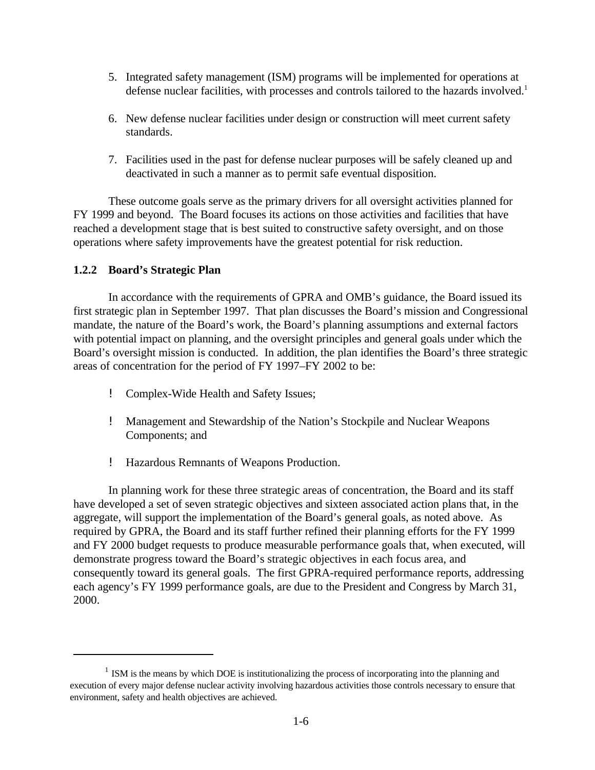- 5. Integrated safety management (ISM) programs will be implemented for operations at defense nuclear facilities, with processes and controls tailored to the hazards involved.<sup>1</sup>
- 6. New defense nuclear facilities under design or construction will meet current safety standards.
- 7. Facilities used in the past for defense nuclear purposes will be safely cleaned up and deactivated in such a manner as to permit safe eventual disposition.

These outcome goals serve as the primary drivers for all oversight activities planned for FY 1999 and beyond. The Board focuses its actions on those activities and facilities that have reached a development stage that is best suited to constructive safety oversight, and on those operations where safety improvements have the greatest potential for risk reduction.

#### **1.2.2 Board's Strategic Plan**

In accordance with the requirements of GPRA and OMB's guidance, the Board issued its first strategic plan in September 1997. That plan discusses the Board's mission and Congressional mandate, the nature of the Board's work, the Board's planning assumptions and external factors with potential impact on planning, and the oversight principles and general goals under which the Board's oversight mission is conducted. In addition, the plan identifies the Board's three strategic areas of concentration for the period of FY 1997–FY 2002 to be:

- ! Complex-Wide Health and Safety Issues;
- ! Management and Stewardship of the Nation's Stockpile and Nuclear Weapons Components; and
- ! Hazardous Remnants of Weapons Production.

In planning work for these three strategic areas of concentration, the Board and its staff have developed a set of seven strategic objectives and sixteen associated action plans that, in the aggregate, will support the implementation of the Board's general goals, as noted above. As required by GPRA, the Board and its staff further refined their planning efforts for the FY 1999 and FY 2000 budget requests to produce measurable performance goals that, when executed, will demonstrate progress toward the Board's strategic objectives in each focus area, and consequently toward its general goals. The first GPRA-required performance reports, addressing each agency's FY 1999 performance goals, are due to the President and Congress by March 31, 2000.

 $<sup>1</sup>$  ISM is the means by which DOE is institutionalizing the process of incorporating into the planning and</sup> execution of every major defense nuclear activity involving hazardous activities those controls necessary to ensure that environment, safety and health objectives are achieved.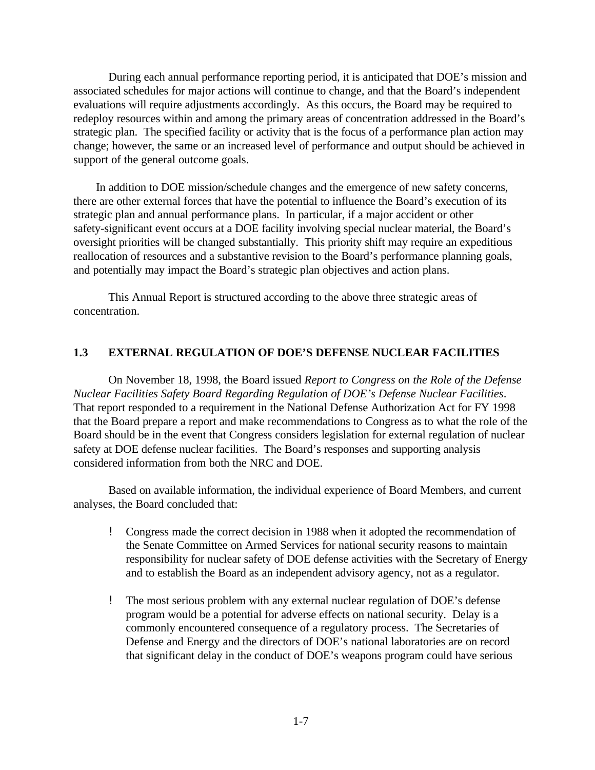During each annual performance reporting period, it is anticipated that DOE's mission and associated schedules for major actions will continue to change, and that the Board's independent evaluations will require adjustments accordingly. As this occurs, the Board may be required to redeploy resources within and among the primary areas of concentration addressed in the Board's strategic plan. The specified facility or activity that is the focus of a performance plan action may change; however, the same or an increased level of performance and output should be achieved in support of the general outcome goals.

In addition to DOE mission/schedule changes and the emergence of new safety concerns, there are other external forces that have the potential to influence the Board's execution of its strategic plan and annual performance plans. In particular, if a major accident or other safety-significant event occurs at a DOE facility involving special nuclear material, the Board's oversight priorities will be changed substantially. This priority shift may require an expeditious reallocation of resources and a substantive revision to the Board's performance planning goals, and potentially may impact the Board's strategic plan objectives and action plans.

This Annual Report is structured according to the above three strategic areas of concentration.

#### **1.3 EXTERNAL REGULATION OF DOE'S DEFENSE NUCLEAR FACILITIES**

On November 18, 1998, the Board issued *Report to Congress on the Role of the Defense Nuclear Facilities Safety Board Regarding Regulation of DOE's Defense Nuclear Facilities*. That report responded to a requirement in the National Defense Authorization Act for FY 1998 that the Board prepare a report and make recommendations to Congress as to what the role of the Board should be in the event that Congress considers legislation for external regulation of nuclear safety at DOE defense nuclear facilities.The Board's responses and supporting analysis considered information from both the NRC and DOE.

Based on available information, the individual experience of Board Members, and current analyses, the Board concluded that:

- ! Congress made the correct decision in 1988 when it adopted the recommendation of the Senate Committee on Armed Services for national security reasons to maintain responsibility for nuclear safety of DOE defense activities with the Secretary of Energy and to establish the Board as an independent advisory agency, not as a regulator.
- ! The most serious problem with any external nuclear regulation of DOE's defense program would be a potential for adverse effects on national security. Delay is a commonly encountered consequence of a regulatory process. The Secretaries of Defense and Energy and the directors of DOE's national laboratories are on record that significant delay in the conduct of DOE's weapons program could have serious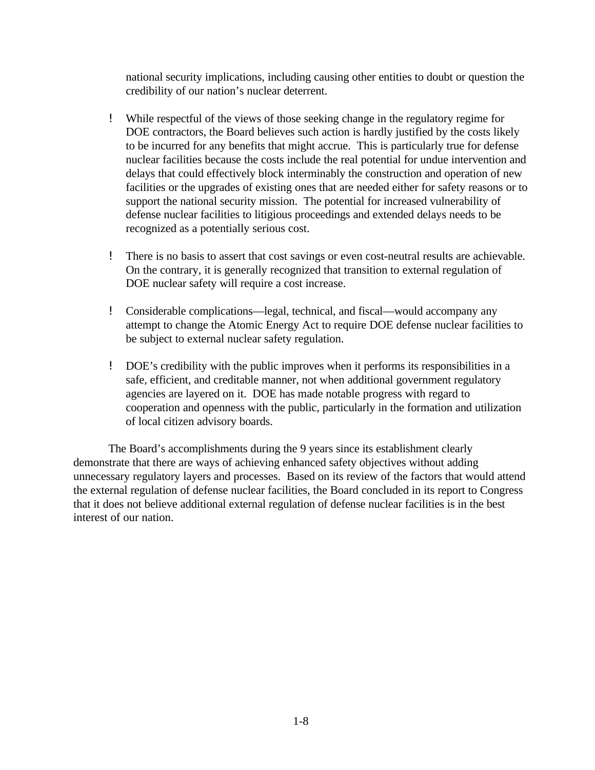national security implications, including causing other entities to doubt or question the credibility of our nation's nuclear deterrent.

- ! While respectful of the views of those seeking change in the regulatory regime for DOE contractors, the Board believes such action is hardly justified by the costs likely to be incurred for any benefits that might accrue. This is particularly true for defense nuclear facilities because the costs include the real potential for undue intervention and delays that could effectively block interminably the construction and operation of new facilities or the upgrades of existing ones that are needed either for safety reasons or to support the national security mission. The potential for increased vulnerability of defense nuclear facilities to litigious proceedings and extended delays needs to be recognized as a potentially serious cost.
- ! There is no basis to assert that cost savings or even cost-neutral results are achievable. On the contrary, it is generally recognized that transition to external regulation of DOE nuclear safety will require a cost increase.
- ! Considerable complications—legal, technical, and fiscal—would accompany any attempt to change the Atomic Energy Act to require DOE defense nuclear facilities to be subject to external nuclear safety regulation.
- ! DOE's credibility with the public improves when it performs its responsibilities in a safe, efficient, and creditable manner, not when additional government regulatory agencies are layered on it. DOE has made notable progress with regard to cooperation and openness with the public, particularly in the formation and utilization of local citizen advisory boards.

The Board's accomplishments during the 9 years since its establishment clearly demonstrate that there are ways of achieving enhanced safety objectives without adding unnecessary regulatory layers and processes. Based on its review of the factors that would attend the external regulation of defense nuclear facilities, the Board concluded in its report to Congress that it does not believe additional external regulation of defense nuclear facilities is in the best interest of our nation.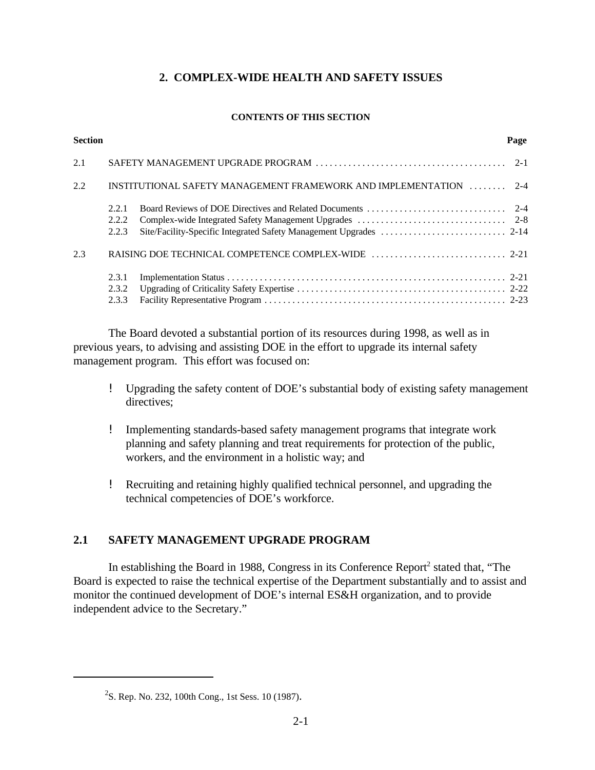## **2. COMPLEX-WIDE HEALTH AND SAFETY ISSUES**

#### **CONTENTS OF THIS SECTION**

| <b>Section</b> |                         |                                                                   | Page |
|----------------|-------------------------|-------------------------------------------------------------------|------|
| 2.1            |                         |                                                                   |      |
| 2.2            |                         | INSTITUTIONAL SAFETY MANAGEMENT FRAMEWORK AND IMPLEMENTATION  2-4 |      |
|                | 2.2.1<br>2.2.2<br>2.2.3 |                                                                   |      |
| 2.3            |                         |                                                                   |      |
|                | 2.3.1<br>2.3.2<br>2.3.3 |                                                                   |      |

The Board devoted a substantial portion of its resources during 1998, as well as in previous years, to advising and assisting DOE in the effort to upgrade its internal safety management program. This effort was focused on:

- ! Upgrading the safety content of DOE's substantial body of existing safety management directives:
- ! Implementing standards-based safety management programs that integrate work planning and safety planning and treat requirements for protection of the public, workers, and the environment in a holistic way; and
- ! Recruiting and retaining highly qualified technical personnel, and upgrading the technical competencies of DOE's workforce.

## **2.1 SAFETY MANAGEMENT UPGRADE PROGRAM**

In establishing the Board in 1988, Congress in its Conference Report<sup>2</sup> stated that, "The Board is expected to raise the technical expertise of the Department substantially and to assist and monitor the continued development of DOE's internal ES&H organization, and to provide independent advice to the Secretary."

 $2$ S. Rep. No. 232, 100th Cong., 1st Sess. 10 (1987).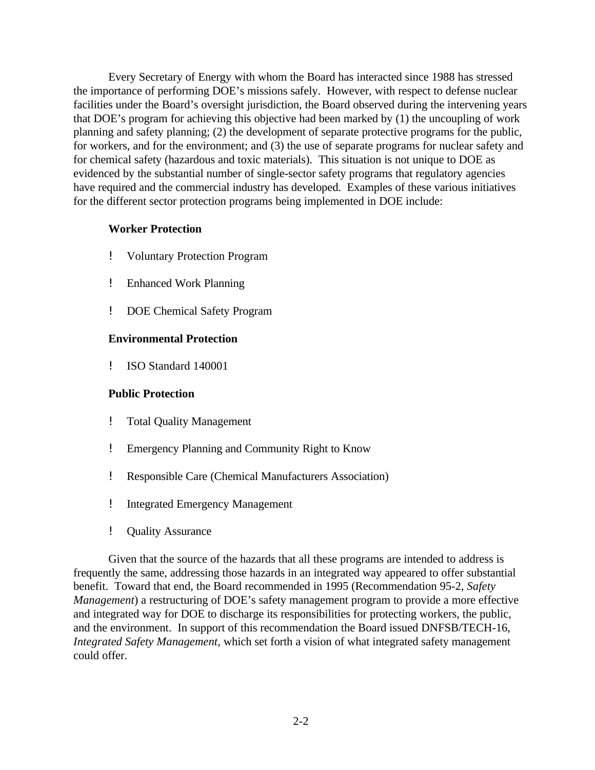Every Secretary of Energy with whom the Board has interacted since 1988 has stressed the importance of performing DOE's missions safely. However, with respect to defense nuclear facilities under the Board's oversight jurisdiction, the Board observed during the intervening years that DOE's program for achieving this objective had been marked by (1) the uncoupling of work planning and safety planning; (2) the development of separate protective programs for the public, for workers, and for the environment; and (3) the use of separate programs for nuclear safety and for chemical safety (hazardous and toxic materials). This situation is not unique to DOE as evidenced by the substantial number of single-sector safety programs that regulatory agencies have required and the commercial industry has developed. Examples of these various initiatives for the different sector protection programs being implemented in DOE include:

#### **Worker Protection**

- ! Voluntary Protection Program
- ! Enhanced Work Planning
- ! DOE Chemical Safety Program

#### **Environmental Protection**

! ISO Standard 140001

#### **Public Protection**

- ! Total Quality Management
- ! Emergency Planning and Community Right to Know
- ! Responsible Care (Chemical Manufacturers Association)
- ! Integrated Emergency Management
- ! Quality Assurance

Given that the source of the hazards that all these programs are intended to address is frequently the same, addressing those hazards in an integrated way appeared to offer substantial benefit. Toward that end, the Board recommended in 1995 (Recommendation 95-2, *Safety Management*) a restructuring of DOE's safety management program to provide a more effective and integrated way for DOE to discharge its responsibilities for protecting workers, the public, and the environment. In support of this recommendation the Board issued DNFSB/TECH-16, *Integrated Safety Management,* which set forth a vision of what integrated safety management could offer.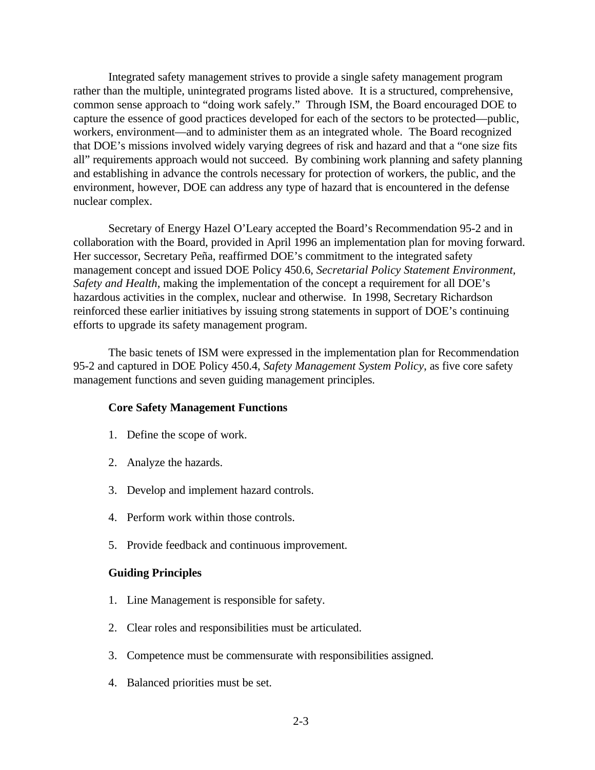Integrated safety management strives to provide a single safety management program rather than the multiple, unintegrated programs listed above. It is a structured, comprehensive, common sense approach to "doing work safely." Through ISM, the Board encouraged DOE to capture the essence of good practices developed for each of the sectors to be protected—public, workers, environment—and to administer them as an integrated whole. The Board recognized that DOE's missions involved widely varying degrees of risk and hazard and that a "one size fits all" requirements approach would not succeed. By combining work planning and safety planning and establishing in advance the controls necessary for protection of workers, the public, and the environment, however, DOE can address any type of hazard that is encountered in the defense nuclear complex.

Secretary of Energy Hazel O'Leary accepted the Board's Recommendation 95-2 and in collaboration with the Board, provided in April 1996 an implementation plan for moving forward. Her successor, Secretary Peña, reaffirmed DOE's commitment to the integrated safety management concept and issued DOE Policy 450.6, *Secretarial Policy Statement Environment, Safety and Health*, making the implementation of the concept a requirement for all DOE's hazardous activities in the complex, nuclear and otherwise. In 1998, Secretary Richardson reinforced these earlier initiatives by issuing strong statements in support of DOE's continuing efforts to upgrade its safety management program.

The basic tenets of ISM were expressed in the implementation plan for Recommendation 95-2 and captured in DOE Policy 450.4, *Safety Management System Policy*, as five core safety management functions and seven guiding management principles.

#### **Core Safety Management Functions**

- 1. Define the scope of work.
- 2. Analyze the hazards.
- 3. Develop and implement hazard controls.
- 4. Perform work within those controls.
- 5. Provide feedback and continuous improvement.

#### **Guiding Principles**

- 1. Line Management is responsible for safety.
- 2. Clear roles and responsibilities must be articulated.
- 3. Competence must be commensurate with responsibilities assigned.
- 4. Balanced priorities must be set.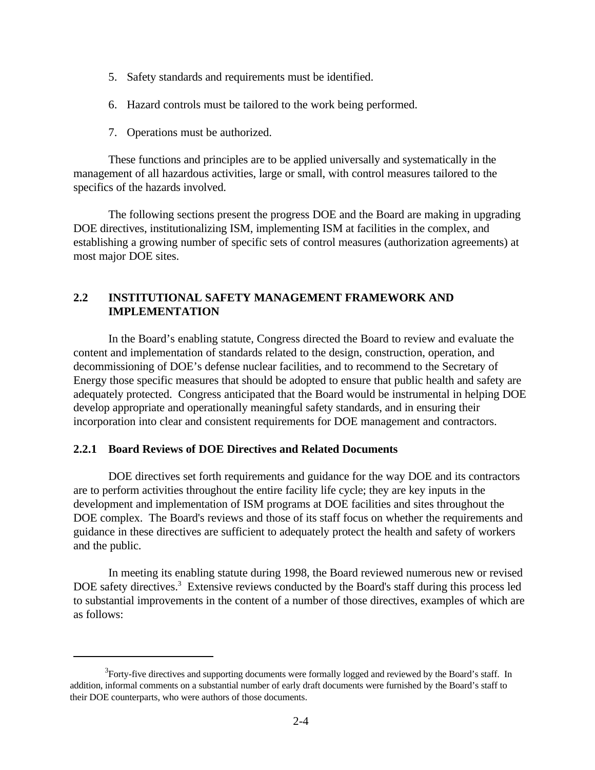- 5. Safety standards and requirements must be identified.
- 6. Hazard controls must be tailored to the work being performed.
- 7. Operations must be authorized.

These functions and principles are to be applied universally and systematically in the management of all hazardous activities, large or small, with control measures tailored to the specifics of the hazards involved.

The following sections present the progress DOE and the Board are making in upgrading DOE directives, institutionalizing ISM, implementing ISM at facilities in the complex, and establishing a growing number of specific sets of control measures (authorization agreements) at most major DOE sites.

## **2.2 INSTITUTIONAL SAFETY MANAGEMENT FRAMEWORK AND IMPLEMENTATION**

In the Board's enabling statute, Congress directed the Board to review and evaluate the content and implementation of standards related to the design, construction, operation, and decommissioning of DOE's defense nuclear facilities, and to recommend to the Secretary of Energy those specific measures that should be adopted to ensure that public health and safety are adequately protected. Congress anticipated that the Board would be instrumental in helping DOE develop appropriate and operationally meaningful safety standards, and in ensuring their incorporation into clear and consistent requirements for DOE management and contractors.

#### **2.2.1 Board Reviews of DOE Directives and Related Documents**

DOE directives set forth requirements and guidance for the way DOE and its contractors are to perform activities throughout the entire facility life cycle; they are key inputs in the development and implementation of ISM programs at DOE facilities and sites throughout the DOE complex. The Board's reviews and those of its staff focus on whether the requirements and guidance in these directives are sufficient to adequately protect the health and safety of workers and the public.

In meeting its enabling statute during 1998, the Board reviewed numerous new or revised DOE safety directives.<sup>3</sup> Extensive reviews conducted by the Board's staff during this process led to substantial improvements in the content of a number of those directives, examples of which are as follows:

 $3$ Forty-five directives and supporting documents were formally logged and reviewed by the Board's staff. In addition, informal comments on a substantial number of early draft documents were furnished by the Board's staff to their DOE counterparts, who were authors of those documents.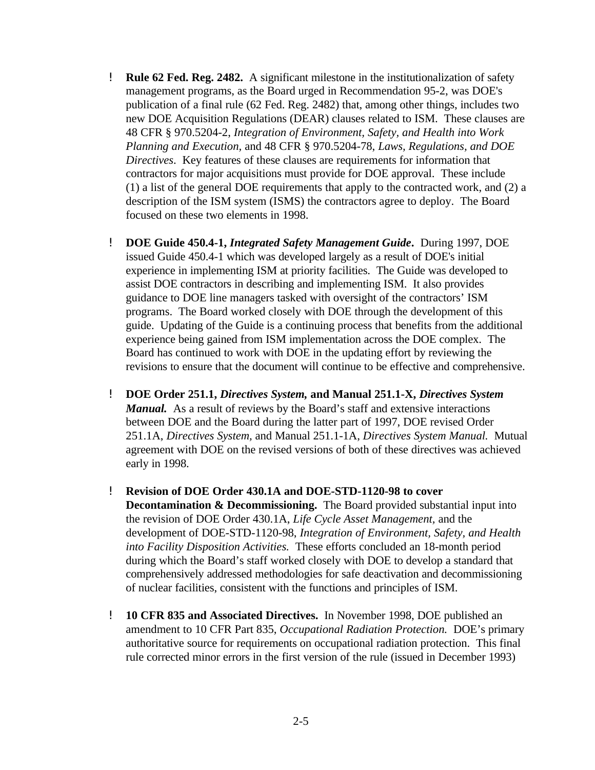- ! **Rule 62 Fed. Reg. 2482.** A significant milestone in the institutionalization of safety management programs, as the Board urged in Recommendation 95-2, was DOE's publication of a final rule (62 Fed. Reg. 2482) that, among other things, includes two new DOE Acquisition Regulations (DEAR) clauses related to ISM. These clauses are 48 CFR § 970.5204-2, *Integration of Environment, Safety, and Health into Work Planning and Execution,* and 48 CFR § 970.5204-78, *Laws, Regulations, and DOE Directives*. Key features of these clauses are requirements for information that contractors for major acquisitions must provide for DOE approval. These include (1) a list of the general DOE requirements that apply to the contracted work, and (2) a description of the ISM system (ISMS) the contractors agree to deploy. The Board focused on these two elements in 1998.
- ! **DOE Guide 450.4-1,** *Integrated Safety Management Guide***.** During 1997, DOE issued Guide 450.4-1 which was developed largely as a result of DOE's initial experience in implementing ISM at priority facilities. The Guide was developed to assist DOE contractors in describing and implementing ISM. It also provides guidance to DOE line managers tasked with oversight of the contractors' ISM programs. The Board worked closely with DOE through the development of this guide. Updating of the Guide is a continuing process that benefits from the additional experience being gained from ISM implementation across the DOE complex. The Board has continued to work with DOE in the updating effort by reviewing the revisions to ensure that the document will continue to be effective and comprehensive.
- ! **DOE Order 251.1,** *Directives System,* **and Manual 251.1-X,** *Directives System Manual.* As a result of reviews by the Board's staff and extensive interactions between DOE and the Board during the latter part of 1997, DOE revised Order 251.1A, *Directives System,* and Manual 251.1-1A, *Directives System Manual.* Mutual agreement with DOE on the revised versions of both of these directives was achieved early in 1998.
- ! **Revision of DOE Order 430.1A and DOE-STD-1120-98 to cover Decontamination & Decommissioning.** The Board provided substantial input into the revision of DOE Order 430.1A, *Life Cycle Asset Management,* and the development of DOE-STD-1120-98, *Integration of Environment, Safety, and Health into Facility Disposition Activities.* These efforts concluded an 18-month period during which the Board's staff worked closely with DOE to develop a standard that comprehensively addressed methodologies for safe deactivation and decommissioning of nuclear facilities, consistent with the functions and principles of ISM.
- ! **10 CFR 835 and Associated Directives.** In November 1998, DOE published an amendment to 10 CFR Part 835, *Occupational Radiation Protection.* DOE's primary authoritative source for requirements on occupational radiation protection. This final rule corrected minor errors in the first version of the rule (issued in December 1993)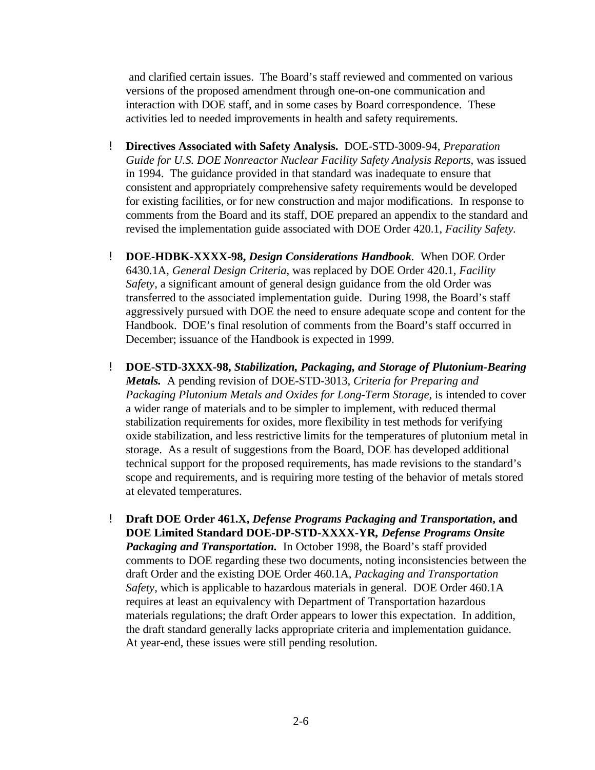and clarified certain issues. The Board's staff reviewed and commented on various versions of the proposed amendment through one-on-one communication and interaction with DOE staff, and in some cases by Board correspondence. These activities led to needed improvements in health and safety requirements.

- ! **Directives Associated with Safety Analysis.** DOE-STD-3009-94, *Preparation Guide for U.S. DOE Nonreactor Nuclear Facility Safety Analysis Reports*, was issued in 1994. The guidance provided in that standard was inadequate to ensure that consistent and appropriately comprehensive safety requirements would be developed for existing facilities, or for new construction and major modifications. In response to comments from the Board and its staff, DOE prepared an appendix to the standard and revised the implementation guide associated with DOE Order 420.1, *Facility Safety.*
- ! **DOE-HDBK-XXXX-98,** *Design Considerations Handbook.* When DOE Order 6430.1A, *General Design Criteria*, was replaced by DOE Order 420.1, *Facility Safety*, a significant amount of general design guidance from the old Order was transferred to the associated implementation guide. During 1998, the Board's staff aggressively pursued with DOE the need to ensure adequate scope and content for the Handbook. DOE's final resolution of comments from the Board's staff occurred in December; issuance of the Handbook is expected in 1999.
- ! **DOE-STD-3XXX-98,** *Stabilization, Packaging, and Storage of Plutonium-Bearing Metals.* A pending revision of DOE-STD-3013, *Criteria for Preparing and Packaging Plutonium Metals and Oxides for Long-Term Storage,* is intended to cover a wider range of materials and to be simpler to implement, with reduced thermal stabilization requirements for oxides, more flexibility in test methods for verifying oxide stabilization, and less restrictive limits for the temperatures of plutonium metal in storage. As a result of suggestions from the Board, DOE has developed additional technical support for the proposed requirements, has made revisions to the standard's scope and requirements, and is requiring more testing of the behavior of metals stored at elevated temperatures.
- ! **Draft DOE Order 461.X,** *Defense Programs Packaging and Transportation***, and DOE Limited Standard DOE-DP-STD-XXXX-YR***, Defense Programs Onsite Packaging and Transportation.* In October 1998, the Board's staff provided comments to DOE regarding these two documents, noting inconsistencies between the draft Order and the existing DOE Order 460.1A, *Packaging and Transportation Safety*, which is applicable to hazardous materials in general. DOE Order 460.1A requires at least an equivalency with Department of Transportation hazardous materials regulations; the draft Order appears to lower this expectation. In addition, the draft standard generally lacks appropriate criteria and implementation guidance. At year-end, these issues were still pending resolution.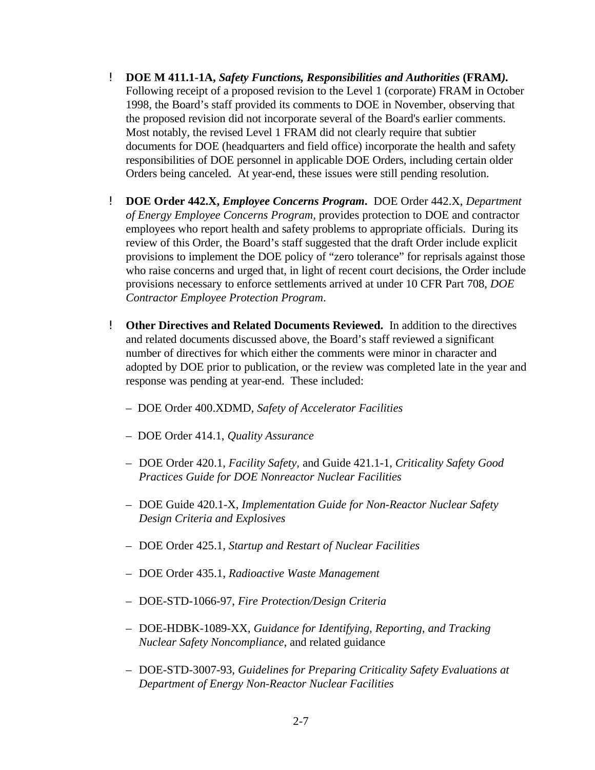- ! **DOE M 411.1-1A,** *Safety Functions, Responsibilities and Authorities* **(FRAM***).* Following receipt of a proposed revision to the Level 1 (corporate) FRAM in October 1998, the Board's staff provided its comments to DOE in November, observing that the proposed revision did not incorporate several of the Board's earlier comments. Most notably, the revised Level 1 FRAM did not clearly require that subtier documents for DOE (headquarters and field office) incorporate the health and safety responsibilities of DOE personnel in applicable DOE Orders, including certain older Orders being canceled. At year-end, these issues were still pending resolution.
- ! **DOE Order 442.X,** *Employee Concerns Program***.** DOE Order 442.X, *Department of Energy Employee Concerns Program,* provides protection to DOE and contractor employees who report health and safety problems to appropriate officials. During its review of this Order, the Board's staff suggested that the draft Order include explicit provisions to implement the DOE policy of "zero tolerance" for reprisals against those who raise concerns and urged that, in light of recent court decisions, the Order include provisions necessary to enforce settlements arrived at under 10 CFR Part 708, *DOE Contractor Employee Protection Program*.
- ! **Other Directives and Related Documents Reviewed.** In addition to the directives and related documents discussed above, the Board's staff reviewed a significant number of directives for which either the comments were minor in character and adopted by DOE prior to publication, or the review was completed late in the year and response was pending at year-end. These included:
	- DOE Order 400.XDMD, *Safety of Accelerator Facilities*
	- DOE Order 414.1, *Quality Assurance*
	- DOE Order 420.1, *Facility Safety,* and Guide 421.1-1, *Criticality Safety Good Practices Guide for DOE Nonreactor Nuclear Facilities*
	- DOE Guide 420.1-X, *Implementation Guide for Non-Reactor Nuclear Safety Design Criteria and Explosives*
	- DOE Order 425.1, *Startup and Restart of Nuclear Facilities*
	- DOE Order 435.1, *Radioactive Waste Management*
	- DOE-STD-1066-97, *Fire Protection/Design Criteria*
	- DOE-HDBK-1089-XX, *Guidance for Identifying, Reporting, and Tracking Nuclear Safety Noncompliance*, and related guidance
	- DOE-STD-3007-93, *Guidelines for Preparing Criticality Safety Evaluations at Department of Energy Non-Reactor Nuclear Facilities*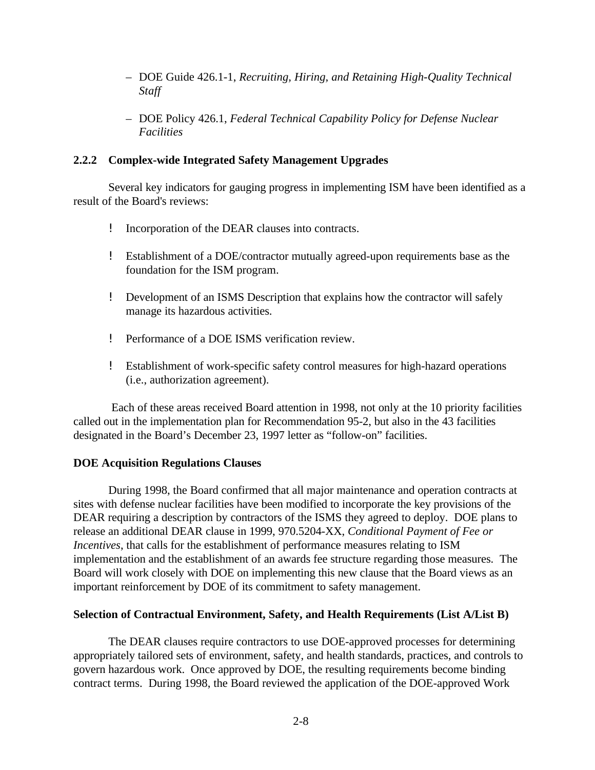- DOE Guide 426.1-1, *Recruiting, Hiring, and Retaining High-Quality Technical Staff*
- DOE Policy 426.1, *Federal Technical Capability Policy for Defense Nuclear Facilities*

#### **2.2.2 Complex-wide Integrated Safety Management Upgrades**

Several key indicators for gauging progress in implementing ISM have been identified as a result of the Board's reviews:

- ! Incorporation of the DEAR clauses into contracts.
- ! Establishment of a DOE/contractor mutually agreed-upon requirements base as the foundation for the ISM program.
- ! Development of an ISMS Description that explains how the contractor will safely manage its hazardous activities.
- ! Performance of a DOE ISMS verification review.
- ! Establishment of work-specific safety control measures for high-hazard operations (i.e., authorization agreement).

 Each of these areas received Board attention in 1998, not only at the 10 priority facilities called out in the implementation plan for Recommendation 95-2, but also in the 43 facilities designated in the Board's December 23, 1997 letter as "follow-on" facilities.

#### **DOE Acquisition Regulations Clauses**

During 1998, the Board confirmed that all major maintenance and operation contracts at sites with defense nuclear facilities have been modified to incorporate the key provisions of the DEAR requiring a description by contractors of the ISMS they agreed to deploy. DOE plans to release an additional DEAR clause in 1999, 970.5204-XX, *Conditional Payment of Fee or Incentives*, that calls for the establishment of performance measures relating to ISM implementation and the establishment of an awards fee structure regarding those measures.The Board will work closely with DOE on implementing this new clause that the Board views as an important reinforcement by DOE of its commitment to safety management.

#### **Selection of Contractual Environment, Safety, and Health Requirements (List A/List B)**

The DEAR clauses require contractors to use DOE-approved processes for determining appropriately tailored sets of environment, safety, and health standards, practices, and controls to govern hazardous work. Once approved by DOE, the resulting requirements become binding contract terms. During 1998, the Board reviewed the application of the DOE-approved Work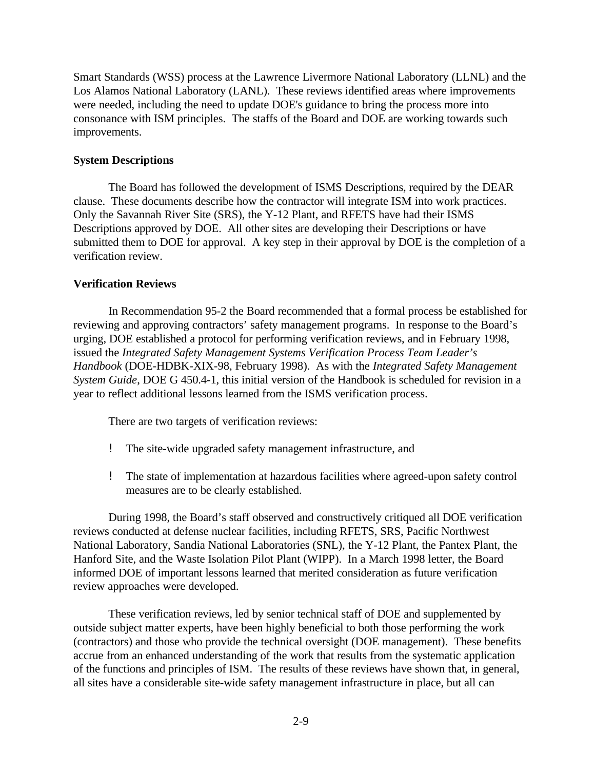Smart Standards (WSS) process at the Lawrence Livermore National Laboratory (LLNL) and the Los Alamos National Laboratory (LANL). These reviews identified areas where improvements were needed, including the need to update DOE's guidance to bring the process more into consonance with ISM principles. The staffs of the Board and DOE are working towards such improvements.

#### **System Descriptions**

The Board has followed the development of ISMS Descriptions, required by the DEAR clause. These documents describe how the contractor will integrate ISM into work practices. Only the Savannah River Site (SRS), the Y-12 Plant, and RFETS have had their ISMS Descriptions approved by DOE. All other sites are developing their Descriptions or have submitted them to DOE for approval. A key step in their approval by DOE is the completion of a verification review.

#### **Verification Reviews**

In Recommendation 95-2 the Board recommended that a formal process be established for reviewing and approving contractors' safety management programs. In response to the Board's urging, DOE established a protocol for performing verification reviews, and in February 1998, issued the *Integrated Safety Management Systems Verification Process Team Leader's Handbook* (DOE-HDBK-XIX-98, February 1998). As with the *Integrated Safety Management System Guide*, DOE G 450.4-1, this initial version of the Handbook is scheduled for revision in a year to reflect additional lessons learned from the ISMS verification process.

There are two targets of verification reviews:

- ! The site-wide upgraded safety management infrastructure, and
- ! The state of implementation at hazardous facilities where agreed-upon safety control measures are to be clearly established.

During 1998, the Board's staff observed and constructively critiqued all DOE verification reviews conducted at defense nuclear facilities, including RFETS, SRS, Pacific Northwest National Laboratory, Sandia National Laboratories (SNL), the Y-12 Plant, the Pantex Plant, the Hanford Site, and the Waste Isolation Pilot Plant (WIPP). In a March 1998 letter, the Board informed DOE of important lessons learned that merited consideration as future verification review approaches were developed.

These verification reviews, led by senior technical staff of DOE and supplemented by outside subject matter experts, have been highly beneficial to both those performing the work (contractors) and those who provide the technical oversight (DOE management). These benefits accrue from an enhanced understanding of the work that results from the systematic application of the functions and principles of ISM. The results of these reviews have shown that, in general, all sites have a considerable site-wide safety management infrastructure in place, but all can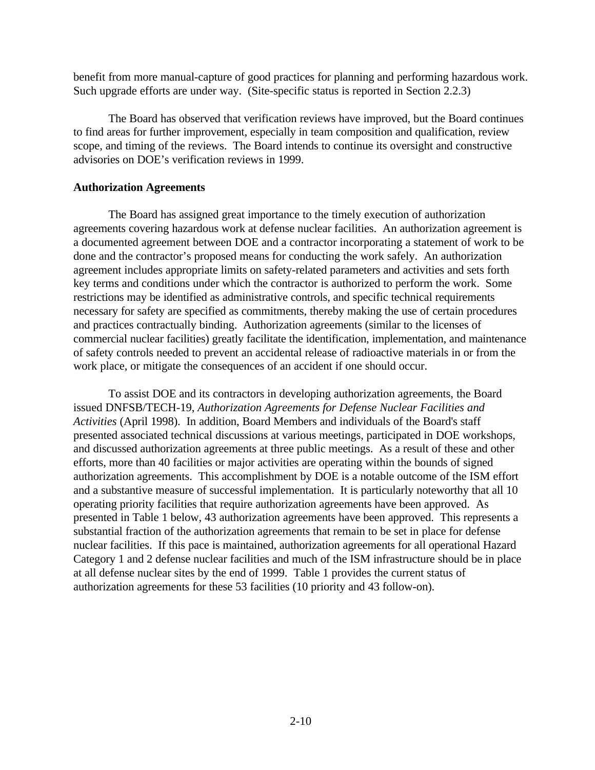benefit from more manual-capture of good practices for planning and performing hazardous work. Such upgrade efforts are under way. (Site-specific status is reported in Section 2.2.3)

The Board has observed that verification reviews have improved, but the Board continues to find areas for further improvement, especially in team composition and qualification, review scope, and timing of the reviews. The Board intends to continue its oversight and constructive advisories on DOE's verification reviews in 1999.

#### **Authorization Agreements**

The Board has assigned great importance to the timely execution of authorization agreements covering hazardous work at defense nuclear facilities. An authorization agreement is a documented agreement between DOE and a contractor incorporating a statement of work to be done and the contractor's proposed means for conducting the work safely. An authorization agreement includes appropriate limits on safety-related parameters and activities and sets forth key terms and conditions under which the contractor is authorized to perform the work. Some restrictions may be identified as administrative controls, and specific technical requirements necessary for safety are specified as commitments, thereby making the use of certain procedures and practices contractually binding. Authorization agreements (similar to the licenses of commercial nuclear facilities) greatly facilitate the identification, implementation, and maintenance of safety controls needed to prevent an accidental release of radioactive materials in or from the work place, or mitigate the consequences of an accident if one should occur.

To assist DOE and its contractors in developing authorization agreements, the Board issued DNFSB/TECH-19, *Authorization Agreements for Defense Nuclear Facilities and Activities* (April 1998). In addition, Board Members and individuals of the Board's staff presented associated technical discussions at various meetings, participated in DOE workshops, and discussed authorization agreements at three public meetings. As a result of these and other efforts, more than 40 facilities or major activities are operating within the bounds of signed authorization agreements. This accomplishment by DOE is a notable outcome of the ISM effort and a substantive measure of successful implementation. It is particularly noteworthy that all 10 operating priority facilities that require authorization agreements have been approved. As presented in Table 1 below, 43 authorization agreements have been approved. This represents a substantial fraction of the authorization agreements that remain to be set in place for defense nuclear facilities. If this pace is maintained, authorization agreements for all operational Hazard Category 1 and 2 defense nuclear facilities and much of the ISM infrastructure should be in place at all defense nuclear sites by the end of 1999. Table 1 provides the current status of authorization agreements for these 53 facilities (10 priority and 43 follow-on).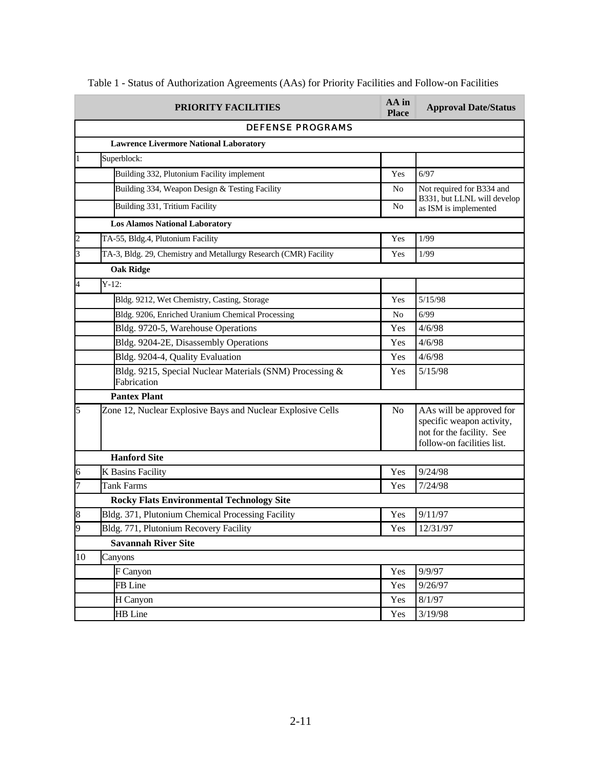|                | PRIORITY FACILITIES                                                     | AA in<br><b>Place</b> | <b>Approval Date/Status</b>                                                                                      |  |
|----------------|-------------------------------------------------------------------------|-----------------------|------------------------------------------------------------------------------------------------------------------|--|
|                | <b>DEFENSE PROGRAMS</b>                                                 |                       |                                                                                                                  |  |
|                | <b>Lawrence Livermore National Laboratory</b>                           |                       |                                                                                                                  |  |
| 1              | Superblock:                                                             |                       |                                                                                                                  |  |
|                | Building 332, Plutonium Facility implement                              | Yes                   | 6/97                                                                                                             |  |
|                | Building 334, Weapon Design & Testing Facility                          | N <sub>0</sub>        | Not required for B334 and                                                                                        |  |
|                | Building 331, Tritium Facility                                          | No                    | B331, but LLNL will develop<br>as ISM is implemented                                                             |  |
|                | <b>Los Alamos National Laboratory</b>                                   |                       |                                                                                                                  |  |
| $\overline{c}$ | TA-55, Bldg.4, Plutonium Facility                                       | Yes                   | 1/99                                                                                                             |  |
| 3              | TA-3, Bldg. 29, Chemistry and Metallurgy Research (CMR) Facility        | Yes                   | 1/99                                                                                                             |  |
|                | <b>Oak Ridge</b>                                                        |                       |                                                                                                                  |  |
| 4              | $Y-12:$                                                                 |                       |                                                                                                                  |  |
|                | Bldg. 9212, Wet Chemistry, Casting, Storage                             | Yes                   | 5/15/98                                                                                                          |  |
|                | Bldg. 9206, Enriched Uranium Chemical Processing                        | N <sub>0</sub>        | 6/99                                                                                                             |  |
|                | Bldg. 9720-5, Warehouse Operations                                      | Yes                   | 4/6/98                                                                                                           |  |
|                | Bldg. 9204-2E, Disassembly Operations                                   | Yes                   | 4/6/98                                                                                                           |  |
|                | Bldg. 9204-4, Quality Evaluation                                        | Yes                   | 4/6/98                                                                                                           |  |
|                | Bldg. 9215, Special Nuclear Materials (SNM) Processing &<br>Fabrication | Yes                   | 5/15/98                                                                                                          |  |
|                | <b>Pantex Plant</b>                                                     |                       |                                                                                                                  |  |
| 5              | Zone 12, Nuclear Explosive Bays and Nuclear Explosive Cells             | N <sub>0</sub>        | AAs will be approved for<br>specific weapon activity,<br>not for the facility. See<br>follow-on facilities list. |  |
|                | <b>Hanford Site</b>                                                     |                       |                                                                                                                  |  |
| 6              | K Basins Facility                                                       | Yes                   | 9/24/98                                                                                                          |  |
| 7              | Tank Farms                                                              | Yes                   | 7/24/98                                                                                                          |  |
|                | <b>Rocky Flats Environmental Technology Site</b>                        |                       |                                                                                                                  |  |
| 8              | Bldg. 371, Plutonium Chemical Processing Facility                       | Yes                   | 9/11/97                                                                                                          |  |
| 9              | Bldg. 771, Plutonium Recovery Facility                                  | Yes                   | 12/31/97                                                                                                         |  |
|                | <b>Savannah River Site</b>                                              |                       |                                                                                                                  |  |
| 10             | Canyons                                                                 |                       |                                                                                                                  |  |
|                | F Canyon                                                                | Yes                   | 9/9/97                                                                                                           |  |
|                | FB Line                                                                 | Yes                   | 9/26/97                                                                                                          |  |
|                | H Canyon                                                                | Yes                   | 8/1/97                                                                                                           |  |
|                | HB Line                                                                 | Yes                   | 3/19/98                                                                                                          |  |

Table 1 - Status of Authorization Agreements (AAs) for Priority Facilities and Follow-on Facilities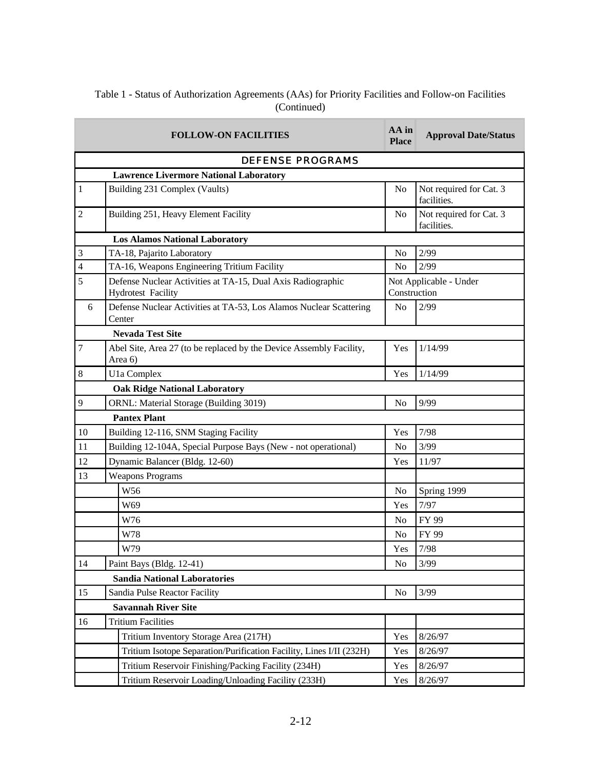### Table 1 - Status of Authorization Agreements (AAs) for Priority Facilities and Follow-on Facilities (Continued)

| <b>FOLLOW-ON FACILITIES</b>         |                                                                                          |                | <b>Approval Date/Status</b>            |  |
|-------------------------------------|------------------------------------------------------------------------------------------|----------------|----------------------------------------|--|
|                                     | <b>DEFENSE PROGRAMS</b>                                                                  |                |                                        |  |
|                                     | <b>Lawrence Livermore National Laboratory</b>                                            |                |                                        |  |
| 1                                   | Building 231 Complex (Vaults)                                                            | No             | Not required for Cat. 3<br>facilities. |  |
| $\overline{c}$                      | Building 251, Heavy Element Facility                                                     | N <sub>o</sub> | Not required for Cat. 3<br>facilities. |  |
|                                     | <b>Los Alamos National Laboratory</b>                                                    |                |                                        |  |
| $\mathfrak{Z}$                      | TA-18, Pajarito Laboratory                                                               | No             | 2/99                                   |  |
| $\overline{4}$                      | TA-16, Weapons Engineering Tritium Facility                                              | N <sub>o</sub> | 2/99                                   |  |
| 5                                   | Defense Nuclear Activities at TA-15, Dual Axis Radiographic<br><b>Hydrotest Facility</b> |                | Not Applicable - Under<br>Construction |  |
| 6                                   | Defense Nuclear Activities at TA-53, Los Alamos Nuclear Scattering<br>Center             | N <sub>o</sub> | 2/99                                   |  |
|                                     | <b>Nevada Test Site</b>                                                                  |                |                                        |  |
| 7                                   | Abel Site, Area 27 (to be replaced by the Device Assembly Facility,<br>Area 6)           | Yes            | 1/14/99                                |  |
| 8                                   | U1a Complex                                                                              | Yes            | 1/14/99                                |  |
|                                     | <b>Oak Ridge National Laboratory</b>                                                     |                |                                        |  |
| 9                                   | ORNL: Material Storage (Building 3019)                                                   | N <sub>o</sub> | 9/99                                   |  |
|                                     | <b>Pantex Plant</b>                                                                      |                |                                        |  |
| 10                                  | Building 12-116, SNM Staging Facility                                                    | Yes            | 7/98                                   |  |
| 11                                  | Building 12-104A, Special Purpose Bays (New - not operational)                           | No             | 3/99                                   |  |
| 12                                  | Dynamic Balancer (Bldg. 12-60)                                                           | Yes            | 11/97                                  |  |
| 13                                  | <b>Weapons Programs</b>                                                                  |                |                                        |  |
|                                     | W56                                                                                      | No             | Spring 1999                            |  |
|                                     | W69                                                                                      | Yes            | 7/97                                   |  |
|                                     | W76                                                                                      | N <sub>o</sub> | FY 99                                  |  |
|                                     | W78                                                                                      | No             | FY 99                                  |  |
|                                     | W79                                                                                      | Yes            | 7/98                                   |  |
| 14                                  | Paint Bays (Bldg. 12-41)                                                                 | No             | 3/99                                   |  |
| <b>Sandia National Laboratories</b> |                                                                                          |                |                                        |  |
| 15                                  | Sandia Pulse Reactor Facility                                                            | N <sub>o</sub> | 3/99                                   |  |
| <b>Savannah River Site</b>          |                                                                                          |                |                                        |  |
| 16                                  | <b>Tritium Facilities</b>                                                                |                |                                        |  |
|                                     | Tritium Inventory Storage Area (217H)                                                    | Yes            | 8/26/97                                |  |
|                                     | Tritium Isotope Separation/Purification Facility, Lines I/II (232H)                      | Yes            | 8/26/97                                |  |
|                                     | Tritium Reservoir Finishing/Packing Facility (234H)                                      | Yes            | 8/26/97                                |  |
|                                     | Tritium Reservoir Loading/Unloading Facility (233H)                                      | Yes            | 8/26/97                                |  |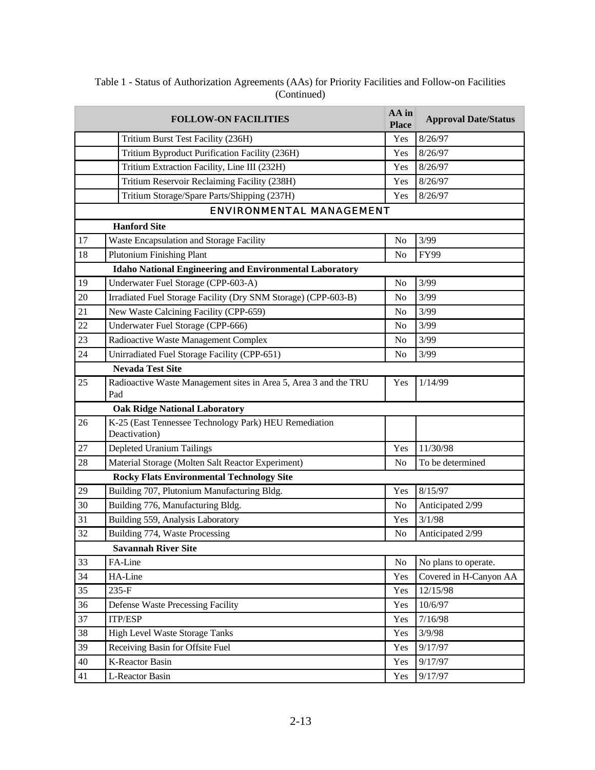|                 | <b>FOLLOW-ON FACILITIES</b>                                             | AA in<br><b>Place</b> | <b>Approval Date/Status</b> |
|-----------------|-------------------------------------------------------------------------|-----------------------|-----------------------------|
|                 | Tritium Burst Test Facility (236H)                                      | Yes                   | 8/26/97                     |
|                 | Tritium Byproduct Purification Facility (236H)                          | Yes                   | 8/26/97                     |
|                 | Tritium Extraction Facility, Line III (232H)                            | Yes                   | 8/26/97                     |
|                 | Tritium Reservoir Reclaiming Facility (238H)                            | Yes                   | 8/26/97                     |
|                 | Tritium Storage/Spare Parts/Shipping (237H)                             | Yes                   | 8/26/97                     |
|                 | <b>ENVIRONMENTAL MANAGEMENT</b>                                         |                       |                             |
|                 | <b>Hanford Site</b>                                                     |                       |                             |
| 17              | Waste Encapsulation and Storage Facility                                | N <sub>o</sub>        | 3/99                        |
| 18              | <b>Plutonium Finishing Plant</b>                                        | No                    | FY99                        |
|                 | <b>Idaho National Engineering and Environmental Laboratory</b>          |                       |                             |
| 19              | Underwater Fuel Storage (CPP-603-A)                                     | N <sub>o</sub>        | 3/99                        |
| 20              | Irradiated Fuel Storage Facility (Dry SNM Storage) (CPP-603-B)          | No                    | 3/99                        |
| 21              | New Waste Calcining Facility (CPP-659)                                  | N <sub>o</sub>        | 3/99                        |
| 22              | Underwater Fuel Storage (CPP-666)                                       | N <sub>o</sub>        | 3/99                        |
| 23              | Radioactive Waste Management Complex                                    | No                    | 3/99                        |
| $\overline{24}$ | Unirradiated Fuel Storage Facility (CPP-651)                            | No                    | 3/99                        |
|                 | <b>Nevada Test Site</b>                                                 |                       |                             |
| 25              | Radioactive Waste Management sites in Area 5, Area 3 and the TRU<br>Pad | Yes                   | 1/14/99                     |
|                 | <b>Oak Ridge National Laboratory</b>                                    |                       |                             |
| 26              | K-25 (East Tennessee Technology Park) HEU Remediation<br>Deactivation)  |                       |                             |
| $27\,$          | Depleted Uranium Tailings                                               | Yes                   | 11/30/98                    |
| 28              | Material Storage (Molten Salt Reactor Experiment)                       | No                    | To be determined            |
|                 | <b>Rocky Flats Environmental Technology Site</b>                        |                       |                             |
| 29              | Building 707, Plutonium Manufacturing Bldg.                             | Yes                   | 8/15/97                     |
| 30              | Building 776, Manufacturing Bldg.                                       | N <sub>o</sub>        | Anticipated 2/99            |
| 31              | Building 559, Analysis Laboratory                                       | Yes                   | 3/1/98                      |
| 32              | Building 774, Waste Processing                                          | No                    | Anticipated 2/99            |
|                 | <b>Savannah River Site</b>                                              |                       |                             |
| 33              | FA-Line                                                                 | N <sub>o</sub>        | No plans to operate.        |
| 34              | HA-Line                                                                 | Yes                   | Covered in H-Canyon AA      |
| 35              | 235-F                                                                   | Yes                   | 12/15/98                    |
| 36              | <b>Defense Waste Precessing Facility</b>                                | Yes                   | 10/6/97                     |
| 37              | <b>ITP/ESP</b>                                                          | Yes                   | 7/16/98                     |
| 38              | <b>High Level Waste Storage Tanks</b>                                   | Yes                   | 3/9/98                      |
| 39              | Receiving Basin for Offsite Fuel                                        | Yes                   | 9/17/97                     |
| $40\,$          | <b>K-Reactor Basin</b>                                                  | Yes                   | 9/17/97                     |
| 41              | L-Reactor Basin                                                         | Yes                   | 9/17/97                     |

# Table 1 - Status of Authorization Agreements (AAs) for Priority Facilities and Follow-on Facilities (Continued)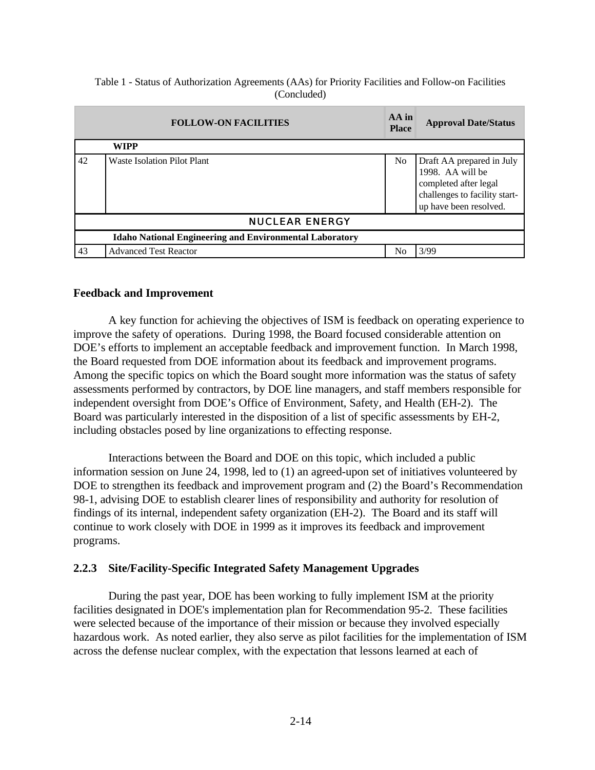### Table 1 - Status of Authorization Agreements (AAs) for Priority Facilities and Follow-on Facilities (Concluded)

| <b>FOLLOW-ON FACILITIES</b>                                    |                                    |                | <b>Approval Date/Status</b>                                                                                                       |  |  |  |
|----------------------------------------------------------------|------------------------------------|----------------|-----------------------------------------------------------------------------------------------------------------------------------|--|--|--|
|                                                                | <b>WIPP</b>                        |                |                                                                                                                                   |  |  |  |
| 42                                                             | <b>Waste Isolation Pilot Plant</b> | N <sub>o</sub> | Draft AA prepared in July<br>1998. AA will be<br>completed after legal<br>challenges to facility start-<br>up have been resolved. |  |  |  |
| <b>NUCLEAR ENERGY</b>                                          |                                    |                |                                                                                                                                   |  |  |  |
| <b>Idaho National Engineering and Environmental Laboratory</b> |                                    |                |                                                                                                                                   |  |  |  |
| 43                                                             | <b>Advanced Test Reactor</b>       | No             | 3/99                                                                                                                              |  |  |  |

## **Feedback and Improvement**

A key function for achieving the objectives of ISM is feedback on operating experience to improve the safety of operations. During 1998, the Board focused considerable attention on DOE's efforts to implement an acceptable feedback and improvement function. In March 1998, the Board requested from DOE information about its feedback and improvement programs. Among the specific topics on which the Board sought more information was the status of safety assessments performed by contractors, by DOE line managers, and staff members responsible for independent oversight from DOE's Office of Environment, Safety, and Health (EH-2). The Board was particularly interested in the disposition of a list of specific assessments by EH-2, including obstacles posed by line organizations to effecting response.

Interactions between the Board and DOE on this topic, which included a public information session on June 24, 1998, led to (1) an agreed-upon set of initiatives volunteered by DOE to strengthen its feedback and improvement program and (2) the Board's Recommendation 98-1, advising DOE to establish clearer lines of responsibility and authority for resolution of findings of its internal, independent safety organization (EH-2). The Board and its staff will continue to work closely with DOE in 1999 as it improves its feedback and improvement programs.

## **2.2.3 Site/Facility-Specific Integrated Safety Management Upgrades**

During the past year, DOE has been working to fully implement ISM at the priority facilities designated in DOE's implementation plan for Recommendation 95-2. These facilities were selected because of the importance of their mission or because they involved especially hazardous work. As noted earlier, they also serve as pilot facilities for the implementation of ISM across the defense nuclear complex, with the expectation that lessons learned at each of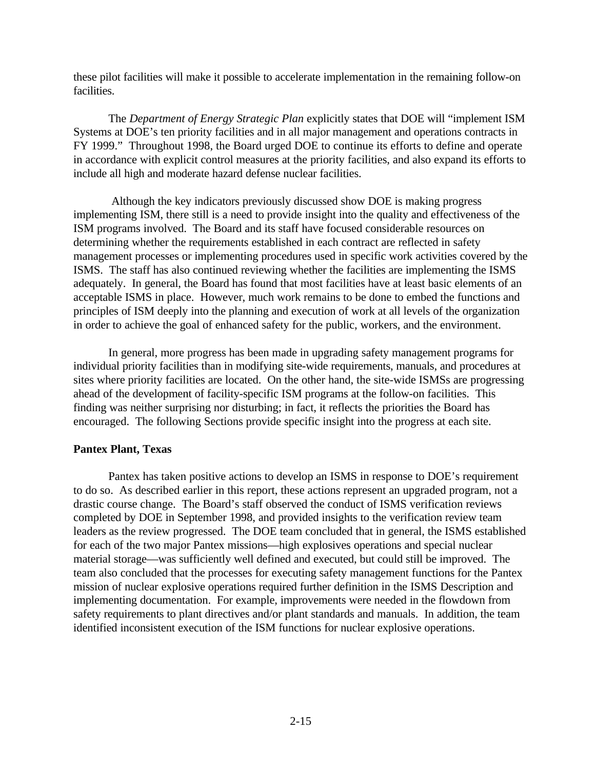these pilot facilities will make it possible to accelerate implementation in the remaining follow-on facilities.

The *Department of Energy Strategic Plan* explicitly states that DOE will "implement ISM Systems at DOE's ten priority facilities and in all major management and operations contracts in FY 1999." Throughout 1998, the Board urged DOE to continue its efforts to define and operate in accordance with explicit control measures at the priority facilities, and also expand its efforts to include all high and moderate hazard defense nuclear facilities.

 Although the key indicators previously discussed show DOE is making progress implementing ISM, there still is a need to provide insight into the quality and effectiveness of the ISM programs involved. The Board and its staff have focused considerable resources on determining whether the requirements established in each contract are reflected in safety management processes or implementing procedures used in specific work activities covered by the ISMS. The staff has also continued reviewing whether the facilities are implementing the ISMS adequately. In general, the Board has found that most facilities have at least basic elements of an acceptable ISMS in place. However, much work remains to be done to embed the functions and principles of ISM deeply into the planning and execution of work at all levels of the organization in order to achieve the goal of enhanced safety for the public, workers, and the environment.

In general, more progress has been made in upgrading safety management programs for individual priority facilities than in modifying site-wide requirements, manuals, and procedures at sites where priority facilities are located. On the other hand, the site-wide ISMSs are progressing ahead of the development of facility-specific ISM programs at the follow-on facilities. This finding was neither surprising nor disturbing; in fact, it reflects the priorities the Board has encouraged. The following Sections provide specific insight into the progress at each site.

# **Pantex Plant, Texas**

Pantex has taken positive actions to develop an ISMS in response to DOE's requirement to do so. As described earlier in this report, these actions represent an upgraded program, not a drastic course change. The Board's staff observed the conduct of ISMS verification reviews completed by DOE in September 1998, and provided insights to the verification review team leaders as the review progressed. The DOE team concluded that in general, the ISMS established for each of the two major Pantex missions—high explosives operations and special nuclear material storage—was sufficiently well defined and executed, but could still be improved. The team also concluded that the processes for executing safety management functions for the Pantex mission of nuclear explosive operations required further definition in the ISMS Description and implementing documentation. For example, improvements were needed in the flowdown from safety requirements to plant directives and/or plant standards and manuals. In addition, the team identified inconsistent execution of the ISM functions for nuclear explosive operations.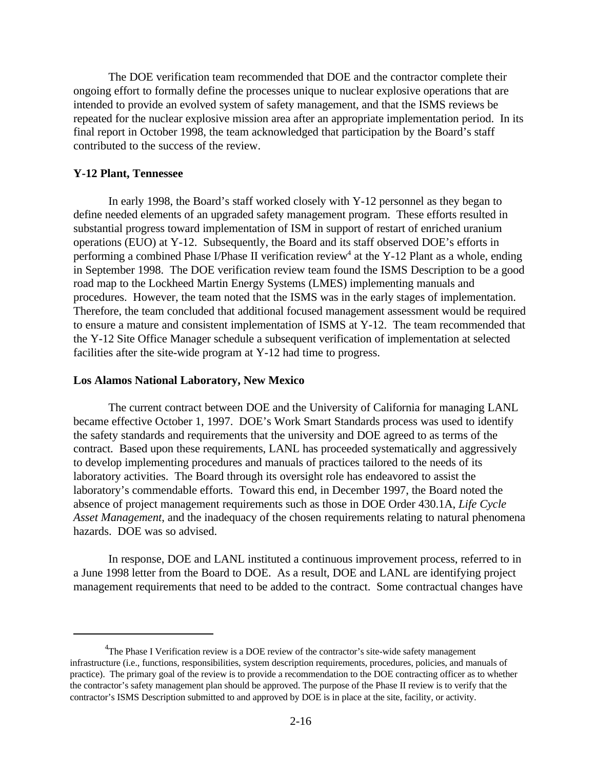The DOE verification team recommended that DOE and the contractor complete their ongoing effort to formally define the processes unique to nuclear explosive operations that are intended to provide an evolved system of safety management, and that the ISMS reviews be repeated for the nuclear explosive mission area after an appropriate implementation period. In its final report in October 1998, the team acknowledged that participation by the Board's staff contributed to the success of the review.

## **Y-12 Plant, Tennessee**

In early 1998, the Board's staff worked closely with Y-12 personnel as they began to define needed elements of an upgraded safety management program. These efforts resulted in substantial progress toward implementation of ISM in support of restart of enriched uranium operations (EUO) at Y-12. Subsequently, the Board and its staff observed DOE's efforts in performing a combined Phase I/Phase II verification review<sup>4</sup> at the Y-12 Plant as a whole, ending in September 1998. The DOE verification review team found the ISMS Description to be a good road map to the Lockheed Martin Energy Systems (LMES) implementing manuals and procedures. However, the team noted that the ISMS was in the early stages of implementation. Therefore, the team concluded that additional focused management assessment would be required to ensure a mature and consistent implementation of ISMS at Y-12. The team recommended that the Y-12 Site Office Manager schedule a subsequent verification of implementation at selected facilities after the site-wide program at Y-12 had time to progress.

### **Los Alamos National Laboratory, New Mexico**

The current contract between DOE and the University of California for managing LANL became effective October 1, 1997. DOE's Work Smart Standards process was used to identify the safety standards and requirements that the university and DOE agreed to as terms of the contract. Based upon these requirements, LANL has proceeded systematically and aggressively to develop implementing procedures and manuals of practices tailored to the needs of its laboratory activities. The Board through its oversight role has endeavored to assist the laboratory's commendable efforts. Toward this end, in December 1997, the Board noted the absence of project management requirements such as those in DOE Order 430.1A, *Life Cycle Asset Management*, and the inadequacy of the chosen requirements relating to natural phenomena hazards. DOE was so advised.

In response, DOE and LANL instituted a continuous improvement process, referred to in a June 1998 letter from the Board to DOE. As a result, DOE and LANL are identifying project management requirements that need to be added to the contract. Some contractual changes have

 ${}^{4}$ The Phase I Verification review is a DOE review of the contractor's site-wide safety management infrastructure (i.e., functions, responsibilities, system description requirements, procedures, policies, and manuals of practice). The primary goal of the review is to provide a recommendation to the DOE contracting officer as to whether the contractor's safety management plan should be approved. The purpose of the Phase II review is to verify that the contractor's ISMS Description submitted to and approved by DOE is in place at the site, facility, or activity.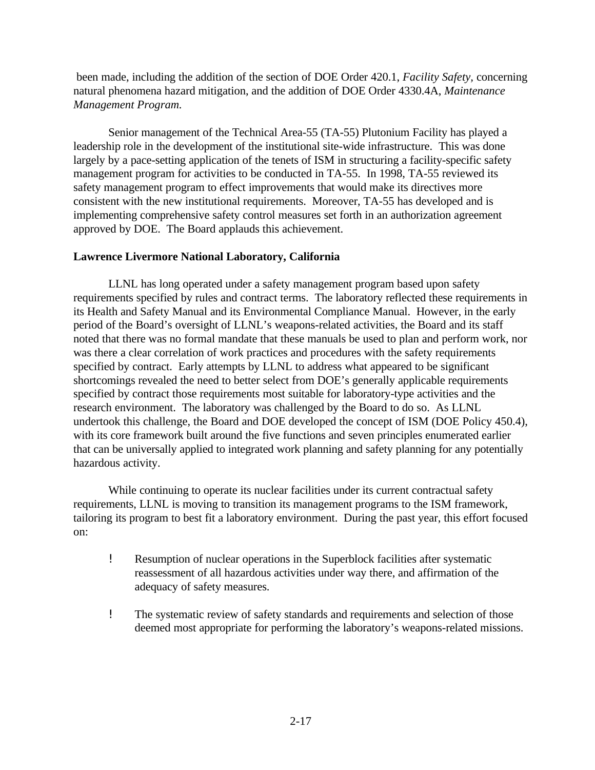been made, including the addition of the section of DOE Order 420.1, *Facility Safety,* concerning natural phenomena hazard mitigation, and the addition of DOE Order 4330.4A, *Maintenance Management Program.*

Senior management of the Technical Area-55 (TA-55) Plutonium Facility has played a leadership role in the development of the institutional site-wide infrastructure. This was done largely by a pace-setting application of the tenets of ISM in structuring a facility-specific safety management program for activities to be conducted in TA-55. In 1998, TA-55 reviewed its safety management program to effect improvements that would make its directives more consistent with the new institutional requirements. Moreover, TA-55 has developed and is implementing comprehensive safety control measures set forth in an authorization agreement approved by DOE. The Board applauds this achievement.

# **Lawrence Livermore National Laboratory, California**

LLNL has long operated under a safety management program based upon safety requirements specified by rules and contract terms. The laboratory reflected these requirements in its Health and Safety Manual and its Environmental Compliance Manual. However, in the early period of the Board's oversight of LLNL's weapons-related activities, the Board and its staff noted that there was no formal mandate that these manuals be used to plan and perform work, nor was there a clear correlation of work practices and procedures with the safety requirements specified by contract. Early attempts by LLNL to address what appeared to be significant shortcomings revealed the need to better select from DOE's generally applicable requirements specified by contract those requirements most suitable for laboratory-type activities and the research environment. The laboratory was challenged by the Board to do so. As LLNL undertook this challenge, the Board and DOE developed the concept of ISM (DOE Policy 450.4), with its core framework built around the five functions and seven principles enumerated earlier that can be universally applied to integrated work planning and safety planning for any potentially hazardous activity.

While continuing to operate its nuclear facilities under its current contractual safety requirements, LLNL is moving to transition its management programs to the ISM framework, tailoring its program to best fit a laboratory environment. During the past year, this effort focused on:

- ! Resumption of nuclear operations in the Superblock facilities after systematic reassessment of all hazardous activities under way there, and affirmation of the adequacy of safety measures.
- ! The systematic review of safety standards and requirements and selection of those deemed most appropriate for performing the laboratory's weapons-related missions.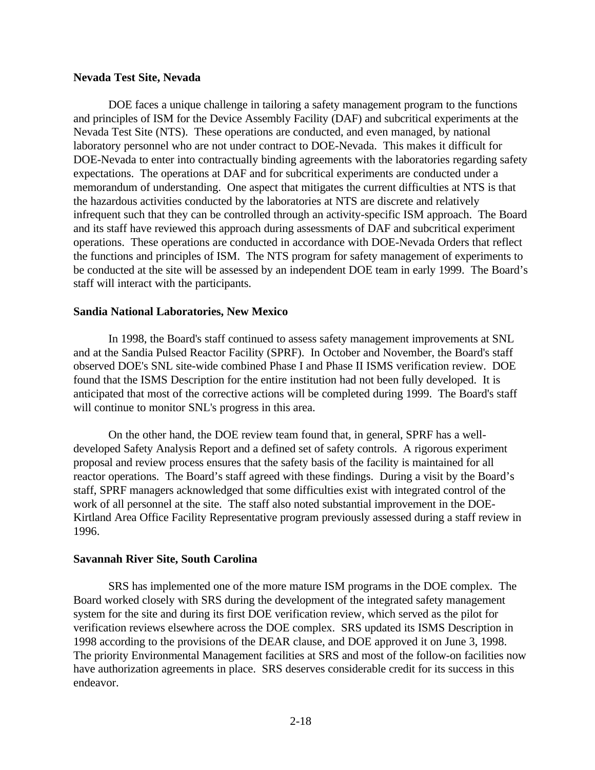### **Nevada Test Site, Nevada**

DOE faces a unique challenge in tailoring a safety management program to the functions and principles of ISM for the Device Assembly Facility (DAF) and subcritical experiments at the Nevada Test Site (NTS). These operations are conducted, and even managed, by national laboratory personnel who are not under contract to DOE-Nevada. This makes it difficult for DOE-Nevada to enter into contractually binding agreements with the laboratories regarding safety expectations. The operations at DAF and for subcritical experiments are conducted under a memorandum of understanding. One aspect that mitigates the current difficulties at NTS is that the hazardous activities conducted by the laboratories at NTS are discrete and relatively infrequent such that they can be controlled through an activity-specific ISM approach. The Board and its staff have reviewed this approach during assessments of DAF and subcritical experiment operations. These operations are conducted in accordance with DOE-Nevada Orders that reflect the functions and principles of ISM. The NTS program for safety management of experiments to be conducted at the site will be assessed by an independent DOE team in early 1999. The Board's staff will interact with the participants.

## **Sandia National Laboratories, New Mexico**

In 1998, the Board's staff continued to assess safety management improvements at SNL and at the Sandia Pulsed Reactor Facility (SPRF). In October and November, the Board's staff observed DOE's SNL site-wide combined Phase I and Phase II ISMS verification review. DOE found that the ISMS Description for the entire institution had not been fully developed. It is anticipated that most of the corrective actions will be completed during 1999. The Board's staff will continue to monitor SNL's progress in this area.

On the other hand, the DOE review team found that, in general, SPRF has a welldeveloped Safety Analysis Report and a defined set of safety controls. A rigorous experiment proposal and review process ensures that the safety basis of the facility is maintained for all reactor operations. The Board's staff agreed with these findings. During a visit by the Board's staff, SPRF managers acknowledged that some difficulties exist with integrated control of the work of all personnel at the site. The staff also noted substantial improvement in the DOE-Kirtland Area Office Facility Representative program previously assessed during a staff review in 1996.

## **Savannah River Site, South Carolina**

SRS has implemented one of the more mature ISM programs in the DOE complex. The Board worked closely with SRS during the development of the integrated safety management system for the site and during its first DOE verification review, which served as the pilot for verification reviews elsewhere across the DOE complex. SRS updated its ISMS Description in 1998 according to the provisions of the DEAR clause, and DOE approved it on June 3, 1998. The priority Environmental Management facilities at SRS and most of the follow-on facilities now have authorization agreements in place. SRS deserves considerable credit for its success in this endeavor.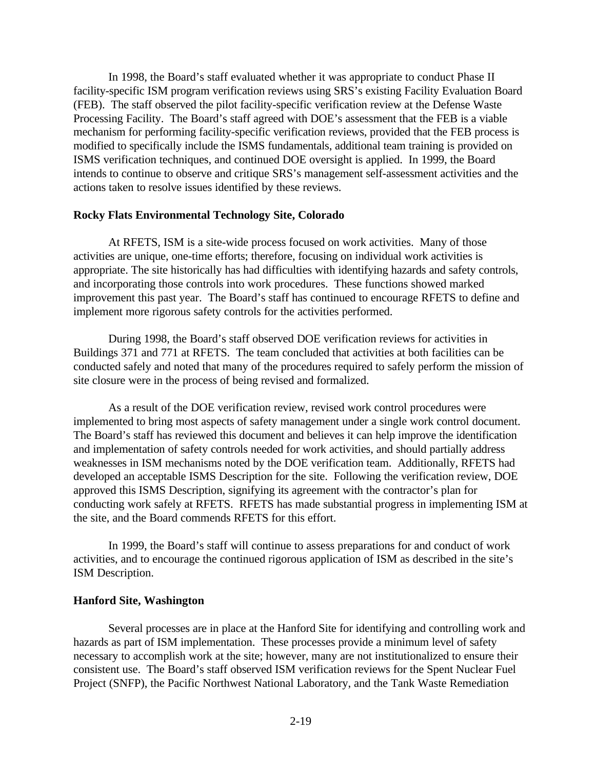In 1998, the Board's staff evaluated whether it was appropriate to conduct Phase II facility-specific ISM program verification reviews using SRS's existing Facility Evaluation Board (FEB). The staff observed the pilot facility-specific verification review at the Defense Waste Processing Facility. The Board's staff agreed with DOE's assessment that the FEB is a viable mechanism for performing facility-specific verification reviews, provided that the FEB process is modified to specifically include the ISMS fundamentals, additional team training is provided on ISMS verification techniques, and continued DOE oversight is applied. In 1999, the Board intends to continue to observe and critique SRS's management self-assessment activities and the actions taken to resolve issues identified by these reviews.

### **Rocky Flats Environmental Technology Site, Colorado**

At RFETS, ISM is a site-wide process focused on work activities. Many of those activities are unique, one-time efforts; therefore, focusing on individual work activities is appropriate. The site historically has had difficulties with identifying hazards and safety controls, and incorporating those controls into work procedures. These functions showed marked improvement this past year. The Board's staff has continued to encourage RFETS to define and implement more rigorous safety controls for the activities performed.

During 1998, the Board's staff observed DOE verification reviews for activities in Buildings 371 and 771 at RFETS. The team concluded that activities at both facilities can be conducted safely and noted that many of the procedures required to safely perform the mission of site closure were in the process of being revised and formalized.

As a result of the DOE verification review, revised work control procedures were implemented to bring most aspects of safety management under a single work control document. The Board's staff has reviewed this document and believes it can help improve the identification and implementation of safety controls needed for work activities, and should partially address weaknesses in ISM mechanisms noted by the DOE verification team. Additionally, RFETS had developed an acceptable ISMS Description for the site. Following the verification review, DOE approved this ISMS Description, signifying its agreement with the contractor's plan for conducting work safely at RFETS. RFETS has made substantial progress in implementing ISM at the site, and the Board commends RFETS for this effort.

In 1999, the Board's staff will continue to assess preparations for and conduct of work activities, and to encourage the continued rigorous application of ISM as described in the site's ISM Description.

## **Hanford Site, Washington**

Several processes are in place at the Hanford Site for identifying and controlling work and hazards as part of ISM implementation. These processes provide a minimum level of safety necessary to accomplish work at the site; however, many are not institutionalized to ensure their consistent use. The Board's staff observed ISM verification reviews for the Spent Nuclear Fuel Project (SNFP), the Pacific Northwest National Laboratory, and the Tank Waste Remediation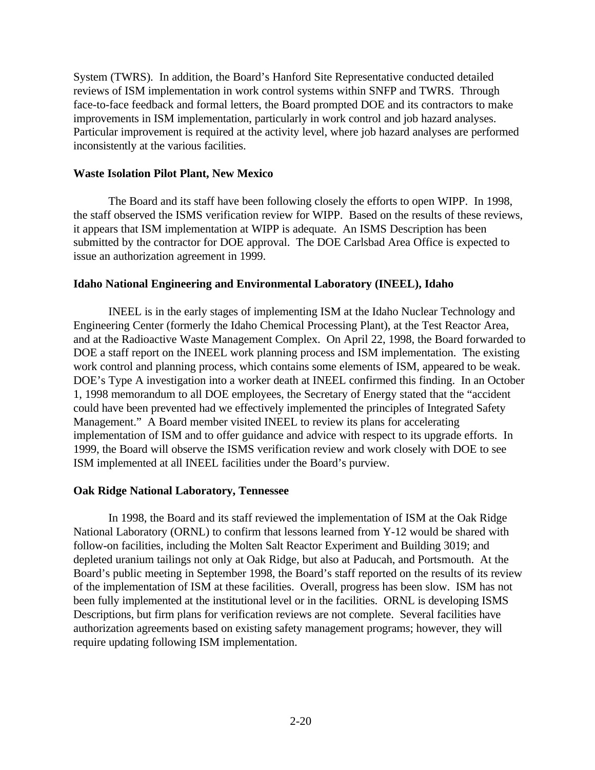System (TWRS). In addition, the Board's Hanford Site Representative conducted detailed reviews of ISM implementation in work control systems within SNFP and TWRS. Through face-to-face feedback and formal letters, the Board prompted DOE and its contractors to make improvements in ISM implementation, particularly in work control and job hazard analyses. Particular improvement is required at the activity level, where job hazard analyses are performed inconsistently at the various facilities.

## **Waste Isolation Pilot Plant, New Mexico**

The Board and its staff have been following closely the efforts to open WIPP. In 1998, the staff observed the ISMS verification review for WIPP. Based on the results of these reviews, it appears that ISM implementation at WIPP is adequate. An ISMS Description has been submitted by the contractor for DOE approval. The DOE Carlsbad Area Office is expected to issue an authorization agreement in 1999.

## **Idaho National Engineering and Environmental Laboratory (INEEL), Idaho**

INEEL is in the early stages of implementing ISM at the Idaho Nuclear Technology and Engineering Center (formerly the Idaho Chemical Processing Plant), at the Test Reactor Area, and at the Radioactive Waste Management Complex. On April 22, 1998, the Board forwarded to DOE a staff report on the INEEL work planning process and ISM implementation. The existing work control and planning process, which contains some elements of ISM, appeared to be weak. DOE's Type A investigation into a worker death at INEEL confirmed this finding. In an October 1, 1998 memorandum to all DOE employees, the Secretary of Energy stated that the "accident could have been prevented had we effectively implemented the principles of Integrated Safety Management." A Board member visited INEEL to review its plans for accelerating implementation of ISM and to offer guidance and advice with respect to its upgrade efforts. In 1999, the Board will observe the ISMS verification review and work closely with DOE to see ISM implemented at all INEEL facilities under the Board's purview.

## **Oak Ridge National Laboratory, Tennessee**

In 1998, the Board and its staff reviewed the implementation of ISM at the Oak Ridge National Laboratory (ORNL) to confirm that lessons learned from Y-12 would be shared with follow-on facilities, including the Molten Salt Reactor Experiment and Building 3019; and depleted uranium tailings not only at Oak Ridge, but also at Paducah, and Portsmouth. At the Board's public meeting in September 1998, the Board's staff reported on the results of its review of the implementation of ISM at these facilities. Overall, progress has been slow. ISM has not been fully implemented at the institutional level or in the facilities. ORNL is developing ISMS Descriptions, but firm plans for verification reviews are not complete. Several facilities have authorization agreements based on existing safety management programs; however, they will require updating following ISM implementation.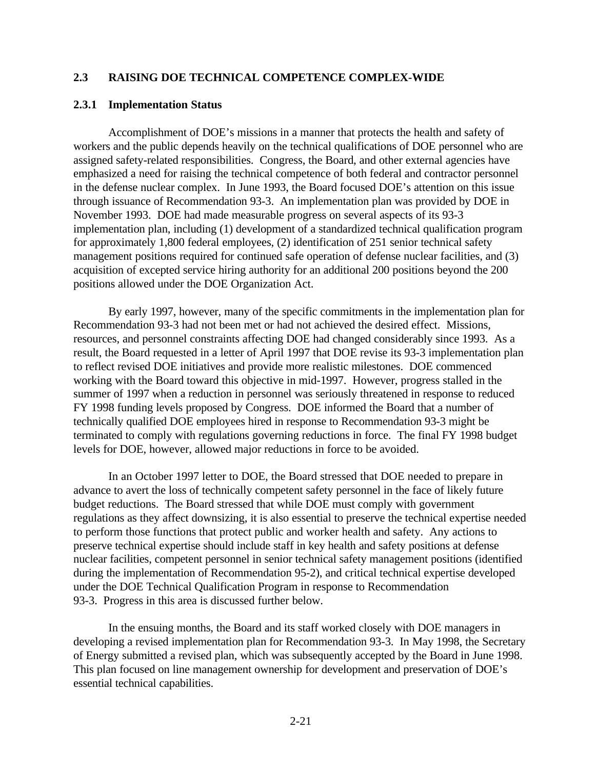## **2.3 RAISING DOE TECHNICAL COMPETENCE COMPLEX-WIDE**

#### **2.3.1 Implementation Status**

Accomplishment of DOE's missions in a manner that protects the health and safety of workers and the public depends heavily on the technical qualifications of DOE personnel who are assigned safety-related responsibilities. Congress, the Board, and other external agencies have emphasized a need for raising the technical competence of both federal and contractor personnel in the defense nuclear complex. In June 1993, the Board focused DOE's attention on this issue through issuance of Recommendation 93-3. An implementation plan was provided by DOE in November 1993. DOE had made measurable progress on several aspects of its 93-3 implementation plan, including (1) development of a standardized technical qualification program for approximately 1,800 federal employees, (2) identification of 251 senior technical safety management positions required for continued safe operation of defense nuclear facilities, and (3) acquisition of excepted service hiring authority for an additional 200 positions beyond the 200 positions allowed under the DOE Organization Act.

By early 1997, however, many of the specific commitments in the implementation plan for Recommendation 93-3 had not been met or had not achieved the desired effect. Missions, resources, and personnel constraints affecting DOE had changed considerably since 1993. As a result, the Board requested in a letter of April 1997 that DOE revise its 93-3 implementation plan to reflect revised DOE initiatives and provide more realistic milestones. DOE commenced working with the Board toward this objective in mid-1997. However, progress stalled in the summer of 1997 when a reduction in personnel was seriously threatened in response to reduced FY 1998 funding levels proposed by Congress. DOE informed the Board that a number of technically qualified DOE employees hired in response to Recommendation 93-3 might be terminated to comply with regulations governing reductions in force. The final FY 1998 budget levels for DOE, however, allowed major reductions in force to be avoided.

In an October 1997 letter to DOE, the Board stressed that DOE needed to prepare in advance to avert the loss of technically competent safety personnel in the face of likely future budget reductions. The Board stressed that while DOE must comply with government regulations as they affect downsizing, it is also essential to preserve the technical expertise needed to perform those functions that protect public and worker health and safety. Any actions to preserve technical expertise should include staff in key health and safety positions at defense nuclear facilities, competent personnel in senior technical safety management positions (identified during the implementation of Recommendation 95-2), and critical technical expertise developed under the DOE Technical Qualification Program in response to Recommendation 93-3. Progress in this area is discussed further below.

In the ensuing months, the Board and its staff worked closely with DOE managers in developing a revised implementation plan for Recommendation 93-3. In May 1998, the Secretary of Energy submitted a revised plan, which was subsequently accepted by the Board in June 1998. This plan focused on line management ownership for development and preservation of DOE's essential technical capabilities.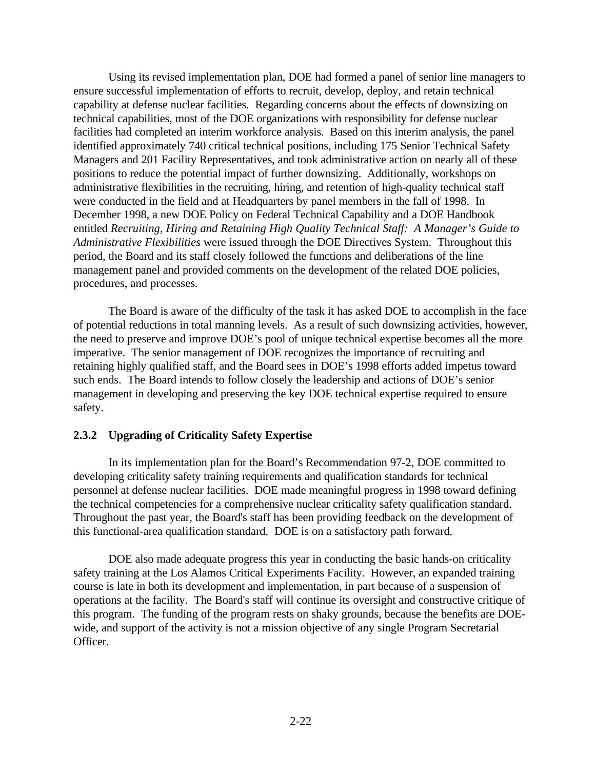Using its revised implementation plan, DOE had formed a panel of senior line managers to ensure successful implementation of efforts to recruit, develop, deploy, and retain technical capability at defense nuclear facilities. Regarding concerns about the effects of downsizing on technical capabilities, most of the DOE organizations with responsibility for defense nuclear facilities had completed an interim workforce analysis. Based on this interim analysis, the panel identified approximately 740 critical technical positions, including 175 Senior Technical Safety Managers and 201 Facility Representatives, and took administrative action on nearly all of these positions to reduce the potential impact of further downsizing. Additionally, workshops on administrative flexibilities in the recruiting, hiring, and retention of high-quality technical staff were conducted in the field and at Headquarters by panel members in the fall of 1998. In December 1998, a new DOE Policy on Federal Technical Capability and a DOE Handbook entitled *Recruiting, Hiring and Retaining High Quality Technical Staff: A Manager's Guide to Administrative Flexibilities* were issued through the DOE Directives System. Throughout this period, the Board and its staff closely followed the functions and deliberations of the line management panel and provided comments on the development of the related DOE policies, procedures, and processes.

The Board is aware of the difficulty of the task it has asked DOE to accomplish in the face of potential reductions in total manning levels. As a result of such downsizing activities, however, the need to preserve and improve DOE's pool of unique technical expertise becomes all the more imperative. The senior management of DOE recognizes the importance of recruiting and retaining highly qualified staff, and the Board sees in DOE's 1998 efforts added impetus toward such ends. The Board intends to follow closely the leadership and actions of DOE's senior management in developing and preserving the key DOE technical expertise required to ensure safety.

# **2.3.2 Upgrading of Criticality Safety Expertise**

In its implementation plan for the Board's Recommendation 97-2, DOE committed to developing criticality safety training requirements and qualification standards for technical personnel at defense nuclear facilities. DOE made meaningful progress in 1998 toward defining the technical competencies for a comprehensive nuclear criticality safety qualification standard. Throughout the past year, the Board's staff has been providing feedback on the development of this functional-area qualification standard. DOE is on a satisfactory path forward.

DOE also made adequate progress this year in conducting the basic hands-on criticality safety training at the Los Alamos Critical Experiments Facility. However, an expanded training course is late in both its development and implementation, in part because of a suspension of operations at the facility. The Board's staff will continue its oversight and constructive critique of this program. The funding of the program rests on shaky grounds, because the benefits are DOEwide, and support of the activity is not a mission objective of any single Program Secretarial Officer.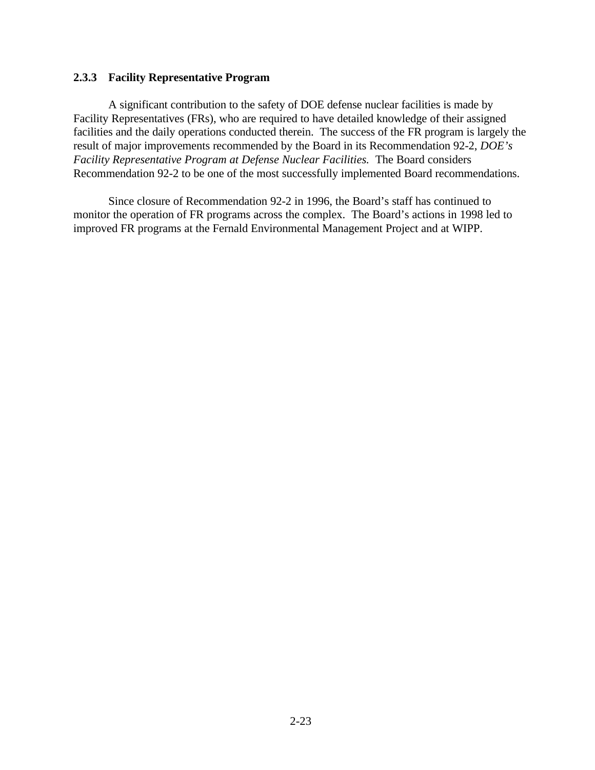## **2.3.3 Facility Representative Program**

A significant contribution to the safety of DOE defense nuclear facilities is made by Facility Representatives (FRs), who are required to have detailed knowledge of their assigned facilities and the daily operations conducted therein. The success of the FR program is largely the result of major improvements recommended by the Board in its Recommendation 92-2, *DOE's Facility Representative Program at Defense Nuclear Facilities.* The Board considers Recommendation 92-2 to be one of the most successfully implemented Board recommendations.

Since closure of Recommendation 92-2 in 1996, the Board's staff has continued to monitor the operation of FR programs across the complex. The Board's actions in 1998 led to improved FR programs at the Fernald Environmental Management Project and at WIPP.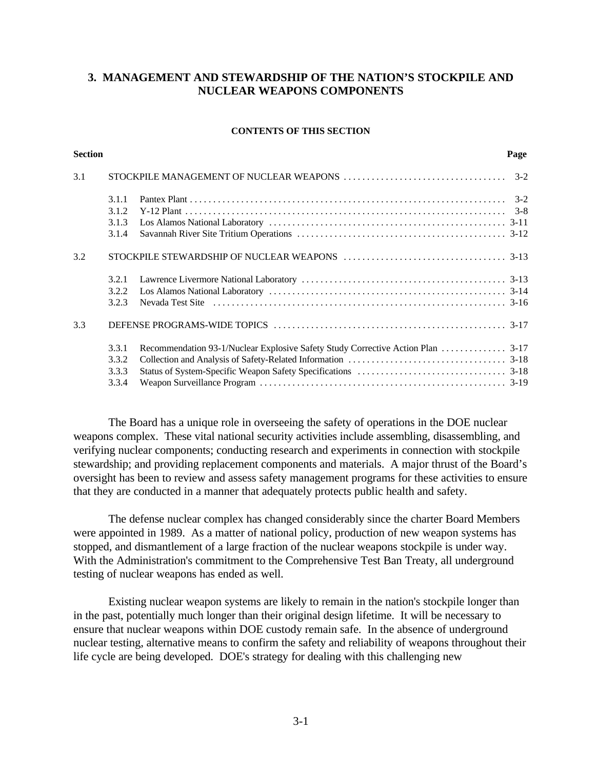## **3. MANAGEMENT AND STEWARDSHIP OF THE NATION'S STOCKPILE AND NUCLEAR WEAPONS COMPONENTS**

#### **CONTENTS OF THIS SECTION**

| <b>Section</b> |       | Page |
|----------------|-------|------|
| 3.1            |       |      |
|                | 3.1.1 |      |
|                | 3.1.2 |      |
|                | 3.1.3 |      |
|                | 3.1.4 |      |
| 3.2            |       |      |
|                | 3.2.1 |      |
|                | 3.2.2 |      |
|                | 3.2.3 |      |
| 3.3            |       |      |
|                | 3.3.1 |      |
|                | 3.3.2 |      |
|                | 3.3.3 |      |
|                | 3.3.4 |      |
|                |       |      |

The Board has a unique role in overseeing the safety of operations in the DOE nuclear weapons complex. These vital national security activities include assembling, disassembling, and verifying nuclear components; conducting research and experiments in connection with stockpile stewardship; and providing replacement components and materials. A major thrust of the Board's oversight has been to review and assess safety management programs for these activities to ensure that they are conducted in a manner that adequately protects public health and safety.

The defense nuclear complex has changed considerably since the charter Board Members were appointed in 1989. As a matter of national policy, production of new weapon systems has stopped, and dismantlement of a large fraction of the nuclear weapons stockpile is under way. With the Administration's commitment to the Comprehensive Test Ban Treaty, all underground testing of nuclear weapons has ended as well.

Existing nuclear weapon systems are likely to remain in the nation's stockpile longer than in the past, potentially much longer than their original design lifetime. It will be necessary to ensure that nuclear weapons within DOE custody remain safe. In the absence of underground nuclear testing, alternative means to confirm the safety and reliability of weapons throughout their life cycle are being developed. DOE's strategy for dealing with this challenging new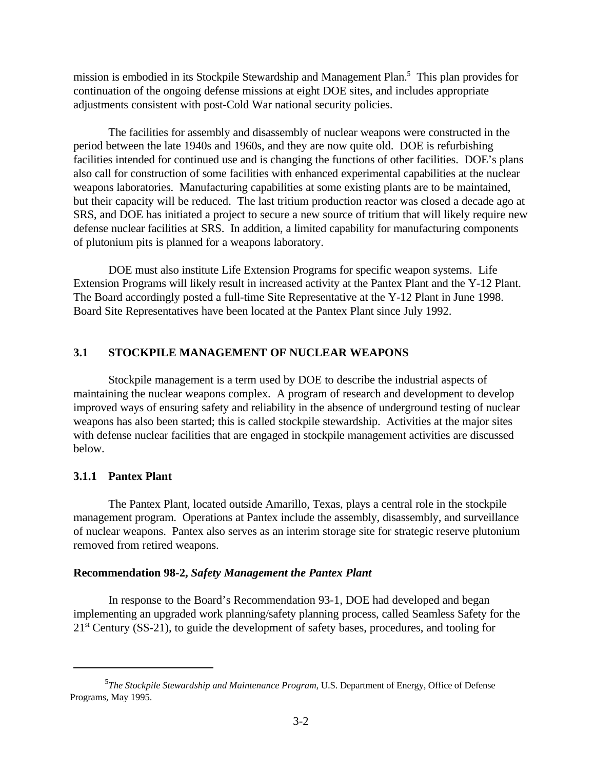mission is embodied in its Stockpile Stewardship and Management Plan.<sup>5</sup> This plan provides for continuation of the ongoing defense missions at eight DOE sites, and includes appropriate adjustments consistent with post-Cold War national security policies.

The facilities for assembly and disassembly of nuclear weapons were constructed in the period between the late 1940s and 1960s, and they are now quite old. DOE is refurbishing facilities intended for continued use and is changing the functions of other facilities. DOE's plans also call for construction of some facilities with enhanced experimental capabilities at the nuclear weapons laboratories. Manufacturing capabilities at some existing plants are to be maintained, but their capacity will be reduced. The last tritium production reactor was closed a decade ago at SRS, and DOE has initiated a project to secure a new source of tritium that will likely require new defense nuclear facilities at SRS. In addition, a limited capability for manufacturing components of plutonium pits is planned for a weapons laboratory.

DOE must also institute Life Extension Programs for specific weapon systems. Life Extension Programs will likely result in increased activity at the Pantex Plant and the Y-12 Plant. The Board accordingly posted a full-time Site Representative at the Y-12 Plant in June 1998. Board Site Representatives have been located at the Pantex Plant since July 1992.

## **3.1 STOCKPILE MANAGEMENT OF NUCLEAR WEAPONS**

Stockpile management is a term used by DOE to describe the industrial aspects of maintaining the nuclear weapons complex. A program of research and development to develop improved ways of ensuring safety and reliability in the absence of underground testing of nuclear weapons has also been started; this is called stockpile stewardship. Activities at the major sites with defense nuclear facilities that are engaged in stockpile management activities are discussed below.

## **3.1.1 Pantex Plant**

The Pantex Plant, located outside Amarillo, Texas, plays a central role in the stockpile management program. Operations at Pantex include the assembly, disassembly, and surveillance of nuclear weapons. Pantex also serves as an interim storage site for strategic reserve plutonium removed from retired weapons.

#### **Recommendation 98-2,** *Safety Management the Pantex Plant*

In response to the Board's Recommendation 93-1*,* DOE had developed and began implementing an upgraded work planning/safety planning process, called Seamless Safety for the  $21<sup>st</sup>$  Century (SS-21), to guide the development of safety bases, procedures, and tooling for

<sup>&</sup>lt;sup>5</sup>The Stockpile Stewardship and Maintenance Program, U.S. Department of Energy, Office of Defense Programs, May 1995.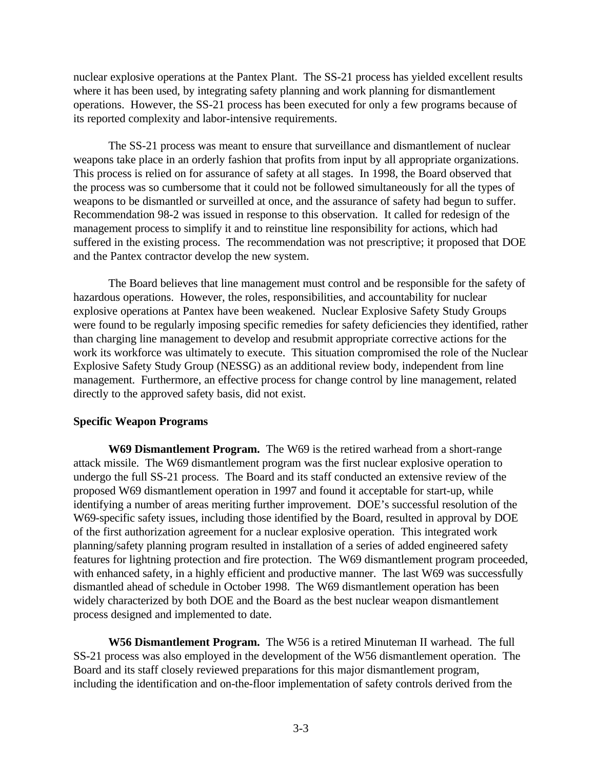nuclear explosive operations at the Pantex Plant. The SS-21 process has yielded excellent results where it has been used, by integrating safety planning and work planning for dismantlement operations. However, the SS-21 process has been executed for only a few programs because of its reported complexity and labor-intensive requirements.

The SS-21 process was meant to ensure that surveillance and dismantlement of nuclear weapons take place in an orderly fashion that profits from input by all appropriate organizations. This process is relied on for assurance of safety at all stages. In 1998, the Board observed that the process was so cumbersome that it could not be followed simultaneously for all the types of weapons to be dismantled or surveilled at once, and the assurance of safety had begun to suffer. Recommendation 98-2 was issued in response to this observation. It called for redesign of the management process to simplify it and to reinstitue line responsibility for actions, which had suffered in the existing process. The recommendation was not prescriptive; it proposed that DOE and the Pantex contractor develop the new system.

The Board believes that line management must control and be responsible for the safety of hazardous operations. However, the roles, responsibilities, and accountability for nuclear explosive operations at Pantex have been weakened. Nuclear Explosive Safety Study Groups were found to be regularly imposing specific remedies for safety deficiencies they identified, rather than charging line management to develop and resubmit appropriate corrective actions for the work its workforce was ultimately to execute. This situation compromised the role of the Nuclear Explosive Safety Study Group (NESSG) as an additional review body, independent from line management. Furthermore, an effective process for change control by line management, related directly to the approved safety basis, did not exist.

## **Specific Weapon Programs**

**W69 Dismantlement Program.** The W69 is the retired warhead from a short-range attack missile. The W69 dismantlement program was the first nuclear explosive operation to undergo the full SS-21 process. The Board and its staff conducted an extensive review of the proposed W69 dismantlement operation in 1997 and found it acceptable for start-up, while identifying a number of areas meriting further improvement. DOE's successful resolution of the W69-specific safety issues, including those identified by the Board, resulted in approval by DOE of the first authorization agreement for a nuclear explosive operation. This integrated work planning/safety planning program resulted in installation of a series of added engineered safety features for lightning protection and fire protection. The W69 dismantlement program proceeded, with enhanced safety, in a highly efficient and productive manner. The last W69 was successfully dismantled ahead of schedule in October 1998. The W69 dismantlement operation has been widely characterized by both DOE and the Board as the best nuclear weapon dismantlement process designed and implemented to date.

**W56 Dismantlement Program.** The W56 is a retired Minuteman II warhead. The full SS-21 process was also employed in the development of the W56 dismantlement operation. The Board and its staff closely reviewed preparations for this major dismantlement program, including the identification and on-the-floor implementation of safety controls derived from the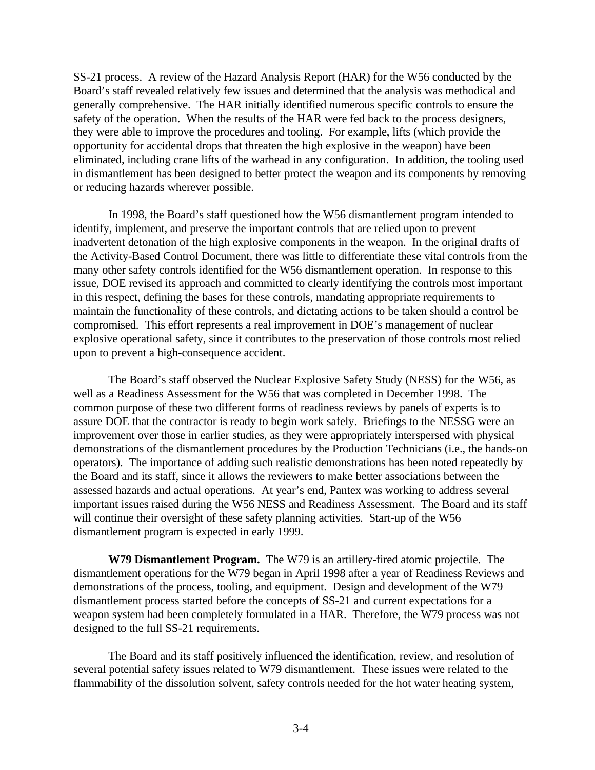SS-21 process. A review of the Hazard Analysis Report (HAR) for the W56 conducted by the Board's staff revealed relatively few issues and determined that the analysis was methodical and generally comprehensive. The HAR initially identified numerous specific controls to ensure the safety of the operation. When the results of the HAR were fed back to the process designers, they were able to improve the procedures and tooling. For example, lifts (which provide the opportunity for accidental drops that threaten the high explosive in the weapon) have been eliminated, including crane lifts of the warhead in any configuration. In addition, the tooling used in dismantlement has been designed to better protect the weapon and its components by removing or reducing hazards wherever possible.

In 1998, the Board's staff questioned how the W56 dismantlement program intended to identify, implement, and preserve the important controls that are relied upon to prevent inadvertent detonation of the high explosive components in the weapon. In the original drafts of the Activity-Based Control Document, there was little to differentiate these vital controls from the many other safety controls identified for the W56 dismantlement operation. In response to this issue, DOE revised its approach and committed to clearly identifying the controls most important in this respect, defining the bases for these controls, mandating appropriate requirements to maintain the functionality of these controls, and dictating actions to be taken should a control be compromised. This effort represents a real improvement in DOE's management of nuclear explosive operational safety, since it contributes to the preservation of those controls most relied upon to prevent a high-consequence accident.

The Board's staff observed the Nuclear Explosive Safety Study (NESS) for the W56, as well as a Readiness Assessment for the W56 that was completed in December 1998. The common purpose of these two different forms of readiness reviews by panels of experts is to assure DOE that the contractor is ready to begin work safely. Briefings to the NESSG were an improvement over those in earlier studies, as they were appropriately interspersed with physical demonstrations of the dismantlement procedures by the Production Technicians (i.e., the hands-on operators). The importance of adding such realistic demonstrations has been noted repeatedly by the Board and its staff, since it allows the reviewers to make better associations between the assessed hazards and actual operations.At year's end, Pantex was working to address several important issues raised during the W56 NESS and Readiness Assessment. The Board and its staff will continue their oversight of these safety planning activities. Start-up of the W56 dismantlement program is expected in early 1999.

**W79 Dismantlement Program.** The W79 is an artillery-fired atomic projectile. The dismantlement operations for the W79 began in April 1998 after a year of Readiness Reviews and demonstrations of the process, tooling, and equipment. Design and development of the W79 dismantlement process started before the concepts of SS-21 and current expectations for a weapon system had been completely formulated in a HAR. Therefore, the W79 process was not designed to the full SS-21 requirements.

The Board and its staff positively influenced the identification, review, and resolution of several potential safety issues related to W79 dismantlement. These issues were related to the flammability of the dissolution solvent, safety controls needed for the hot water heating system,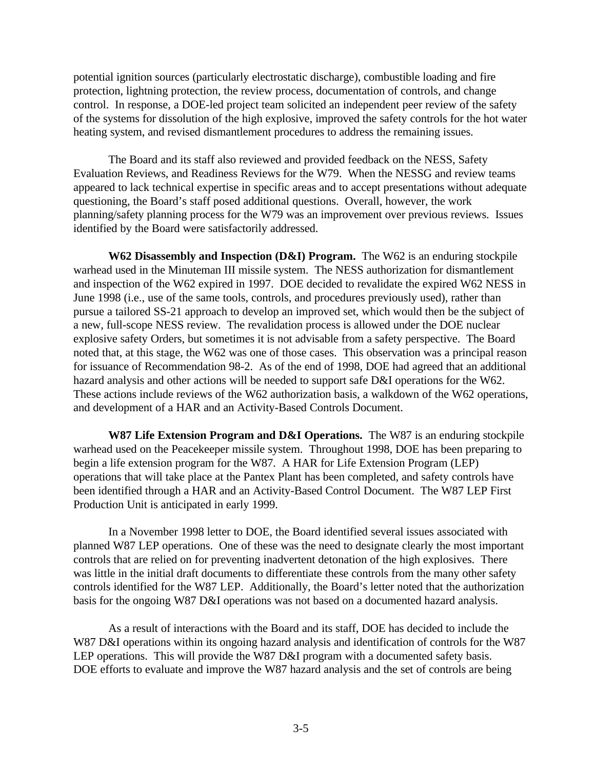potential ignition sources (particularly electrostatic discharge), combustible loading and fire protection, lightning protection, the review process, documentation of controls, and change control. In response, a DOE-led project team solicited an independent peer review of the safety of the systems for dissolution of the high explosive, improved the safety controls for the hot water heating system, and revised dismantlement procedures to address the remaining issues.

The Board and its staff also reviewed and provided feedback on the NESS, Safety Evaluation Reviews, and Readiness Reviews for the W79. When the NESSG and review teams appeared to lack technical expertise in specific areas and to accept presentations without adequate questioning, the Board's staff posed additional questions. Overall, however, the work planning/safety planning process for the W79 was an improvement over previous reviews. Issues identified by the Board were satisfactorily addressed.

**W62 Disassembly and Inspection (D&I) Program.** The W62 is an enduring stockpile warhead used in the Minuteman III missile system. The NESS authorization for dismantlement and inspection of the W62 expired in 1997. DOE decided to revalidate the expired W62 NESS in June 1998 (i.e., use of the same tools, controls, and procedures previously used), rather than pursue a tailored SS-21 approach to develop an improved set, which would then be the subject of a new, full-scope NESS review. The revalidation process is allowed under the DOE nuclear explosive safety Orders, but sometimes it is not advisable from a safety perspective. The Board noted that, at this stage, the W62 was one of those cases. This observation was a principal reason for issuance of Recommendation 98-2. As of the end of 1998, DOE had agreed that an additional hazard analysis and other actions will be needed to support safe D&I operations for the W62. These actions include reviews of the W62 authorization basis, a walkdown of the W62 operations, and development of a HAR and an Activity-Based Controls Document.

**W87 Life Extension Program and D&I Operations.** The W87 is an enduring stockpile warhead used on the Peacekeeper missile system. Throughout 1998, DOE has been preparing to begin a life extension program for the W87. A HAR for Life Extension Program (LEP) operations that will take place at the Pantex Plant has been completed, and safety controls have been identified through a HAR and an Activity-Based Control Document. The W87 LEP First Production Unit is anticipated in early 1999.

In a November 1998 letter to DOE, the Board identified several issues associated with planned W87 LEP operations. One of these was the need to designate clearly the most important controls that are relied on for preventing inadvertent detonation of the high explosives. There was little in the initial draft documents to differentiate these controls from the many other safety controls identified for the W87 LEP. Additionally, the Board's letter noted that the authorization basis for the ongoing W87 D&I operations was not based on a documented hazard analysis.

As a result of interactions with the Board and its staff, DOE has decided to include the W87 D&I operations within its ongoing hazard analysis and identification of controls for the W87 LEP operations. This will provide the W87 D&I program with a documented safety basis. DOE efforts to evaluate and improve the W87 hazard analysis and the set of controls are being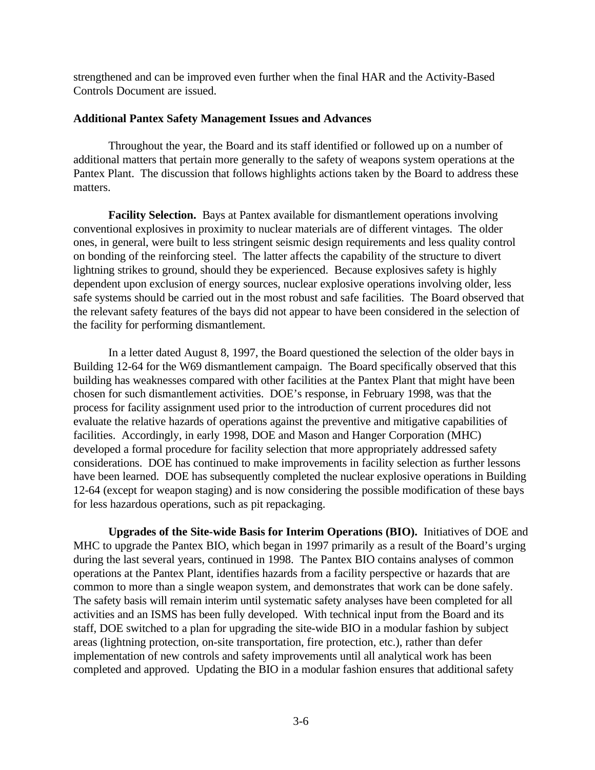strengthened and can be improved even further when the final HAR and the Activity-Based Controls Document are issued.

### **Additional Pantex Safety Management Issues and Advances**

Throughout the year, the Board and its staff identified or followed up on a number of additional matters that pertain more generally to the safety of weapons system operations at the Pantex Plant. The discussion that follows highlights actions taken by the Board to address these matters.

**Facility Selection.** Bays at Pantex available for dismantlement operations involving conventional explosives in proximity to nuclear materials are of different vintages. The older ones, in general, were built to less stringent seismic design requirements and less quality control on bonding of the reinforcing steel. The latter affects the capability of the structure to divert lightning strikes to ground, should they be experienced. Because explosives safety is highly dependent upon exclusion of energy sources, nuclear explosive operations involving older, less safe systems should be carried out in the most robust and safe facilities. The Board observed that the relevant safety features of the bays did not appear to have been considered in the selection of the facility for performing dismantlement.

In a letter dated August 8, 1997, the Board questioned the selection of the older bays in Building 12-64 for the W69 dismantlement campaign. The Board specifically observed that this building has weaknesses compared with other facilities at the Pantex Plant that might have been chosen for such dismantlement activities. DOE's response, in February 1998, was that the process for facility assignment used prior to the introduction of current procedures did not evaluate the relative hazards of operations against the preventive and mitigative capabilities of facilities. Accordingly, in early 1998, DOE and Mason and Hanger Corporation (MHC) developed a formal procedure for facility selection that more appropriately addressed safety considerations. DOE has continued to make improvements in facility selection as further lessons have been learned. DOE has subsequently completed the nuclear explosive operations in Building 12-64 (except for weapon staging) and is now considering the possible modification of these bays for less hazardous operations, such as pit repackaging.

**Upgrades of the Site-wide Basis for Interim Operations (BIO).** Initiatives of DOE and MHC to upgrade the Pantex BIO, which began in 1997 primarily as a result of the Board's urging during the last several years, continued in 1998. The Pantex BIO contains analyses of common operations at the Pantex Plant, identifies hazards from a facility perspective or hazards that are common to more than a single weapon system, and demonstrates that work can be done safely. The safety basis will remain interim until systematic safety analyses have been completed for all activities and an ISMS has been fully developed. With technical input from the Board and its staff, DOE switched to a plan for upgrading the site-wide BIO in a modular fashion by subject areas (lightning protection, on-site transportation, fire protection, etc.), rather than defer implementation of new controls and safety improvements until all analytical work has been completed and approved. Updating the BIO in a modular fashion ensures that additional safety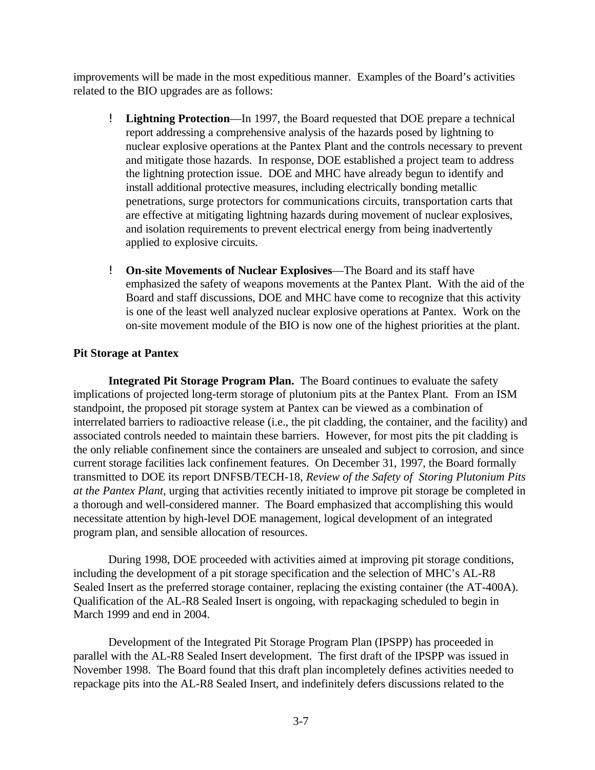improvements will be made in the most expeditious manner. Examples of the Board's activities related to the BIO upgrades are as follows:

- ! **Lightning Protection**—In 1997, the Board requested that DOE prepare a technical report addressing a comprehensive analysis of the hazards posed by lightning to nuclear explosive operations at the Pantex Plant and the controls necessary to prevent and mitigate those hazards. In response, DOE established a project team to address the lightning protection issue. DOE and MHC have already begun to identify and install additional protective measures, including electrically bonding metallic penetrations, surge protectors for communications circuits, transportation carts that are effective at mitigating lightning hazards during movement of nuclear explosives, and isolation requirements to prevent electrical energy from being inadvertently applied to explosive circuits.
- ! **On-site Movements of Nuclear Explosives**—The Board and its staff have emphasized the safety of weapons movements at the Pantex Plant. With the aid of the Board and staff discussions, DOE and MHC have come to recognize that this activity is one of the least well analyzed nuclear explosive operations at Pantex. Work on the on-site movement module of the BIO is now one of the highest priorities at the plant.

## **Pit Storage at Pantex**

**Integrated Pit Storage Program Plan.** The Board continues to evaluate the safety implications of projected long-term storage of plutonium pits at the Pantex Plant. From an ISM standpoint, the proposed pit storage system at Pantex can be viewed as a combination of interrelated barriers to radioactive release (i.e., the pit cladding, the container, and the facility) and associated controls needed to maintain these barriers. However, for most pits the pit cladding is the only reliable confinement since the containers are unsealed and subject to corrosion, and since current storage facilities lack confinement features. On December 31, 1997, the Board formally transmitted to DOE its report DNFSB/TECH-18, *Review of the Safety of Storing Plutonium Pits at the Pantex Plant*, urging that activities recently initiated to improve pit storage be completed in a thorough and well-considered manner. The Board emphasized that accomplishing this would necessitate attention by high-level DOE management, logical development of an integrated program plan, and sensible allocation of resources.

During 1998, DOE proceeded with activities aimed at improving pit storage conditions, including the development of a pit storage specification and the selection of MHC's AL-R8 Sealed Insert as the preferred storage container, replacing the existing container (the AT-400A). Qualification of the AL-R8 Sealed Insert is ongoing, with repackaging scheduled to begin in March 1999 and end in 2004.

Development of the Integrated Pit Storage Program Plan (IPSPP) has proceeded in parallel with the AL-R8 Sealed Insert development. The first draft of the IPSPP was issued in November 1998. The Board found that this draft plan incompletely defines activities needed to repackage pits into the AL-R8 Sealed Insert, and indefinitely defers discussions related to the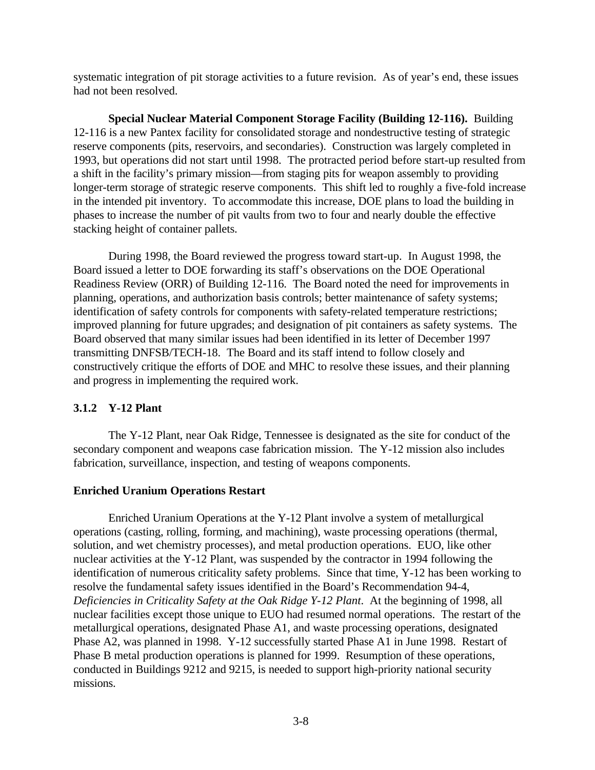systematic integration of pit storage activities to a future revision. As of year's end, these issues had not been resolved.

**Special Nuclear Material Component Storage Facility (Building 12-116).** Building 12-116 is a new Pantex facility for consolidated storage and nondestructive testing of strategic reserve components (pits, reservoirs, and secondaries). Construction was largely completed in 1993, but operations did not start until 1998. The protracted period before start-up resulted from a shift in the facility's primary mission—from staging pits for weapon assembly to providing longer-term storage of strategic reserve components. This shift led to roughly a five-fold increase in the intended pit inventory. To accommodate this increase, DOE plans to load the building in phases to increase the number of pit vaults from two to four and nearly double the effective stacking height of container pallets.

During 1998, the Board reviewed the progress toward start-up. In August 1998, the Board issued a letter to DOE forwarding its staff's observations on the DOE Operational Readiness Review (ORR) of Building 12-116. The Board noted the need for improvements in planning, operations, and authorization basis controls; better maintenance of safety systems; identification of safety controls for components with safety-related temperature restrictions; improved planning for future upgrades; and designation of pit containers as safety systems. The Board observed that many similar issues had been identified in its letter of December 1997 transmitting DNFSB/TECH-18. The Board and its staff intend to follow closely and constructively critique the efforts of DOE and MHC to resolve these issues, and their planning and progress in implementing the required work.

# **3.1.2 Y-12 Plant**

The Y-12 Plant, near Oak Ridge, Tennessee is designated as the site for conduct of the secondary component and weapons case fabrication mission. The Y-12 mission also includes fabrication, surveillance, inspection, and testing of weapons components.

## **Enriched Uranium Operations Restart**

Enriched Uranium Operations at the Y-12 Plant involve a system of metallurgical operations (casting, rolling, forming, and machining), waste processing operations (thermal, solution, and wet chemistry processes), and metal production operations. EUO, like other nuclear activities at the Y-12 Plant, was suspended by the contractor in 1994 following the identification of numerous criticality safety problems. Since that time, Y-12 has been working to resolve the fundamental safety issues identified in the Board's Recommendation 94-4, *Deficiencies in Criticality Safety at the Oak Ridge Y-12 Plant*. At the beginning of 1998, all nuclear facilities except those unique to EUO had resumed normal operations. The restart of the metallurgical operations, designated Phase A1, and waste processing operations, designated Phase A2, was planned in 1998. Y-12 successfully started Phase A1 in June 1998. Restart of Phase B metal production operations is planned for 1999. Resumption of these operations, conducted in Buildings 9212 and 9215, is needed to support high-priority national security missions.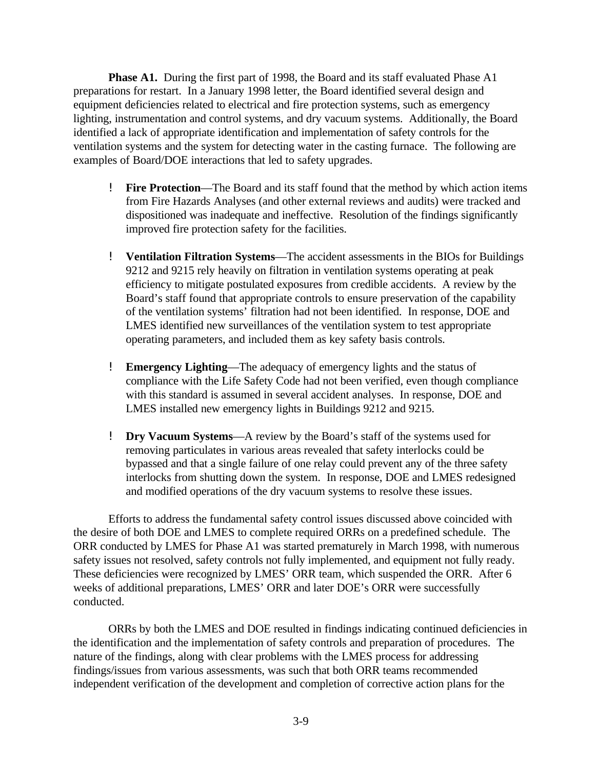**Phase A1.** During the first part of 1998, the Board and its staff evaluated Phase A1 preparations for restart. In a January 1998 letter, the Board identified several design and equipment deficiencies related to electrical and fire protection systems, such as emergency lighting, instrumentation and control systems, and dry vacuum systems. Additionally, the Board identified a lack of appropriate identification and implementation of safety controls for the ventilation systems and the system for detecting water in the casting furnace. The following are examples of Board/DOE interactions that led to safety upgrades.

- ! **Fire Protection**—The Board and its staff found that the method by which action items from Fire Hazards Analyses (and other external reviews and audits) were tracked and dispositioned was inadequate and ineffective. Resolution of the findings significantly improved fire protection safety for the facilities.
- ! **Ventilation Filtration Systems**—The accident assessments in the BIOs for Buildings 9212 and 9215 rely heavily on filtration in ventilation systems operating at peak efficiency to mitigate postulated exposures from credible accidents. A review by the Board's staff found that appropriate controls to ensure preservation of the capability of the ventilation systems' filtration had not been identified. In response, DOE and LMES identified new surveillances of the ventilation system to test appropriate operating parameters, and included them as key safety basis controls.
- ! **Emergency Lighting**—The adequacy of emergency lights and the status of compliance with the Life Safety Code had not been verified, even though compliance with this standard is assumed in several accident analyses. In response, DOE and LMES installed new emergency lights in Buildings 9212 and 9215.
- ! **Dry Vacuum Systems**—A review by the Board's staff of the systems used for removing particulates in various areas revealed that safety interlocks could be bypassed and that a single failure of one relay could prevent any of the three safety interlocks from shutting down the system. In response, DOE and LMES redesigned and modified operations of the dry vacuum systems to resolve these issues.

Efforts to address the fundamental safety control issues discussed above coincided with the desire of both DOE and LMES to complete required ORRs on a predefined schedule. The ORR conducted by LMES for Phase A1 was started prematurely in March 1998, with numerous safety issues not resolved, safety controls not fully implemented, and equipment not fully ready. These deficiencies were recognized by LMES' ORR team, which suspended the ORR. After 6 weeks of additional preparations, LMES' ORR and later DOE's ORR were successfully conducted.

ORRs by both the LMES and DOE resulted in findings indicating continued deficiencies in the identification and the implementation of safety controls and preparation of procedures. The nature of the findings, along with clear problems with the LMES process for addressing findings/issues from various assessments, was such that both ORR teams recommended independent verification of the development and completion of corrective action plans for the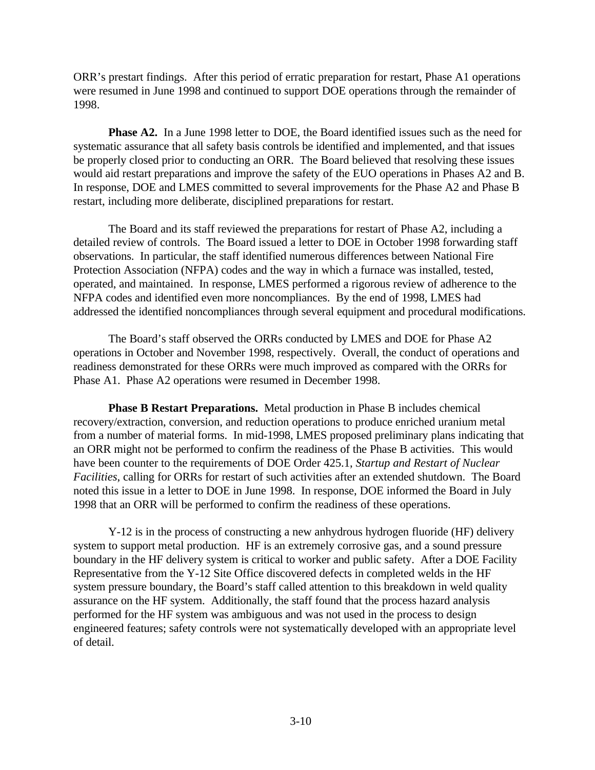ORR's prestart findings. After this period of erratic preparation for restart, Phase A1 operations were resumed in June 1998 and continued to support DOE operations through the remainder of 1998.

**Phase A2.** In a June 1998 letter to DOE, the Board identified issues such as the need for systematic assurance that all safety basis controls be identified and implemented, and that issues be properly closed prior to conducting an ORR. The Board believed that resolving these issues would aid restart preparations and improve the safety of the EUO operations in Phases A2 and B. In response, DOE and LMES committed to several improvements for the Phase A2 and Phase B restart, including more deliberate, disciplined preparations for restart.

The Board and its staff reviewed the preparations for restart of Phase A2, including a detailed review of controls. The Board issued a letter to DOE in October 1998 forwarding staff observations. In particular, the staff identified numerous differences between National Fire Protection Association (NFPA) codes and the way in which a furnace was installed, tested, operated, and maintained. In response, LMES performed a rigorous review of adherence to the NFPA codes and identified even more noncompliances. By the end of 1998, LMES had addressed the identified noncompliances through several equipment and procedural modifications.

The Board's staff observed the ORRs conducted by LMES and DOE for Phase A2 operations in October and November 1998, respectively. Overall, the conduct of operations and readiness demonstrated for these ORRs were much improved as compared with the ORRs for Phase A1. Phase A2 operations were resumed in December 1998.

**Phase B Restart Preparations.** Metal production in Phase B includes chemical recovery/extraction, conversion, and reduction operations to produce enriched uranium metal from a number of material forms. In mid-1998, LMES proposed preliminary plans indicating that an ORR might not be performed to confirm the readiness of the Phase B activities. This would have been counter to the requirements of DOE Order 425.1, *Startup and Restart of Nuclear Facilities*, calling for ORRs for restart of such activities after an extended shutdown. The Board noted this issue in a letter to DOE in June 1998. In response, DOE informed the Board in July 1998 that an ORR will be performed to confirm the readiness of these operations.

Y-12 is in the process of constructing a new anhydrous hydrogen fluoride (HF) delivery system to support metal production. HF is an extremely corrosive gas, and a sound pressure boundary in the HF delivery system is critical to worker and public safety. After a DOE Facility Representative from the Y-12 Site Office discovered defects in completed welds in the HF system pressure boundary, the Board's staff called attention to this breakdown in weld quality assurance on the HF system. Additionally, the staff found that the process hazard analysis performed for the HF system was ambiguous and was not used in the process to design engineered features; safety controls were not systematically developed with an appropriate level of detail.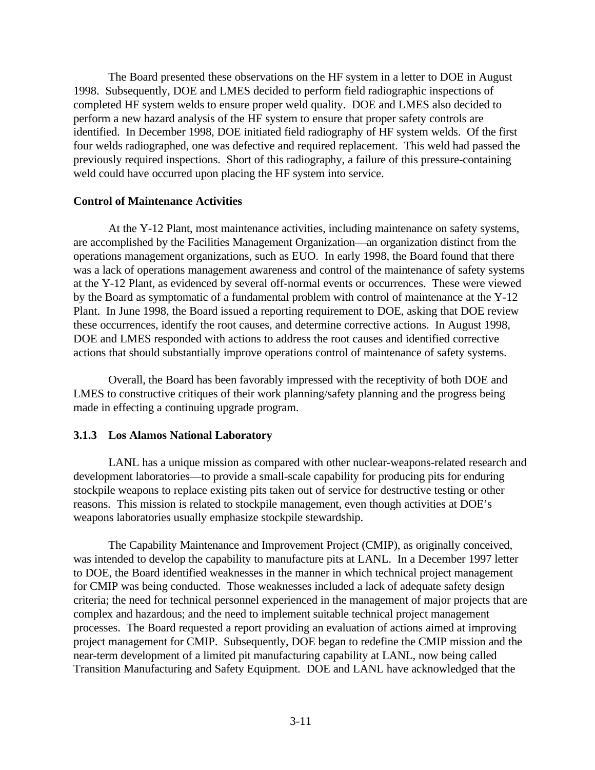The Board presented these observations on the HF system in a letter to DOE in August 1998. Subsequently, DOE and LMES decided to perform field radiographic inspections of completed HF system welds to ensure proper weld quality. DOE and LMES also decided to perform a new hazard analysis of the HF system to ensure that proper safety controls are identified. In December 1998, DOE initiated field radiography of HF system welds. Of the first four welds radiographed, one was defective and required replacement. This weld had passed the previously required inspections. Short of this radiography, a failure of this pressure-containing weld could have occurred upon placing the HF system into service.

#### **Control of Maintenance Activities**

At the Y-12 Plant, most maintenance activities, including maintenance on safety systems, are accomplished by the Facilities Management Organization—an organization distinct from the operations management organizations, such as EUO. In early 1998, the Board found that there was a lack of operations management awareness and control of the maintenance of safety systems at the Y-12 Plant, as evidenced by several off-normal events or occurrences. These were viewed by the Board as symptomatic of a fundamental problem with control of maintenance at the Y-12 Plant. In June 1998, the Board issued a reporting requirement to DOE, asking that DOE review these occurrences, identify the root causes, and determine corrective actions. In August 1998, DOE and LMES responded with actions to address the root causes and identified corrective actions that should substantially improve operations control of maintenance of safety systems.

Overall, the Board has been favorably impressed with the receptivity of both DOE and LMES to constructive critiques of their work planning/safety planning and the progress being made in effecting a continuing upgrade program.

#### **3.1.3 Los Alamos National Laboratory**

LANL has a unique mission as compared with other nuclear-weapons-related research and development laboratories—to provide a small-scale capability for producing pits for enduring stockpile weapons to replace existing pits taken out of service for destructive testing or other reasons. This mission is related to stockpile management, even though activities at DOE's weapons laboratories usually emphasize stockpile stewardship.

The Capability Maintenance and Improvement Project (CMIP), as originally conceived, was intended to develop the capability to manufacture pits at LANL. In a December 1997 letter to DOE, the Board identified weaknesses in the manner in which technical project management for CMIP was being conducted. Those weaknesses included a lack of adequate safety design criteria; the need for technical personnel experienced in the management of major projects that are complex and hazardous; and the need to implement suitable technical project management processes. The Board requested a report providing an evaluation of actions aimed at improving project management for CMIP. Subsequently, DOE began to redefine the CMIP mission and the near-term development of a limited pit manufacturing capability at LANL, now being called Transition Manufacturing and Safety Equipment. DOE and LANL have acknowledged that the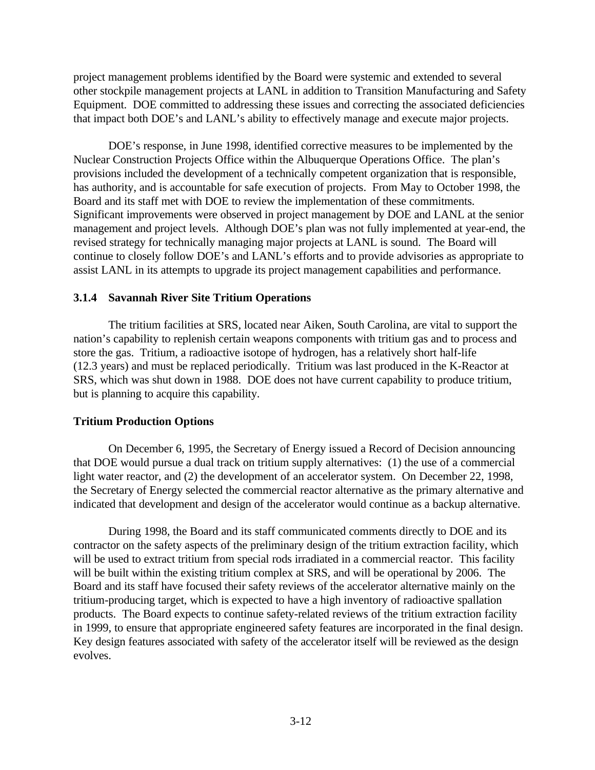project management problems identified by the Board were systemic and extended to several other stockpile management projects at LANL in addition to Transition Manufacturing and Safety Equipment. DOE committed to addressing these issues and correcting the associated deficiencies that impact both DOE's and LANL's ability to effectively manage and execute major projects.

DOE's response, in June 1998, identified corrective measures to be implemented by the Nuclear Construction Projects Office within the Albuquerque Operations Office. The plan's provisions included the development of a technically competent organization that is responsible, has authority, and is accountable for safe execution of projects. From May to October 1998, the Board and its staff met with DOE to review the implementation of these commitments. Significant improvements were observed in project management by DOE and LANL at the senior management and project levels. Although DOE's plan was not fully implemented at year-end, the revised strategy for technically managing major projects at LANL is sound. The Board will continue to closely follow DOE's and LANL's efforts and to provide advisories as appropriate to assist LANL in its attempts to upgrade its project management capabilities and performance.

### **3.1.4 Savannah River Site Tritium Operations**

The tritium facilities at SRS, located near Aiken, South Carolina, are vital to support the nation's capability to replenish certain weapons components with tritium gas and to process and store the gas. Tritium, a radioactive isotope of hydrogen, has a relatively short half-life (12.3 years) and must be replaced periodically. Tritium was last produced in the K-Reactor at SRS, which was shut down in 1988. DOE does not have current capability to produce tritium, but is planning to acquire this capability.

#### **Tritium Production Options**

On December 6, 1995, the Secretary of Energy issued a Record of Decision announcing that DOE would pursue a dual track on tritium supply alternatives: (1) the use of a commercial light water reactor, and (2) the development of an accelerator system. On December 22, 1998, the Secretary of Energy selected the commercial reactor alternative as the primary alternative and indicated that development and design of the accelerator would continue as a backup alternative.

During 1998, the Board and its staff communicated comments directly to DOE and its contractor on the safety aspects of the preliminary design of the tritium extraction facility, which will be used to extract tritium from special rods irradiated in a commercial reactor. This facility will be built within the existing tritium complex at SRS, and will be operational by 2006. The Board and its staff have focused their safety reviews of the accelerator alternative mainly on the tritium-producing target, which is expected to have a high inventory of radioactive spallation products. The Board expects to continue safety-related reviews of the tritium extraction facility in 1999, to ensure that appropriate engineered safety features are incorporated in the final design. Key design features associated with safety of the accelerator itself will be reviewed as the design evolves.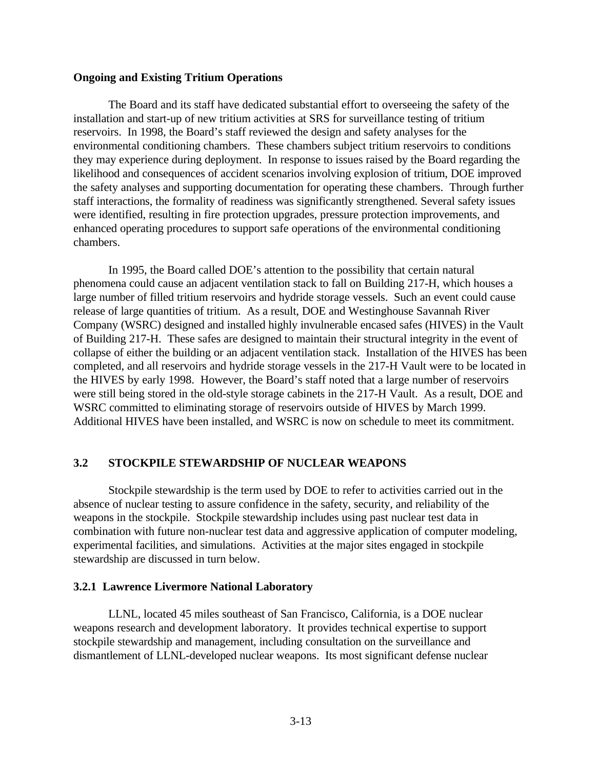### **Ongoing and Existing Tritium Operations**

The Board and its staff have dedicated substantial effort to overseeing the safety of the installation and start-up of new tritium activities at SRS for surveillance testing of tritium reservoirs. In 1998, the Board's staff reviewed the design and safety analyses for the environmental conditioning chambers. These chambers subject tritium reservoirs to conditions they may experience during deployment. In response to issues raised by the Board regarding the likelihood and consequences of accident scenarios involving explosion of tritium, DOE improved the safety analyses and supporting documentation for operating these chambers. Through further staff interactions, the formality of readiness was significantly strengthened. Several safety issues were identified, resulting in fire protection upgrades, pressure protection improvements, and enhanced operating procedures to support safe operations of the environmental conditioning chambers.

In 1995, the Board called DOE's attention to the possibility that certain natural phenomena could cause an adjacent ventilation stack to fall on Building 217-H, which houses a large number of filled tritium reservoirs and hydride storage vessels. Such an event could cause release of large quantities of tritium. As a result, DOE and Westinghouse Savannah River Company (WSRC) designed and installed highly invulnerable encased safes (HIVES) in the Vault of Building 217-H. These safes are designed to maintain their structural integrity in the event of collapse of either the building or an adjacent ventilation stack. Installation of the HIVES has been completed, and all reservoirs and hydride storage vessels in the 217-H Vault were to be located in the HIVES by early 1998. However, the Board's staff noted that a large number of reservoirs were still being stored in the old-style storage cabinets in the 217-H Vault. As a result, DOE and WSRC committed to eliminating storage of reservoirs outside of HIVES by March 1999. Additional HIVES have been installed, and WSRC is now on schedule to meet its commitment.

# **3.2 STOCKPILE STEWARDSHIP OF NUCLEAR WEAPONS**

Stockpile stewardship is the term used by DOE to refer to activities carried out in the absence of nuclear testing to assure confidence in the safety, security, and reliability of the weapons in the stockpile. Stockpile stewardship includes using past nuclear test data in combination with future non-nuclear test data and aggressive application of computer modeling, experimental facilities, and simulations. Activities at the major sites engaged in stockpile stewardship are discussed in turn below.

## **3.2.1 Lawrence Livermore National Laboratory**

LLNL, located 45 miles southeast of San Francisco, California, is a DOE nuclear weapons research and development laboratory. It provides technical expertise to support stockpile stewardship and management, including consultation on the surveillance and dismantlement of LLNL-developed nuclear weapons. Its most significant defense nuclear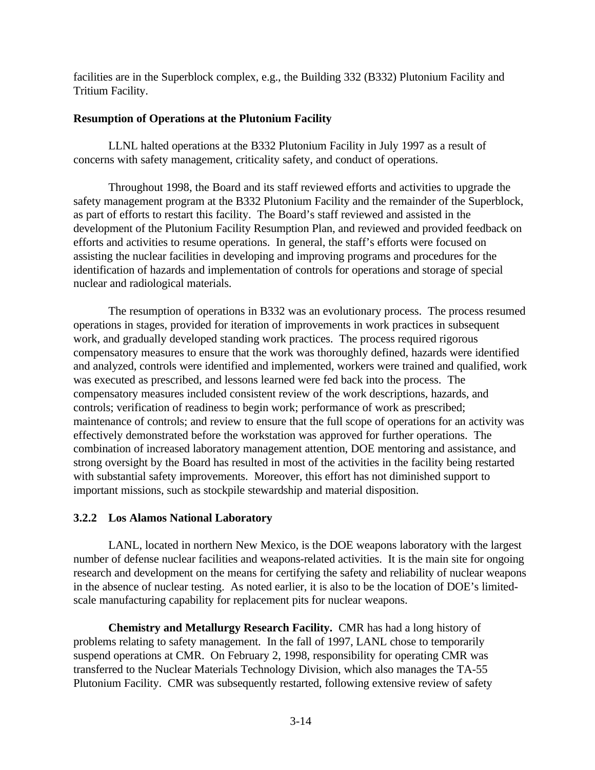facilities are in the Superblock complex, e.g., the Building 332 (B332) Plutonium Facility and Tritium Facility.

## **Resumption of Operations at the Plutonium Facility**

LLNL halted operations at the B332 Plutonium Facility in July 1997 as a result of concerns with safety management, criticality safety, and conduct of operations.

Throughout 1998, the Board and its staff reviewed efforts and activities to upgrade the safety management program at the B332 Plutonium Facility and the remainder of the Superblock, as part of efforts to restart this facility. The Board's staff reviewed and assisted in the development of the Plutonium Facility Resumption Plan, and reviewed and provided feedback on efforts and activities to resume operations. In general, the staff's efforts were focused on assisting the nuclear facilities in developing and improving programs and procedures for the identification of hazards and implementation of controls for operations and storage of special nuclear and radiological materials.

The resumption of operations in B332 was an evolutionary process. The process resumed operations in stages, provided for iteration of improvements in work practices in subsequent work, and gradually developed standing work practices. The process required rigorous compensatory measures to ensure that the work was thoroughly defined, hazards were identified and analyzed, controls were identified and implemented, workers were trained and qualified, work was executed as prescribed, and lessons learned were fed back into the process. The compensatory measures included consistent review of the work descriptions, hazards, and controls; verification of readiness to begin work; performance of work as prescribed; maintenance of controls; and review to ensure that the full scope of operations for an activity was effectively demonstrated before the workstation was approved for further operations. The combination of increased laboratory management attention, DOE mentoring and assistance, and strong oversight by the Board has resulted in most of the activities in the facility being restarted with substantial safety improvements. Moreover, this effort has not diminished support to important missions, such as stockpile stewardship and material disposition.

# **3.2.2 Los Alamos National Laboratory**

LANL, located in northern New Mexico, is the DOE weapons laboratory with the largest number of defense nuclear facilities and weapons-related activities. It is the main site for ongoing research and development on the means for certifying the safety and reliability of nuclear weapons in the absence of nuclear testing. As noted earlier, it is also to be the location of DOE's limitedscale manufacturing capability for replacement pits for nuclear weapons.

**Chemistry and Metallurgy Research Facility.** CMR has had a long history of problems relating to safety management. In the fall of 1997, LANL chose to temporarily suspend operations at CMR. On February 2, 1998, responsibility for operating CMR was transferred to the Nuclear Materials Technology Division, which also manages the TA-55 Plutonium Facility. CMR was subsequently restarted, following extensive review of safety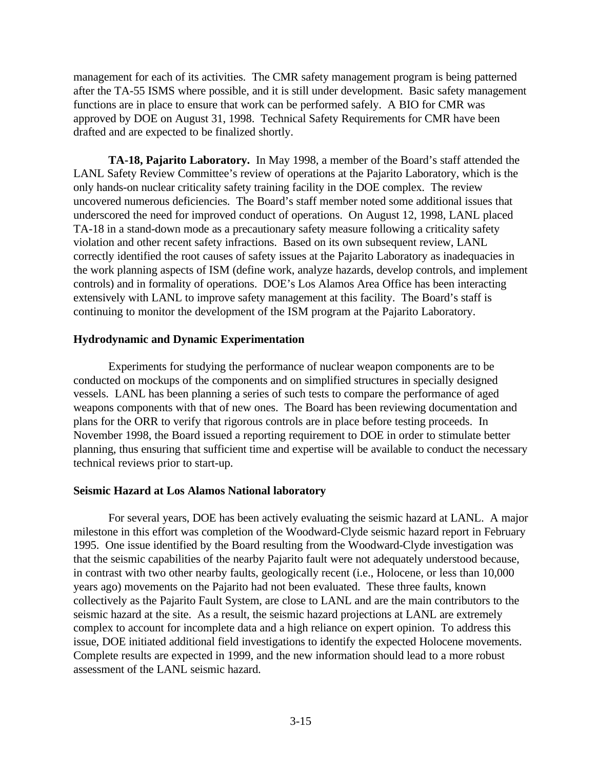management for each of its activities. The CMR safety management program is being patterned after the TA-55 ISMS where possible, and it is still under development. Basic safety management functions are in place to ensure that work can be performed safely. A BIO for CMR was approved by DOE on August 31, 1998. Technical Safety Requirements for CMR have been drafted and are expected to be finalized shortly.

**TA-18, Pajarito Laboratory.** In May 1998, a member of the Board's staff attended the LANL Safety Review Committee's review of operations at the Pajarito Laboratory, which is the only hands-on nuclear criticality safety training facility in the DOE complex. The review uncovered numerous deficiencies. The Board's staff member noted some additional issues that underscored the need for improved conduct of operations. On August 12, 1998, LANL placed TA-18 in a stand-down mode as a precautionary safety measure following a criticality safety violation and other recent safety infractions. Based on its own subsequent review, LANL correctly identified the root causes of safety issues at the Pajarito Laboratory as inadequacies in the work planning aspects of ISM (define work, analyze hazards, develop controls, and implement controls) and in formality of operations. DOE's Los Alamos Area Office has been interacting extensively with LANL to improve safety management at this facility. The Board's staff is continuing to monitor the development of the ISM program at the Pajarito Laboratory.

## **Hydrodynamic and Dynamic Experimentation**

Experiments for studying the performance of nuclear weapon components are to be conducted on mockups of the components and on simplified structures in specially designed vessels. LANL has been planning a series of such tests to compare the performance of aged weapons components with that of new ones. The Board has been reviewing documentation and plans for the ORR to verify that rigorous controls are in place before testing proceeds. In November 1998, the Board issued a reporting requirement to DOE in order to stimulate better planning, thus ensuring that sufficient time and expertise will be available to conduct the necessary technical reviews prior to start-up.

## **Seismic Hazard at Los Alamos National laboratory**

For several years, DOE has been actively evaluating the seismic hazard at LANL. A major milestone in this effort was completion of the Woodward-Clyde seismic hazard report in February 1995. One issue identified by the Board resulting from the Woodward-Clyde investigation was that the seismic capabilities of the nearby Pajarito fault were not adequately understood because, in contrast with two other nearby faults, geologically recent (i.e., Holocene, or less than 10,000 years ago) movements on the Pajarito had not been evaluated. These three faults, known collectively as the Pajarito Fault System, are close to LANL and are the main contributors to the seismic hazard at the site. As a result, the seismic hazard projections at LANL are extremely complex to account for incomplete data and a high reliance on expert opinion. To address this issue, DOE initiated additional field investigations to identify the expected Holocene movements. Complete results are expected in 1999, and the new information should lead to a more robust assessment of the LANL seismic hazard.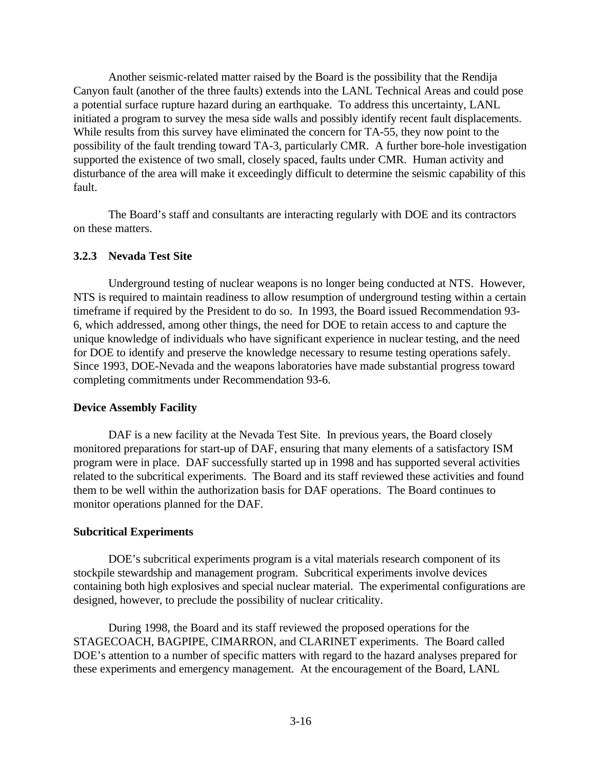Another seismic-related matter raised by the Board is the possibility that the Rendija Canyon fault (another of the three faults) extends into the LANL Technical Areas and could pose a potential surface rupture hazard during an earthquake. To address this uncertainty, LANL initiated a program to survey the mesa side walls and possibly identify recent fault displacements. While results from this survey have eliminated the concern for TA-55, they now point to the possibility of the fault trending toward TA-3, particularly CMR. A further bore-hole investigation supported the existence of two small, closely spaced, faults under CMR. Human activity and disturbance of the area will make it exceedingly difficult to determine the seismic capability of this fault.

The Board's staff and consultants are interacting regularly with DOE and its contractors on these matters.

## **3.2.3 Nevada Test Site**

Underground testing of nuclear weapons is no longer being conducted at NTS. However, NTS is required to maintain readiness to allow resumption of underground testing within a certain timeframe if required by the President to do so. In 1993, the Board issued Recommendation 93- 6, which addressed, among other things, the need for DOE to retain access to and capture the unique knowledge of individuals who have significant experience in nuclear testing, and the need for DOE to identify and preserve the knowledge necessary to resume testing operations safely. Since 1993, DOE-Nevada and the weapons laboratories have made substantial progress toward completing commitments under Recommendation 93-6.

## **Device Assembly Facility**

DAF is a new facility at the Nevada Test Site. In previous years, the Board closely monitored preparations for start-up of DAF, ensuring that many elements of a satisfactory ISM program were in place. DAF successfully started up in 1998 and has supported several activities related to the subcritical experiments. The Board and its staff reviewed these activities and found them to be well within the authorization basis for DAF operations. The Board continues to monitor operations planned for the DAF.

## **Subcritical Experiments**

DOE's subcritical experiments program is a vital materials research component of its stockpile stewardship and management program. Subcritical experiments involve devices containing both high explosives and special nuclear material. The experimental configurations are designed, however, to preclude the possibility of nuclear criticality.

During 1998, the Board and its staff reviewed the proposed operations for the STAGECOACH, BAGPIPE, CIMARRON, and CLARINET experiments. The Board called DOE's attention to a number of specific matters with regard to the hazard analyses prepared for these experiments and emergency management. At the encouragement of the Board, LANL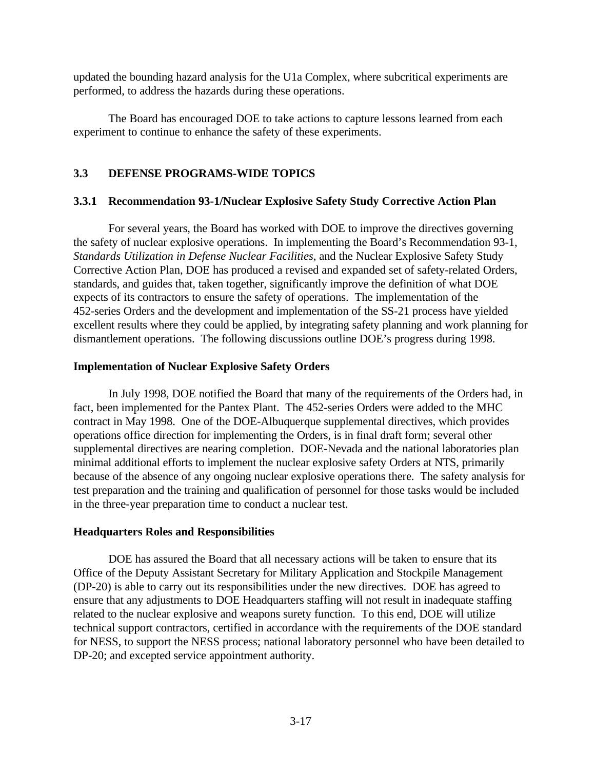updated the bounding hazard analysis for the U1a Complex, where subcritical experiments are performed, to address the hazards during these operations.

The Board has encouraged DOE to take actions to capture lessons learned from each experiment to continue to enhance the safety of these experiments.

# **3.3 DEFENSE PROGRAMS-WIDE TOPICS**

# **3.3.1 Recommendation 93-1/Nuclear Explosive Safety Study Corrective Action Plan**

For several years, the Board has worked with DOE to improve the directives governing the safety of nuclear explosive operations. In implementing the Board's Recommendation 93-1, *Standards Utilization in Defense Nuclear Facilities*, and the Nuclear Explosive Safety Study Corrective Action Plan, DOE has produced a revised and expanded set of safety-related Orders, standards, and guides that, taken together, significantly improve the definition of what DOE expects of its contractors to ensure the safety of operations. The implementation of the 452-series Orders and the development and implementation of the SS-21 process have yielded excellent results where they could be applied, by integrating safety planning and work planning for dismantlement operations. The following discussions outline DOE's progress during 1998.

# **Implementation of Nuclear Explosive Safety Orders**

In July 1998, DOE notified the Board that many of the requirements of the Orders had, in fact, been implemented for the Pantex Plant. The 452-series Orders were added to the MHC contract in May 1998. One of the DOE-Albuquerque supplemental directives, which provides operations office direction for implementing the Orders, is in final draft form; several other supplemental directives are nearing completion. DOE-Nevada and the national laboratories plan minimal additional efforts to implement the nuclear explosive safety Orders at NTS, primarily because of the absence of any ongoing nuclear explosive operations there. The safety analysis for test preparation and the training and qualification of personnel for those tasks would be included in the three-year preparation time to conduct a nuclear test.

# **Headquarters Roles and Responsibilities**

DOE has assured the Board that all necessary actions will be taken to ensure that its Office of the Deputy Assistant Secretary for Military Application and Stockpile Management (DP-20) is able to carry out its responsibilities under the new directives. DOE has agreed to ensure that any adjustments to DOE Headquarters staffing will not result in inadequate staffing related to the nuclear explosive and weapons surety function. To this end, DOE will utilize technical support contractors, certified in accordance with the requirements of the DOE standard for NESS, to support the NESS process; national laboratory personnel who have been detailed to DP-20; and excepted service appointment authority.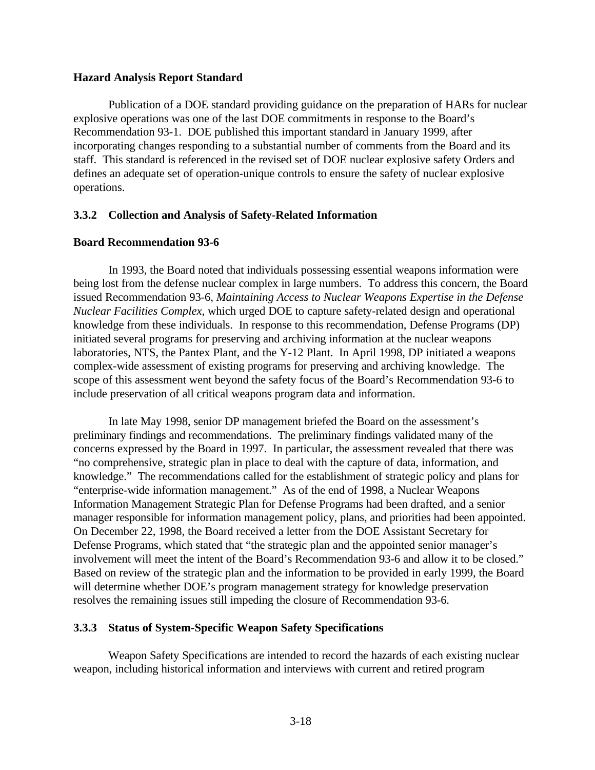### **Hazard Analysis Report Standard**

Publication of a DOE standard providing guidance on the preparation of HARs for nuclear explosive operations was one of the last DOE commitments in response to the Board's Recommendation 93-1. DOE published this important standard in January 1999, after incorporating changes responding to a substantial number of comments from the Board and its staff. This standard is referenced in the revised set of DOE nuclear explosive safety Orders and defines an adequate set of operation-unique controls to ensure the safety of nuclear explosive operations.

## **3.3.2 Collection and Analysis of Safety-Related Information**

## **Board Recommendation 93-6**

In 1993, the Board noted that individuals possessing essential weapons information were being lost from the defense nuclear complex in large numbers. To address this concern, the Board issued Recommendation 93-6, *Maintaining Access to Nuclear Weapons Expertise in the Defense Nuclear Facilities Complex*, which urged DOE to capture safety-related design and operational knowledge from these individuals. In response to this recommendation, Defense Programs (DP) initiated several programs for preserving and archiving information at the nuclear weapons laboratories, NTS, the Pantex Plant, and the Y-12 Plant. In April 1998, DP initiated a weapons complex-wide assessment of existing programs for preserving and archiving knowledge. The scope of this assessment went beyond the safety focus of the Board's Recommendation 93-6 to include preservation of all critical weapons program data and information.

In late May 1998, senior DP management briefed the Board on the assessment's preliminary findings and recommendations. The preliminary findings validated many of the concerns expressed by the Board in 1997. In particular, the assessment revealed that there was "no comprehensive, strategic plan in place to deal with the capture of data, information, and knowledge." The recommendations called for the establishment of strategic policy and plans for "enterprise-wide information management." As of the end of 1998, a Nuclear Weapons Information Management Strategic Plan for Defense Programs had been drafted, and a senior manager responsible for information management policy, plans, and priorities had been appointed. On December 22, 1998, the Board received a letter from the DOE Assistant Secretary for Defense Programs, which stated that "the strategic plan and the appointed senior manager's involvement will meet the intent of the Board's Recommendation 93-6 and allow it to be closed." Based on review of the strategic plan and the information to be provided in early 1999, the Board will determine whether DOE's program management strategy for knowledge preservation resolves the remaining issues still impeding the closure of Recommendation 93-6.

# **3.3.3 Status of System-Specific Weapon Safety Specifications**

Weapon Safety Specifications are intended to record the hazards of each existing nuclear weapon, including historical information and interviews with current and retired program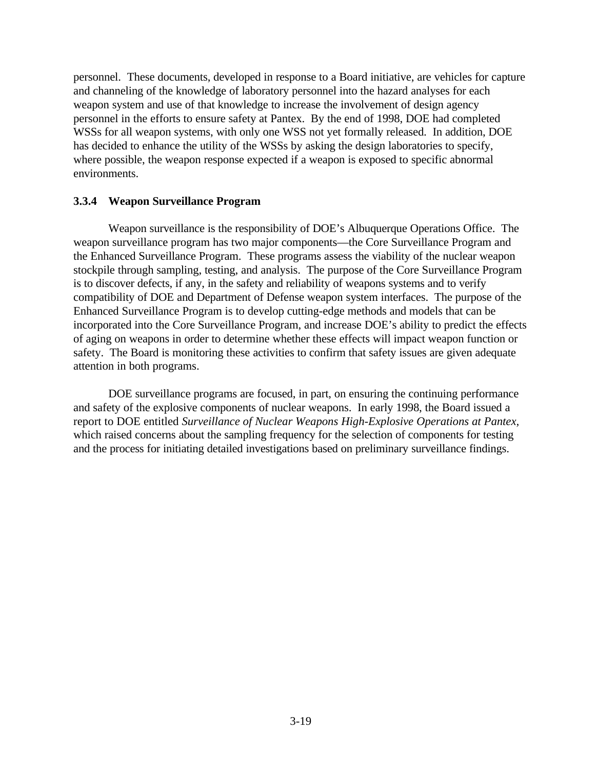personnel. These documents, developed in response to a Board initiative, are vehicles for capture and channeling of the knowledge of laboratory personnel into the hazard analyses for each weapon system and use of that knowledge to increase the involvement of design agency personnel in the efforts to ensure safety at Pantex. By the end of 1998, DOE had completed WSSs for all weapon systems, with only one WSS not yet formally released. In addition, DOE has decided to enhance the utility of the WSSs by asking the design laboratories to specify, where possible, the weapon response expected if a weapon is exposed to specific abnormal environments.

## **3.3.4 Weapon Surveillance Program**

Weapon surveillance is the responsibility of DOE's Albuquerque Operations Office. The weapon surveillance program has two major components—the Core Surveillance Program and the Enhanced Surveillance Program. These programs assess the viability of the nuclear weapon stockpile through sampling, testing, and analysis. The purpose of the Core Surveillance Program is to discover defects, if any, in the safety and reliability of weapons systems and to verify compatibility of DOE and Department of Defense weapon system interfaces. The purpose of the Enhanced Surveillance Program is to develop cutting-edge methods and models that can be incorporated into the Core Surveillance Program, and increase DOE's ability to predict the effects of aging on weapons in order to determine whether these effects will impact weapon function or safety. The Board is monitoring these activities to confirm that safety issues are given adequate attention in both programs.

DOE surveillance programs are focused, in part, on ensuring the continuing performance and safety of the explosive components of nuclear weapons. In early 1998, the Board issued a report to DOE entitled *Surveillance of Nuclear Weapons High-Explosive Operations at Pantex,* which raised concerns about the sampling frequency for the selection of components for testing and the process for initiating detailed investigations based on preliminary surveillance findings.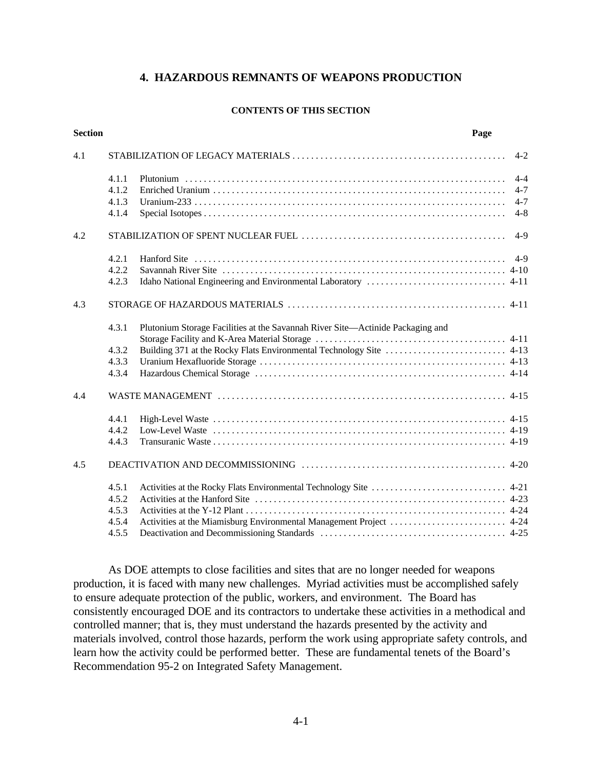## **4. HAZARDOUS REMNANTS OF WEAPONS PRODUCTION**

#### **CONTENTS OF THIS SECTION**

| <b>Section</b> |       | Page                                                                           |         |
|----------------|-------|--------------------------------------------------------------------------------|---------|
| 4.1            |       |                                                                                | $4 - 2$ |
|                | 4.1.1 |                                                                                | $4 - 4$ |
|                | 4.1.2 |                                                                                | $4 - 7$ |
|                | 4.1.3 |                                                                                | $4 - 7$ |
|                | 4.1.4 |                                                                                | $4 - 8$ |
| 4.2            |       |                                                                                | $4-9$   |
|                | 4.2.1 |                                                                                |         |
|                | 4.2.2 |                                                                                |         |
|                | 4.2.3 |                                                                                |         |
| 4.3            |       |                                                                                |         |
|                | 4.3.1 | Plutonium Storage Facilities at the Savannah River Site-Actinide Packaging and |         |
|                |       |                                                                                |         |
|                | 4.3.2 |                                                                                |         |
|                | 4.3.3 |                                                                                |         |
|                | 4.3.4 |                                                                                |         |
| 4.4            |       |                                                                                |         |
|                | 4.4.1 |                                                                                |         |
|                | 4.4.2 |                                                                                |         |
|                | 4.4.3 |                                                                                |         |
| 4.5            |       |                                                                                |         |
|                | 4.5.1 |                                                                                |         |
|                | 4.5.2 |                                                                                |         |
|                | 4.5.3 |                                                                                |         |
|                | 4.5.4 |                                                                                |         |
|                | 4.5.5 |                                                                                |         |

As DOE attempts to close facilities and sites that are no longer needed for weapons production, it is faced with many new challenges. Myriad activities must be accomplished safely to ensure adequate protection of the public, workers, and environment. The Board has consistently encouraged DOE and its contractors to undertake these activities in a methodical and controlled manner; that is, they must understand the hazards presented by the activity and materials involved, control those hazards, perform the work using appropriate safety controls, and learn how the activity could be performed better. These are fundamental tenets of the Board's Recommendation 95-2 on Integrated Safety Management.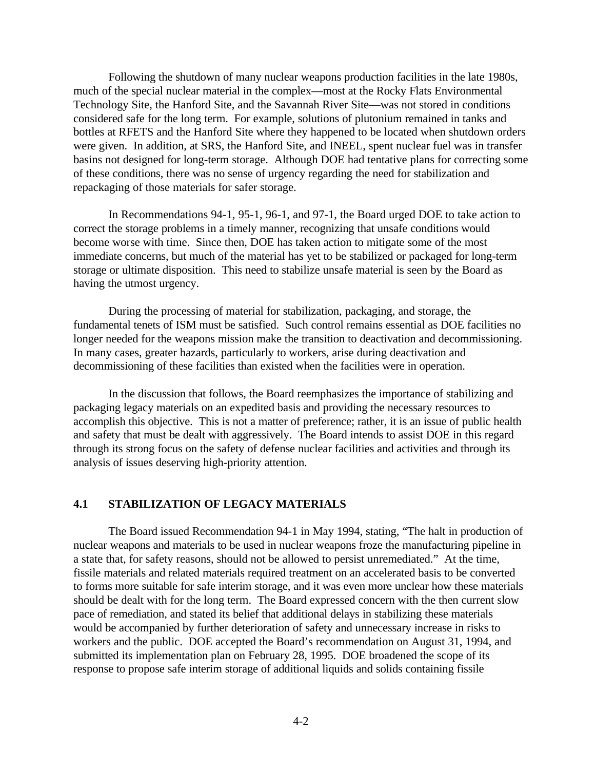Following the shutdown of many nuclear weapons production facilities in the late 1980s, much of the special nuclear material in the complex—most at the Rocky Flats Environmental Technology Site, the Hanford Site, and the Savannah River Site—was not stored in conditions considered safe for the long term. For example, solutions of plutonium remained in tanks and bottles at RFETS and the Hanford Site where they happened to be located when shutdown orders were given. In addition, at SRS, the Hanford Site, and INEEL, spent nuclear fuel was in transfer basins not designed for long-term storage. Although DOE had tentative plans for correcting some of these conditions, there was no sense of urgency regarding the need for stabilization and repackaging of those materials for safer storage.

In Recommendations 94-1, 95-1, 96-1, and 97-1, the Board urged DOE to take action to correct the storage problems in a timely manner, recognizing that unsafe conditions would become worse with time. Since then, DOE has taken action to mitigate some of the most immediate concerns, but much of the material has yet to be stabilized or packaged for long-term storage or ultimate disposition. This need to stabilize unsafe material is seen by the Board as having the utmost urgency.

During the processing of material for stabilization, packaging, and storage, the fundamental tenets of ISM must be satisfied. Such control remains essential as DOE facilities no longer needed for the weapons mission make the transition to deactivation and decommissioning. In many cases, greater hazards, particularly to workers, arise during deactivation and decommissioning of these facilities than existed when the facilities were in operation.

In the discussion that follows, the Board reemphasizes the importance of stabilizing and packaging legacy materials on an expedited basis and providing the necessary resources to accomplish this objective. This is not a matter of preference; rather, it is an issue of public health and safety that must be dealt with aggressively. The Board intends to assist DOE in this regard through its strong focus on the safety of defense nuclear facilities and activities and through its analysis of issues deserving high-priority attention.

## **4.1 STABILIZATION OF LEGACY MATERIALS**

The Board issued Recommendation 94-1 in May 1994, stating, "The halt in production of nuclear weapons and materials to be used in nuclear weapons froze the manufacturing pipeline in a state that, for safety reasons, should not be allowed to persist unremediated." At the time, fissile materials and related materials required treatment on an accelerated basis to be converted to forms more suitable for safe interim storage, and it was even more unclear how these materials should be dealt with for the long term. The Board expressed concern with the then current slow pace of remediation, and stated its belief that additional delays in stabilizing these materials would be accompanied by further deterioration of safety and unnecessary increase in risks to workers and the public. DOE accepted the Board's recommendation on August 31, 1994, and submitted its implementation plan on February 28, 1995. DOE broadened the scope of its response to propose safe interim storage of additional liquids and solids containing fissile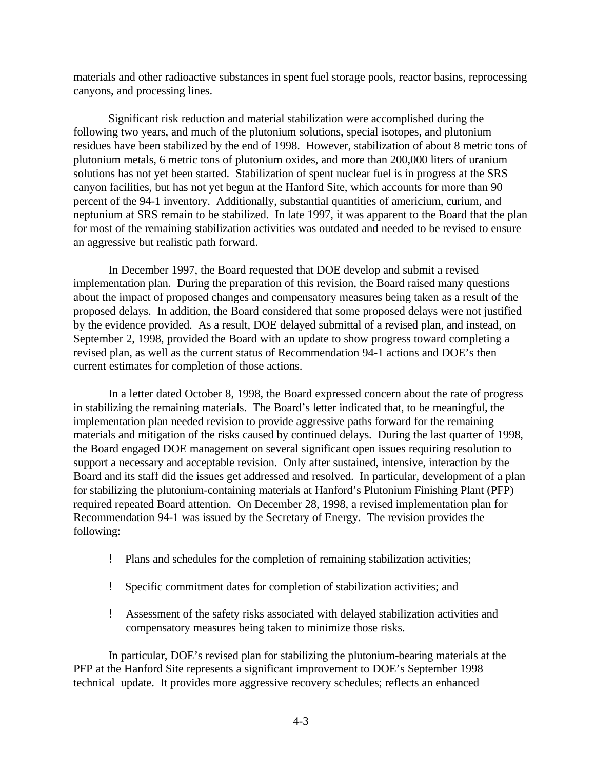materials and other radioactive substances in spent fuel storage pools, reactor basins, reprocessing canyons, and processing lines.

Significant risk reduction and material stabilization were accomplished during the following two years, and much of the plutonium solutions, special isotopes, and plutonium residues have been stabilized by the end of 1998. However, stabilization of about 8 metric tons of plutonium metals, 6 metric tons of plutonium oxides, and more than 200,000 liters of uranium solutions has not yet been started. Stabilization of spent nuclear fuel is in progress at the SRS canyon facilities, but has not yet begun at the Hanford Site, which accounts for more than 90 percent of the 94-1 inventory. Additionally, substantial quantities of americium, curium, and neptunium at SRS remain to be stabilized. In late 1997, it was apparent to the Board that the plan for most of the remaining stabilization activities was outdated and needed to be revised to ensure an aggressive but realistic path forward.

In December 1997, the Board requested that DOE develop and submit a revised implementation plan. During the preparation of this revision, the Board raised many questions about the impact of proposed changes and compensatory measures being taken as a result of the proposed delays. In addition, the Board considered that some proposed delays were not justified by the evidence provided. As a result, DOE delayed submittal of a revised plan, and instead, on September 2, 1998, provided the Board with an update to show progress toward completing a revised plan, as well as the current status of Recommendation 94-1 actions and DOE's then current estimates for completion of those actions.

In a letter dated October 8, 1998, the Board expressed concern about the rate of progress in stabilizing the remaining materials. The Board's letter indicated that, to be meaningful, the implementation plan needed revision to provide aggressive paths forward for the remaining materials and mitigation of the risks caused by continued delays. During the last quarter of 1998, the Board engaged DOE management on several significant open issues requiring resolution to support a necessary and acceptable revision. Only after sustained, intensive, interaction by the Board and its staff did the issues get addressed and resolved. In particular, development of a plan for stabilizing the plutonium-containing materials at Hanford's Plutonium Finishing Plant (PFP) required repeated Board attention. On December 28, 1998, a revised implementation plan for Recommendation 94-1 was issued by the Secretary of Energy. The revision provides the following:

- ! Plans and schedules for the completion of remaining stabilization activities;
- ! Specific commitment dates for completion of stabilization activities; and
- ! Assessment of the safety risks associated with delayed stabilization activities and compensatory measures being taken to minimize those risks.

In particular, DOE's revised plan for stabilizing the plutonium-bearing materials at the PFP at the Hanford Site represents a significant improvement to DOE's September 1998 technical update. It provides more aggressive recovery schedules; reflects an enhanced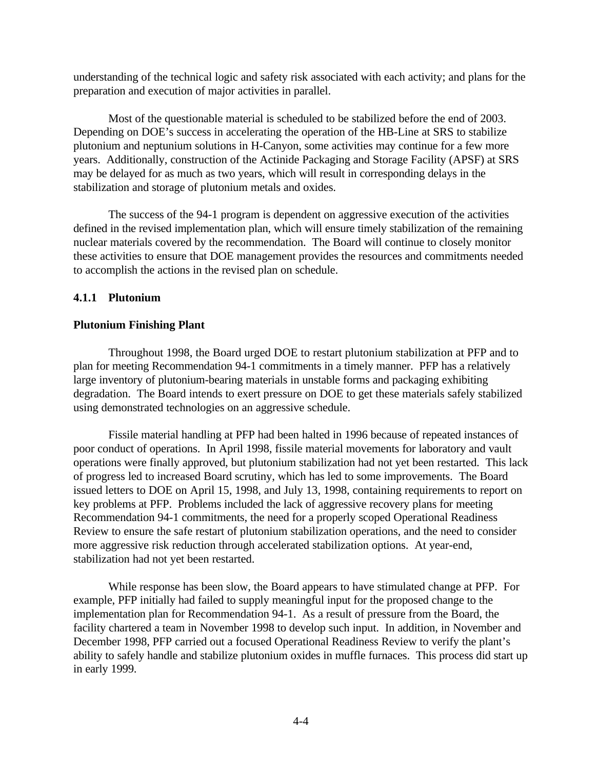understanding of the technical logic and safety risk associated with each activity; and plans for the preparation and execution of major activities in parallel.

Most of the questionable material is scheduled to be stabilized before the end of 2003. Depending on DOE's success in accelerating the operation of the HB-Line at SRS to stabilize plutonium and neptunium solutions in H-Canyon, some activities may continue for a few more years. Additionally, construction of the Actinide Packaging and Storage Facility (APSF) at SRS may be delayed for as much as two years, which will result in corresponding delays in the stabilization and storage of plutonium metals and oxides.

The success of the 94-1 program is dependent on aggressive execution of the activities defined in the revised implementation plan, which will ensure timely stabilization of the remaining nuclear materials covered by the recommendation. The Board will continue to closely monitor these activities to ensure that DOE management provides the resources and commitments needed to accomplish the actions in the revised plan on schedule.

## **4.1.1 Plutonium**

## **Plutonium Finishing Plant**

Throughout 1998, the Board urged DOE to restart plutonium stabilization at PFP and to plan for meeting Recommendation 94-1 commitments in a timely manner. PFP has a relatively large inventory of plutonium-bearing materials in unstable forms and packaging exhibiting degradation. The Board intends to exert pressure on DOE to get these materials safely stabilized using demonstrated technologies on an aggressive schedule.

Fissile material handling at PFP had been halted in 1996 because of repeated instances of poor conduct of operations. In April 1998, fissile material movements for laboratory and vault operations were finally approved, but plutonium stabilization had not yet been restarted. This lack of progress led to increased Board scrutiny, which has led to some improvements. The Board issued letters to DOE on April 15, 1998, and July 13, 1998, containing requirements to report on key problems at PFP. Problems included the lack of aggressive recovery plans for meeting Recommendation 94-1 commitments, the need for a properly scoped Operational Readiness Review to ensure the safe restart of plutonium stabilization operations, and the need to consider more aggressive risk reduction through accelerated stabilization options. At year-end, stabilization had not yet been restarted.

While response has been slow, the Board appears to have stimulated change at PFP. For example, PFP initially had failed to supply meaningful input for the proposed change to the implementation plan for Recommendation 94-1. As a result of pressure from the Board, the facility chartered a team in November 1998 to develop such input. In addition, in November and December 1998, PFP carried out a focused Operational Readiness Review to verify the plant's ability to safely handle and stabilize plutonium oxides in muffle furnaces. This process did start up in early 1999.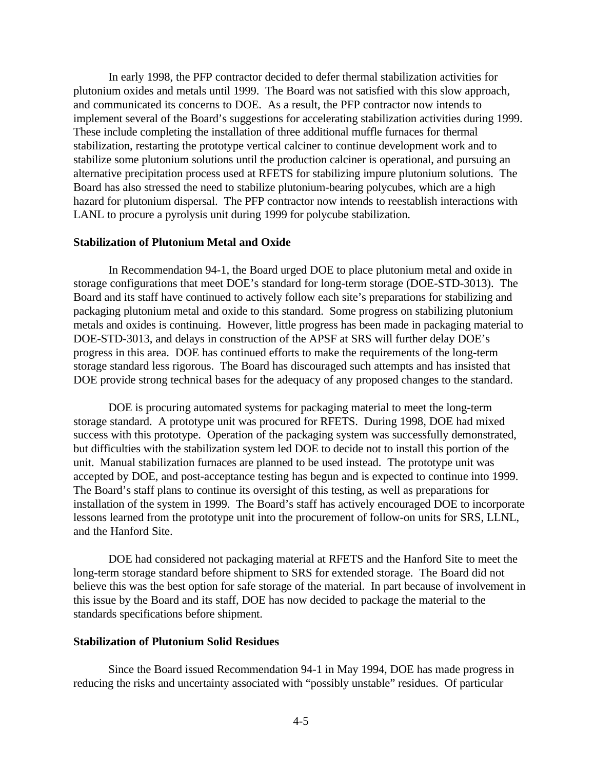In early 1998, the PFP contractor decided to defer thermal stabilization activities for plutonium oxides and metals until 1999. The Board was not satisfied with this slow approach, and communicated its concerns to DOE. As a result, the PFP contractor now intends to implement several of the Board's suggestions for accelerating stabilization activities during 1999. These include completing the installation of three additional muffle furnaces for thermal stabilization, restarting the prototype vertical calciner to continue development work and to stabilize some plutonium solutions until the production calciner is operational, and pursuing an alternative precipitation process used at RFETS for stabilizing impure plutonium solutions. The Board has also stressed the need to stabilize plutonium-bearing polycubes, which are a high hazard for plutonium dispersal. The PFP contractor now intends to reestablish interactions with LANL to procure a pyrolysis unit during 1999 for polycube stabilization.

#### **Stabilization of Plutonium Metal and Oxide**

In Recommendation 94-1, the Board urged DOE to place plutonium metal and oxide in storage configurations that meet DOE's standard for long-term storage (DOE-STD-3013). The Board and its staff have continued to actively follow each site's preparations for stabilizing and packaging plutonium metal and oxide to this standard. Some progress on stabilizing plutonium metals and oxides is continuing. However, little progress has been made in packaging material to DOE-STD-3013, and delays in construction of the APSF at SRS will further delay DOE's progress in this area. DOE has continued efforts to make the requirements of the long-term storage standard less rigorous. The Board has discouraged such attempts and has insisted that DOE provide strong technical bases for the adequacy of any proposed changes to the standard.

DOE is procuring automated systems for packaging material to meet the long-term storage standard. A prototype unit was procured for RFETS. During 1998, DOE had mixed success with this prototype. Operation of the packaging system was successfully demonstrated, but difficulties with the stabilization system led DOE to decide not to install this portion of the unit. Manual stabilization furnaces are planned to be used instead. The prototype unit was accepted by DOE, and post-acceptance testing has begun and is expected to continue into 1999. The Board's staff plans to continue its oversight of this testing, as well as preparations for installation of the system in 1999. The Board's staff has actively encouraged DOE to incorporate lessons learned from the prototype unit into the procurement of follow-on units for SRS, LLNL, and the Hanford Site.

DOE had considered not packaging material at RFETS and the Hanford Site to meet the long-term storage standard before shipment to SRS for extended storage. The Board did not believe this was the best option for safe storage of the material. In part because of involvement in this issue by the Board and its staff, DOE has now decided to package the material to the standards specifications before shipment.

#### **Stabilization of Plutonium Solid Residues**

Since the Board issued Recommendation 94-1 in May 1994, DOE has made progress in reducing the risks and uncertainty associated with "possibly unstable" residues. Of particular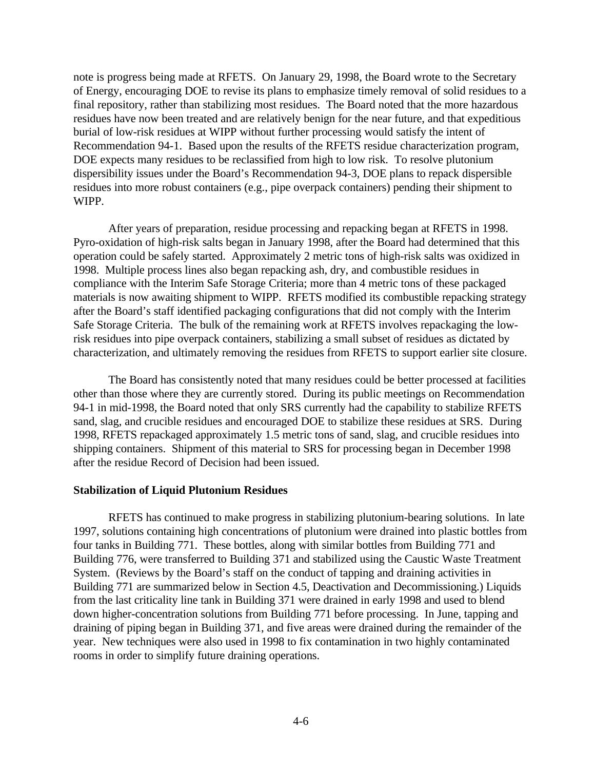note is progress being made at RFETS. On January 29, 1998, the Board wrote to the Secretary of Energy, encouraging DOE to revise its plans to emphasize timely removal of solid residues to a final repository, rather than stabilizing most residues. The Board noted that the more hazardous residues have now been treated and are relatively benign for the near future, and that expeditious burial of low-risk residues at WIPP without further processing would satisfy the intent of Recommendation 94-1. Based upon the results of the RFETS residue characterization program, DOE expects many residues to be reclassified from high to low risk. To resolve plutonium dispersibility issues under the Board's Recommendation 94-3, DOE plans to repack dispersible residues into more robust containers (e.g., pipe overpack containers) pending their shipment to WIPP.

After years of preparation, residue processing and repacking began at RFETS in 1998. Pyro-oxidation of high-risk salts began in January 1998, after the Board had determined that this operation could be safely started. Approximately 2 metric tons of high-risk salts was oxidized in 1998. Multiple process lines also began repacking ash, dry, and combustible residues in compliance with the Interim Safe Storage Criteria; more than 4 metric tons of these packaged materials is now awaiting shipment to WIPP. RFETS modified its combustible repacking strategy after the Board's staff identified packaging configurations that did not comply with the Interim Safe Storage Criteria. The bulk of the remaining work at RFETS involves repackaging the lowrisk residues into pipe overpack containers, stabilizing a small subset of residues as dictated by characterization, and ultimately removing the residues from RFETS to support earlier site closure.

The Board has consistently noted that many residues could be better processed at facilities other than those where they are currently stored. During its public meetings on Recommendation 94-1 in mid-1998, the Board noted that only SRS currently had the capability to stabilize RFETS sand, slag, and crucible residues and encouraged DOE to stabilize these residues at SRS. During 1998, RFETS repackaged approximately 1.5 metric tons of sand, slag, and crucible residues into shipping containers. Shipment of this material to SRS for processing began in December 1998 after the residue Record of Decision had been issued.

#### **Stabilization of Liquid Plutonium Residues**

RFETS has continued to make progress in stabilizing plutonium-bearing solutions. In late 1997, solutions containing high concentrations of plutonium were drained into plastic bottles from four tanks in Building 771. These bottles, along with similar bottles from Building 771 and Building 776, were transferred to Building 371 and stabilized using the Caustic Waste Treatment System. (Reviews by the Board's staff on the conduct of tapping and draining activities in Building 771 are summarized below in Section 4.5, Deactivation and Decommissioning.) Liquids from the last criticality line tank in Building 371 were drained in early 1998 and used to blend down higher-concentration solutions from Building 771 before processing. In June, tapping and draining of piping began in Building 371, and five areas were drained during the remainder of the year. New techniques were also used in 1998 to fix contamination in two highly contaminated rooms in order to simplify future draining operations.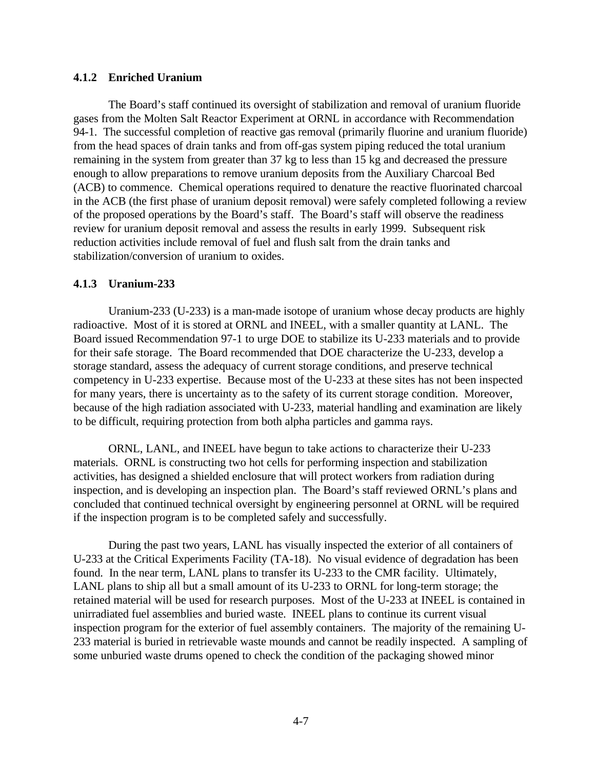#### **4.1.2 Enriched Uranium**

The Board's staff continued its oversight of stabilization and removal of uranium fluoride gases from the Molten Salt Reactor Experiment at ORNL in accordance with Recommendation 94-1. The successful completion of reactive gas removal (primarily fluorine and uranium fluoride) from the head spaces of drain tanks and from off-gas system piping reduced the total uranium remaining in the system from greater than 37 kg to less than 15 kg and decreased the pressure enough to allow preparations to remove uranium deposits from the Auxiliary Charcoal Bed (ACB) to commence. Chemical operations required to denature the reactive fluorinated charcoal in the ACB (the first phase of uranium deposit removal) were safely completed following a review of the proposed operations by the Board's staff. The Board's staff will observe the readiness review for uranium deposit removal and assess the results in early 1999. Subsequent risk reduction activities include removal of fuel and flush salt from the drain tanks and stabilization/conversion of uranium to oxides.

#### **4.1.3 Uranium-233**

Uranium-233 (U-233) is a man-made isotope of uranium whose decay products are highly radioactive. Most of it is stored at ORNL and INEEL, with a smaller quantity at LANL. The Board issued Recommendation 97-1 to urge DOE to stabilize its U-233 materials and to provide for their safe storage. The Board recommended that DOE characterize the U-233, develop a storage standard, assess the adequacy of current storage conditions, and preserve technical competency in U-233 expertise. Because most of the U-233 at these sites has not been inspected for many years, there is uncertainty as to the safety of its current storage condition. Moreover, because of the high radiation associated with U-233, material handling and examination are likely to be difficult, requiring protection from both alpha particles and gamma rays.

ORNL, LANL, and INEEL have begun to take actions to characterize their U-233 materials. ORNL is constructing two hot cells for performing inspection and stabilization activities, has designed a shielded enclosure that will protect workers from radiation during inspection, and is developing an inspection plan. The Board's staff reviewed ORNL's plans and concluded that continued technical oversight by engineering personnel at ORNL will be required if the inspection program is to be completed safely and successfully.

During the past two years, LANL has visually inspected the exterior of all containers of U-233 at the Critical Experiments Facility (TA-18). No visual evidence of degradation has been found. In the near term, LANL plans to transfer its U-233 to the CMR facility. Ultimately, LANL plans to ship all but a small amount of its U-233 to ORNL for long-term storage; the retained material will be used for research purposes. Most of the U-233 at INEEL is contained in unirradiated fuel assemblies and buried waste. INEEL plans to continue its current visual inspection program for the exterior of fuel assembly containers. The majority of the remaining U-233 material is buried in retrievable waste mounds and cannot be readily inspected. A sampling of some unburied waste drums opened to check the condition of the packaging showed minor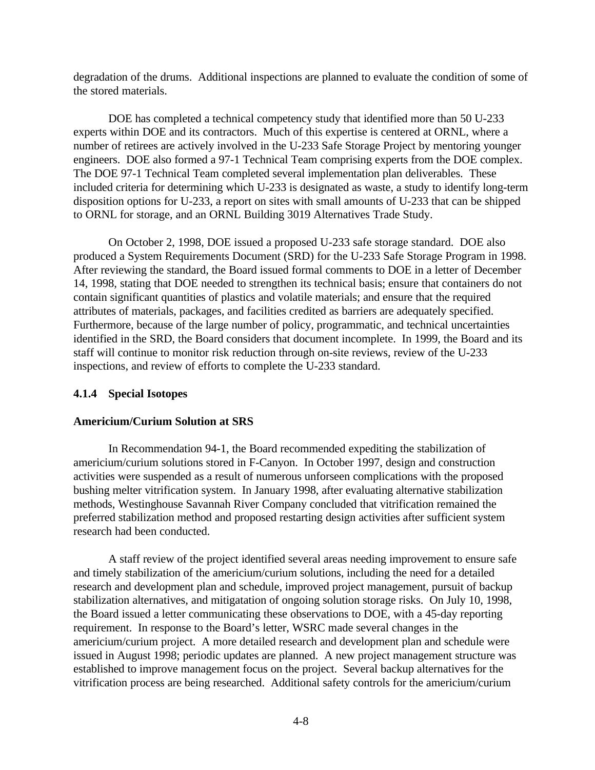degradation of the drums. Additional inspections are planned to evaluate the condition of some of the stored materials.

DOE has completed a technical competency study that identified more than 50 U-233 experts within DOE and its contractors. Much of this expertise is centered at ORNL, where a number of retirees are actively involved in the U-233 Safe Storage Project by mentoring younger engineers. DOE also formed a 97-1 Technical Team comprising experts from the DOE complex. The DOE 97-1 Technical Team completed several implementation plan deliverables. These included criteria for determining which U-233 is designated as waste, a study to identify long-term disposition options for U-233, a report on sites with small amounts of U-233 that can be shipped to ORNL for storage, and an ORNL Building 3019 Alternatives Trade Study.

On October 2, 1998, DOE issued a proposed U-233 safe storage standard. DOE also produced a System Requirements Document (SRD) for the U-233 Safe Storage Program in 1998. After reviewing the standard, the Board issued formal comments to DOE in a letter of December 14, 1998, stating that DOE needed to strengthen its technical basis; ensure that containers do not contain significant quantities of plastics and volatile materials; and ensure that the required attributes of materials, packages, and facilities credited as barriers are adequately specified. Furthermore, because of the large number of policy, programmatic, and technical uncertainties identified in the SRD, the Board considers that document incomplete. In 1999, the Board and its staff will continue to monitor risk reduction through on-site reviews, review of the U-233 inspections, and review of efforts to complete the U-233 standard.

#### **4.1.4 Special Isotopes**

#### **Americium/Curium Solution at SRS**

In Recommendation 94-1, the Board recommended expediting the stabilization of americium/curium solutions stored in F-Canyon. In October 1997, design and construction activities were suspended as a result of numerous unforseen complications with the proposed bushing melter vitrification system. In January 1998, after evaluating alternative stabilization methods, Westinghouse Savannah River Company concluded that vitrification remained the preferred stabilization method and proposed restarting design activities after sufficient system research had been conducted.

A staff review of the project identified several areas needing improvement to ensure safe and timely stabilization of the americium/curium solutions, including the need for a detailed research and development plan and schedule, improved project management, pursuit of backup stabilization alternatives, and mitigatation of ongoing solution storage risks. On July 10, 1998, the Board issued a letter communicating these observations to DOE, with a 45-day reporting requirement. In response to the Board's letter, WSRC made several changes in the americium/curium project. A more detailed research and development plan and schedule were issued in August 1998; periodic updates are planned. A new project management structure was established to improve management focus on the project. Several backup alternatives for the vitrification process are being researched. Additional safety controls for the americium/curium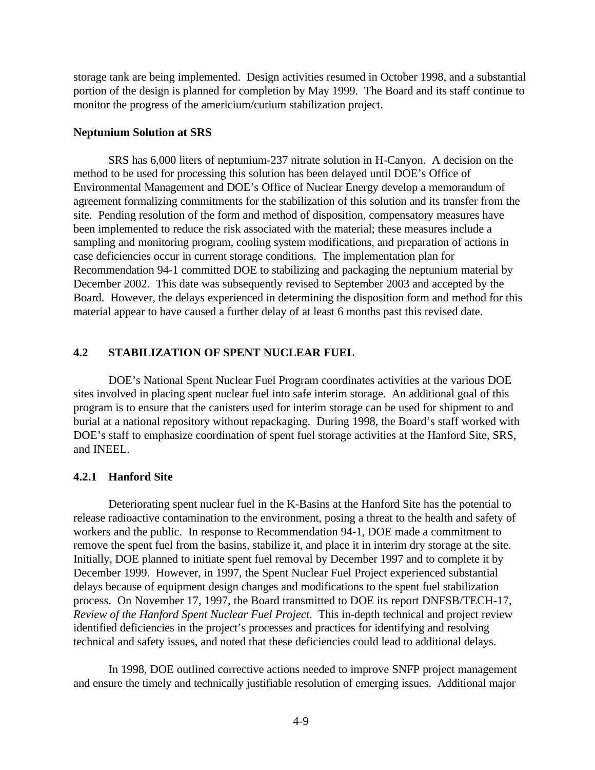storage tank are being implemented. Design activities resumed in October 1998, and a substantial portion of the design is planned for completion by May 1999. The Board and its staff continue to monitor the progress of the americium/curium stabilization project.

#### **Neptunium Solution at SRS**

SRS has 6,000 liters of neptunium-237 nitrate solution in H-Canyon. A decision on the method to be used for processing this solution has been delayed until DOE's Office of Environmental Management and DOE's Office of Nuclear Energy develop a memorandum of agreement formalizing commitments for the stabilization of this solution and its transfer from the site. Pending resolution of the form and method of disposition, compensatory measures have been implemented to reduce the risk associated with the material; these measures include a sampling and monitoring program, cooling system modifications, and preparation of actions in case deficiencies occur in current storage conditions. The implementation plan for Recommendation 94-1 committed DOE to stabilizing and packaging the neptunium material by December 2002. This date was subsequently revised to September 2003 and accepted by the Board. However, the delays experienced in determining the disposition form and method for this material appear to have caused a further delay of at least 6 months past this revised date.

#### **4.2 STABILIZATION OF SPENT NUCLEAR FUEL**

DOE's National Spent Nuclear Fuel Program coordinates activities at the various DOE sites involved in placing spent nuclear fuel into safe interim storage. An additional goal of this program is to ensure that the canisters used for interim storage can be used for shipment to and burial at a national repository without repackaging. During 1998, the Board's staff worked with DOE's staff to emphasize coordination of spent fuel storage activities at the Hanford Site, SRS, and INEEL.

#### **4.2.1 Hanford Site**

Deteriorating spent nuclear fuel in the K-Basins at the Hanford Site has the potential to release radioactive contamination to the environment, posing a threat to the health and safety of workers and the public. In response to Recommendation 94-1, DOE made a commitment to remove the spent fuel from the basins, stabilize it, and place it in interim dry storage at the site. Initially, DOE planned to initiate spent fuel removal by December 1997 and to complete it by December 1999. However, in 1997, the Spent Nuclear Fuel Project experienced substantial delays because of equipment design changes and modifications to the spent fuel stabilization process. On November 17, 1997, the Board transmitted to DOE its report DNFSB/TECH-17, *Review of the Hanford Spent Nuclear Fuel Project*. This in-depth technical and project review identified deficiencies in the project's processes and practices for identifying and resolving technical and safety issues, and noted that these deficiencies could lead to additional delays.

In 1998, DOE outlined corrective actions needed to improve SNFP project management and ensure the timely and technically justifiable resolution of emerging issues. Additional major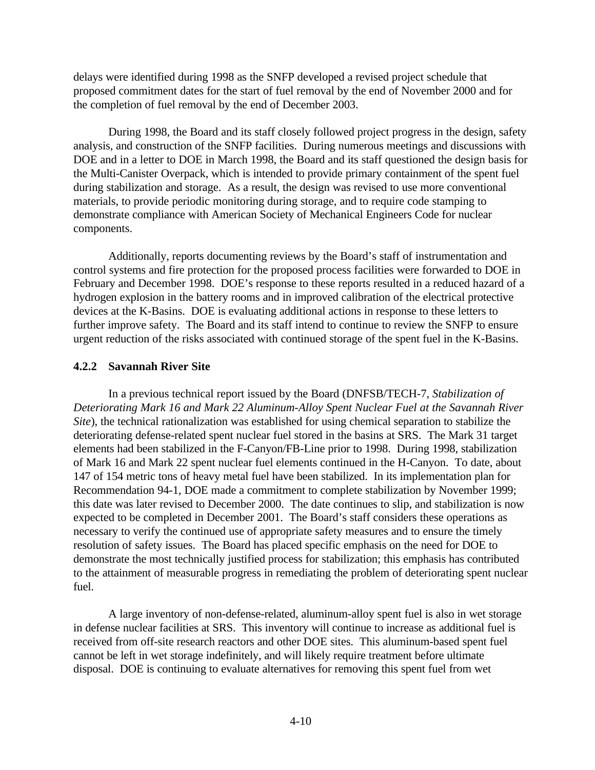delays were identified during 1998 as the SNFP developed a revised project schedule that proposed commitment dates for the start of fuel removal by the end of November 2000 and for the completion of fuel removal by the end of December 2003.

During 1998, the Board and its staff closely followed project progress in the design, safety analysis, and construction of the SNFP facilities. During numerous meetings and discussions with DOE and in a letter to DOE in March 1998, the Board and its staff questioned the design basis for the Multi-Canister Overpack, which is intended to provide primary containment of the spent fuel during stabilization and storage. As a result, the design was revised to use more conventional materials, to provide periodic monitoring during storage, and to require code stamping to demonstrate compliance with American Society of Mechanical Engineers Code for nuclear components.

Additionally, reports documenting reviews by the Board's staff of instrumentation and control systems and fire protection for the proposed process facilities were forwarded to DOE in February and December 1998. DOE's response to these reports resulted in a reduced hazard of a hydrogen explosion in the battery rooms and in improved calibration of the electrical protective devices at the K-Basins. DOE is evaluating additional actions in response to these letters to further improve safety. The Board and its staff intend to continue to review the SNFP to ensure urgent reduction of the risks associated with continued storage of the spent fuel in the K-Basins.

#### **4.2.2 Savannah River Site**

In a previous technical report issued by the Board (DNFSB/TECH-7, *Stabilization of Deteriorating Mark 16 and Mark 22 Aluminum-Alloy Spent Nuclear Fuel at the Savannah River Site*), the technical rationalization was established for using chemical separation to stabilize the deteriorating defense-related spent nuclear fuel stored in the basins at SRS. The Mark 31 target elements had been stabilized in the F-Canyon/FB-Line prior to 1998. During 1998, stabilization of Mark 16 and Mark 22 spent nuclear fuel elements continued in the H-Canyon. To date, about 147 of 154 metric tons of heavy metal fuel have been stabilized. In its implementation plan for Recommendation 94-1, DOE made a commitment to complete stabilization by November 1999; this date was later revised to December 2000. The date continues to slip, and stabilization is now expected to be completed in December 2001. The Board's staff considers these operations as necessary to verify the continued use of appropriate safety measures and to ensure the timely resolution of safety issues. The Board has placed specific emphasis on the need for DOE to demonstrate the most technically justified process for stabilization; this emphasis has contributed to the attainment of measurable progress in remediating the problem of deteriorating spent nuclear fuel.

A large inventory of non-defense-related, aluminum-alloy spent fuel is also in wet storage in defense nuclear facilities at SRS. This inventory will continue to increase as additional fuel is received from off-site research reactors and other DOE sites. This aluminum-based spent fuel cannot be left in wet storage indefinitely, and will likely require treatment before ultimate disposal. DOE is continuing to evaluate alternatives for removing this spent fuel from wet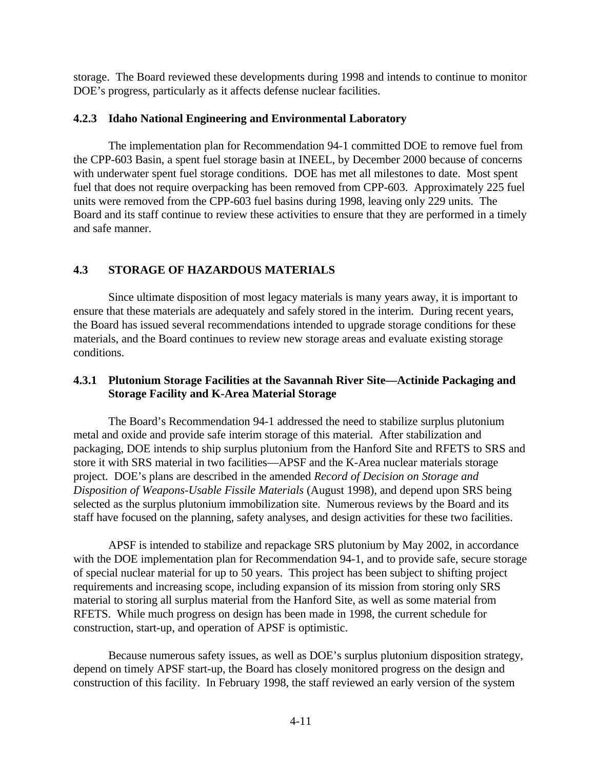storage. The Board reviewed these developments during 1998 and intends to continue to monitor DOE's progress, particularly as it affects defense nuclear facilities.

#### **4.2.3 Idaho National Engineering and Environmental Laboratory**

The implementation plan for Recommendation 94-1 committed DOE to remove fuel from the CPP-603 Basin, a spent fuel storage basin at INEEL, by December 2000 because of concerns with underwater spent fuel storage conditions. DOE has met all milestones to date. Most spent fuel that does not require overpacking has been removed from CPP-603. Approximately 225 fuel units were removed from the CPP-603 fuel basins during 1998, leaving only 229 units. The Board and its staff continue to review these activities to ensure that they are performed in a timely and safe manner.

# **4.3 STORAGE OF HAZARDOUS MATERIALS**

Since ultimate disposition of most legacy materials is many years away, it is important to ensure that these materials are adequately and safely stored in the interim. During recent years, the Board has issued several recommendations intended to upgrade storage conditions for these materials, and the Board continues to review new storage areas and evaluate existing storage conditions.

# **4.3.1 Plutonium Storage Facilities at the Savannah River Site—Actinide Packaging and Storage Facility and K-Area Material Storage**

The Board's Recommendation 94-1 addressed the need to stabilize surplus plutonium metal and oxide and provide safe interim storage of this material. After stabilization and packaging, DOE intends to ship surplus plutonium from the Hanford Site and RFETS to SRS and store it with SRS material in two facilities—APSF and the K-Area nuclear materials storage project. DOE's plans are described in the amended *Record of Decision on Storage and Disposition of Weapons-Usable Fissile Materials* (August 1998), and depend upon SRS being selected as the surplus plutonium immobilization site. Numerous reviews by the Board and its staff have focused on the planning, safety analyses, and design activities for these two facilities.

APSF is intended to stabilize and repackage SRS plutonium by May 2002, in accordance with the DOE implementation plan for Recommendation 94-1, and to provide safe, secure storage of special nuclear material for up to 50 years. This project has been subject to shifting project requirements and increasing scope, including expansion of its mission from storing only SRS material to storing all surplus material from the Hanford Site, as well as some material from RFETS. While much progress on design has been made in 1998, the current schedule for construction, start-up, and operation of APSF is optimistic.

Because numerous safety issues, as well as DOE's surplus plutonium disposition strategy, depend on timely APSF start-up, the Board has closely monitored progress on the design and construction of this facility. In February 1998, the staff reviewed an early version of the system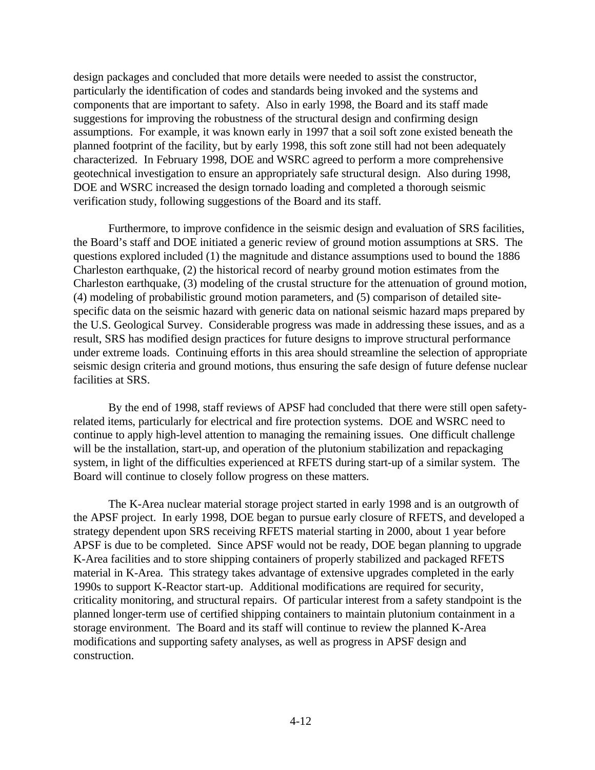design packages and concluded that more details were needed to assist the constructor, particularly the identification of codes and standards being invoked and the systems and components that are important to safety. Also in early 1998, the Board and its staff made suggestions for improving the robustness of the structural design and confirming design assumptions. For example, it was known early in 1997 that a soil soft zone existed beneath the planned footprint of the facility, but by early 1998, this soft zone still had not been adequately characterized. In February 1998, DOE and WSRC agreed to perform a more comprehensive geotechnical investigation to ensure an appropriately safe structural design. Also during 1998, DOE and WSRC increased the design tornado loading and completed a thorough seismic verification study, following suggestions of the Board and its staff.

Furthermore, to improve confidence in the seismic design and evaluation of SRS facilities, the Board's staff and DOE initiated a generic review of ground motion assumptions at SRS. The questions explored included (1) the magnitude and distance assumptions used to bound the 1886 Charleston earthquake, (2) the historical record of nearby ground motion estimates from the Charleston earthquake, (3) modeling of the crustal structure for the attenuation of ground motion, (4) modeling of probabilistic ground motion parameters, and (5) comparison of detailed sitespecific data on the seismic hazard with generic data on national seismic hazard maps prepared by the U.S. Geological Survey. Considerable progress was made in addressing these issues, and as a result, SRS has modified design practices for future designs to improve structural performance under extreme loads. Continuing efforts in this area should streamline the selection of appropriate seismic design criteria and ground motions, thus ensuring the safe design of future defense nuclear facilities at SRS.

By the end of 1998, staff reviews of APSF had concluded that there were still open safetyrelated items, particularly for electrical and fire protection systems. DOE and WSRC need to continue to apply high-level attention to managing the remaining issues. One difficult challenge will be the installation, start-up, and operation of the plutonium stabilization and repackaging system, in light of the difficulties experienced at RFETS during start-up of a similar system. The Board will continue to closely follow progress on these matters.

The K-Area nuclear material storage project started in early 1998 and is an outgrowth of the APSF project. In early 1998, DOE began to pursue early closure of RFETS, and developed a strategy dependent upon SRS receiving RFETS material starting in 2000, about 1 year before APSF is due to be completed. Since APSF would not be ready, DOE began planning to upgrade K-Area facilities and to store shipping containers of properly stabilized and packaged RFETS material in K-Area. This strategy takes advantage of extensive upgrades completed in the early 1990s to support K-Reactor start-up. Additional modifications are required for security, criticality monitoring, and structural repairs. Of particular interest from a safety standpoint is the planned longer-term use of certified shipping containers to maintain plutonium containment in a storage environment. The Board and its staff will continue to review the planned K-Area modifications and supporting safety analyses, as well as progress in APSF design and construction.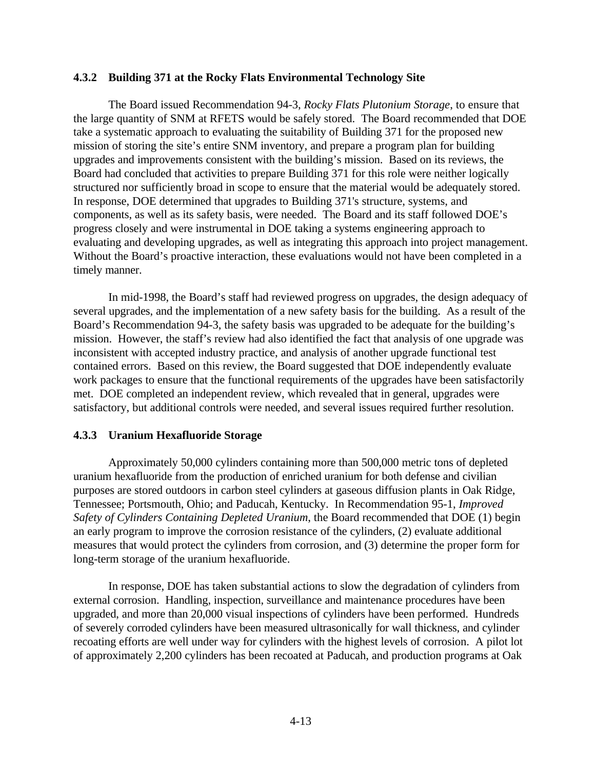#### **4.3.2 Building 371 at the Rocky Flats Environmental Technology Site**

The Board issued Recommendation 94-3, *Rocky Flats Plutonium Storage*, to ensure that the large quantity of SNM at RFETS would be safely stored. The Board recommended that DOE take a systematic approach to evaluating the suitability of Building 371 for the proposed new mission of storing the site's entire SNM inventory, and prepare a program plan for building upgrades and improvements consistent with the building's mission. Based on its reviews, the Board had concluded that activities to prepare Building 371 for this role were neither logically structured nor sufficiently broad in scope to ensure that the material would be adequately stored. In response, DOE determined that upgrades to Building 371's structure, systems, and components, as well as its safety basis, were needed. The Board and its staff followed DOE's progress closely and were instrumental in DOE taking a systems engineering approach to evaluating and developing upgrades, as well as integrating this approach into project management. Without the Board's proactive interaction, these evaluations would not have been completed in a timely manner.

In mid-1998, the Board's staff had reviewed progress on upgrades, the design adequacy of several upgrades, and the implementation of a new safety basis for the building. As a result of the Board's Recommendation 94-3, the safety basis was upgraded to be adequate for the building's mission. However, the staff's review had also identified the fact that analysis of one upgrade was inconsistent with accepted industry practice, and analysis of another upgrade functional test contained errors. Based on this review, the Board suggested that DOE independently evaluate work packages to ensure that the functional requirements of the upgrades have been satisfactorily met. DOE completed an independent review, which revealed that in general, upgrades were satisfactory, but additional controls were needed, and several issues required further resolution.

#### **4.3.3 Uranium Hexafluoride Storage**

Approximately 50,000 cylinders containing more than 500,000 metric tons of depleted uranium hexafluoride from the production of enriched uranium for both defense and civilian purposes are stored outdoors in carbon steel cylinders at gaseous diffusion plants in Oak Ridge, Tennessee; Portsmouth, Ohio; and Paducah, Kentucky. In Recommendation 95-1, *Improved Safety of Cylinders Containing Depleted Uranium*, the Board recommended that DOE (1) begin an early program to improve the corrosion resistance of the cylinders, (2) evaluate additional measures that would protect the cylinders from corrosion, and (3) determine the proper form for long-term storage of the uranium hexafluoride.

In response, DOE has taken substantial actions to slow the degradation of cylinders from external corrosion. Handling, inspection, surveillance and maintenance procedures have been upgraded, and more than 20,000 visual inspections of cylinders have been performed. Hundreds of severely corroded cylinders have been measured ultrasonically for wall thickness, and cylinder recoating efforts are well under way for cylinders with the highest levels of corrosion. A pilot lot of approximately 2,200 cylinders has been recoated at Paducah, and production programs at Oak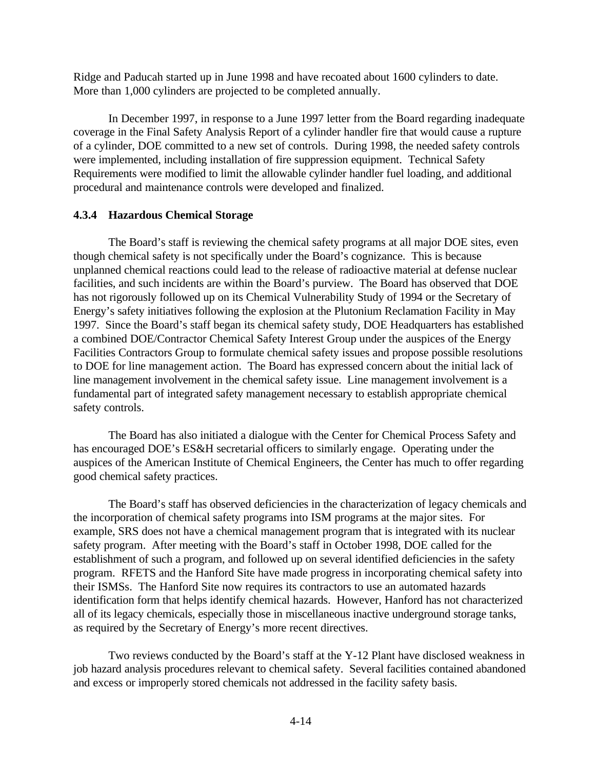Ridge and Paducah started up in June 1998 and have recoated about 1600 cylinders to date. More than 1,000 cylinders are projected to be completed annually.

In December 1997, in response to a June 1997 letter from the Board regarding inadequate coverage in the Final Safety Analysis Report of a cylinder handler fire that would cause a rupture of a cylinder, DOE committed to a new set of controls. During 1998, the needed safety controls were implemented, including installation of fire suppression equipment. Technical Safety Requirements were modified to limit the allowable cylinder handler fuel loading, and additional procedural and maintenance controls were developed and finalized.

#### **4.3.4 Hazardous Chemical Storage**

The Board's staff is reviewing the chemical safety programs at all major DOE sites, even though chemical safety is not specifically under the Board's cognizance. This is because unplanned chemical reactions could lead to the release of radioactive material at defense nuclear facilities, and such incidents are within the Board's purview. The Board has observed that DOE has not rigorously followed up on its Chemical Vulnerability Study of 1994 or the Secretary of Energy's safety initiatives following the explosion at the Plutonium Reclamation Facility in May 1997. Since the Board's staff began its chemical safety study, DOE Headquarters has established a combined DOE/Contractor Chemical Safety Interest Group under the auspices of the Energy Facilities Contractors Group to formulate chemical safety issues and propose possible resolutions to DOE for line management action. The Board has expressed concern about the initial lack of line management involvement in the chemical safety issue. Line management involvement is a fundamental part of integrated safety management necessary to establish appropriate chemical safety controls.

The Board has also initiated a dialogue with the Center for Chemical Process Safety and has encouraged DOE's ES&H secretarial officers to similarly engage. Operating under the auspices of the American Institute of Chemical Engineers, the Center has much to offer regarding good chemical safety practices.

The Board's staff has observed deficiencies in the characterization of legacy chemicals and the incorporation of chemical safety programs into ISM programs at the major sites. For example, SRS does not have a chemical management program that is integrated with its nuclear safety program. After meeting with the Board's staff in October 1998, DOE called for the establishment of such a program, and followed up on several identified deficiencies in the safety program. RFETS and the Hanford Site have made progress in incorporating chemical safety into their ISMSs. The Hanford Site now requires its contractors to use an automated hazards identification form that helps identify chemical hazards. However, Hanford has not characterized all of its legacy chemicals, especially those in miscellaneous inactive underground storage tanks, as required by the Secretary of Energy's more recent directives.

Two reviews conducted by the Board's staff at the Y-12 Plant have disclosed weakness in job hazard analysis procedures relevant to chemical safety. Several facilities contained abandoned and excess or improperly stored chemicals not addressed in the facility safety basis.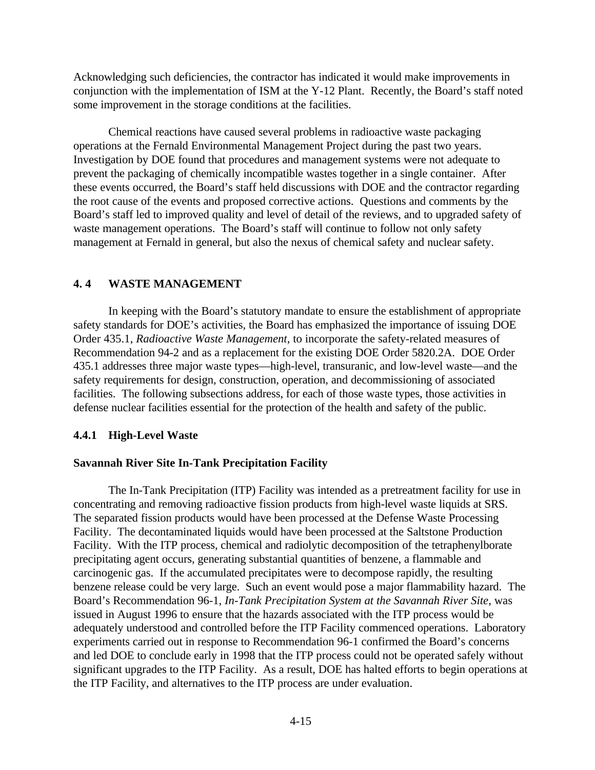Acknowledging such deficiencies, the contractor has indicated it would make improvements in conjunction with the implementation of ISM at the Y-12 Plant. Recently, the Board's staff noted some improvement in the storage conditions at the facilities.

Chemical reactions have caused several problems in radioactive waste packaging operations at the Fernald Environmental Management Project during the past two years. Investigation by DOE found that procedures and management systems were not adequate to prevent the packaging of chemically incompatible wastes together in a single container. After these events occurred, the Board's staff held discussions with DOE and the contractor regarding the root cause of the events and proposed corrective actions. Questions and comments by the Board's staff led to improved quality and level of detail of the reviews, and to upgraded safety of waste management operations. The Board's staff will continue to follow not only safety management at Fernald in general, but also the nexus of chemical safety and nuclear safety.

# **4. 4 WASTE MANAGEMENT**

In keeping with the Board's statutory mandate to ensure the establishment of appropriate safety standards for DOE's activities, the Board has emphasized the importance of issuing DOE Order 435.1, *Radioactive Waste Management,* to incorporate the safety-related measures of Recommendation 94-2 and as a replacement for the existing DOE Order 5820.2A. DOE Order 435.1 addresses three major waste types—high-level, transuranic, and low-level waste—and the safety requirements for design, construction, operation, and decommissioning of associated facilities. The following subsections address, for each of those waste types, those activities in defense nuclear facilities essential for the protection of the health and safety of the public.

# **4.4.1 High-Level Waste**

# **Savannah River Site In-Tank Precipitation Facility**

The In-Tank Precipitation (ITP) Facility was intended as a pretreatment facility for use in concentrating and removing radioactive fission products from high-level waste liquids at SRS. The separated fission products would have been processed at the Defense Waste Processing Facility. The decontaminated liquids would have been processed at the Saltstone Production Facility. With the ITP process, chemical and radiolytic decomposition of the tetraphenylborate precipitating agent occurs, generating substantial quantities of benzene, a flammable and carcinogenic gas. If the accumulated precipitates were to decompose rapidly, the resulting benzene release could be very large. Such an event would pose a major flammability hazard. The Board's Recommendation 96-1, *In-Tank Precipitation System at the Savannah River Site*, was issued in August 1996 to ensure that the hazards associated with the ITP process would be adequately understood and controlled before the ITP Facility commenced operations. Laboratory experiments carried out in response to Recommendation 96-1 confirmed the Board's concerns and led DOE to conclude early in 1998 that the ITP process could not be operated safely without significant upgrades to the ITP Facility. As a result, DOE has halted efforts to begin operations at the ITP Facility, and alternatives to the ITP process are under evaluation.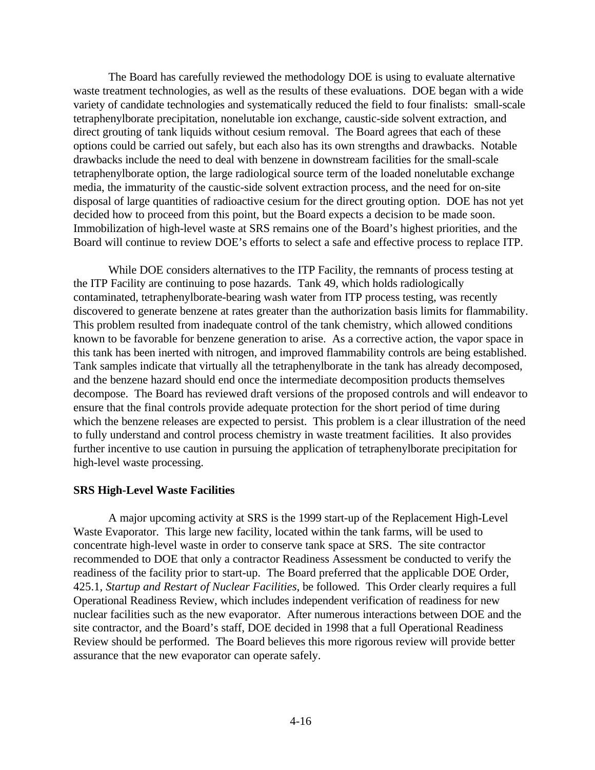The Board has carefully reviewed the methodology DOE is using to evaluate alternative waste treatment technologies, as well as the results of these evaluations. DOE began with a wide variety of candidate technologies and systematically reduced the field to four finalists: small-scale tetraphenylborate precipitation, nonelutable ion exchange, caustic-side solvent extraction, and direct grouting of tank liquids without cesium removal. The Board agrees that each of these options could be carried out safely, but each also has its own strengths and drawbacks. Notable drawbacks include the need to deal with benzene in downstream facilities for the small-scale tetraphenylborate option, the large radiological source term of the loaded nonelutable exchange media, the immaturity of the caustic-side solvent extraction process, and the need for on-site disposal of large quantities of radioactive cesium for the direct grouting option. DOE has not yet decided how to proceed from this point, but the Board expects a decision to be made soon. Immobilization of high-level waste at SRS remains one of the Board's highest priorities, and the Board will continue to review DOE's efforts to select a safe and effective process to replace ITP.

While DOE considers alternatives to the ITP Facility, the remnants of process testing at the ITP Facility are continuing to pose hazards. Tank 49, which holds radiologically contaminated, tetraphenylborate-bearing wash water from ITP process testing, was recently discovered to generate benzene at rates greater than the authorization basis limits for flammability. This problem resulted from inadequate control of the tank chemistry, which allowed conditions known to be favorable for benzene generation to arise. As a corrective action, the vapor space in this tank has been inerted with nitrogen, and improved flammability controls are being established. Tank samples indicate that virtually all the tetraphenylborate in the tank has already decomposed, and the benzene hazard should end once the intermediate decomposition products themselves decompose. The Board has reviewed draft versions of the proposed controls and will endeavor to ensure that the final controls provide adequate protection for the short period of time during which the benzene releases are expected to persist. This problem is a clear illustration of the need to fully understand and control process chemistry in waste treatment facilities. It also provides further incentive to use caution in pursuing the application of tetraphenylborate precipitation for high-level waste processing.

#### **SRS High-Level Waste Facilities**

A major upcoming activity at SRS is the 1999 start-up of the Replacement High-Level Waste Evaporator. This large new facility, located within the tank farms, will be used to concentrate high-level waste in order to conserve tank space at SRS. The site contractor recommended to DOE that only a contractor Readiness Assessment be conducted to verify the readiness of the facility prior to start-up. The Board preferred that the applicable DOE Order, 425.1, *Startup and Restart of Nuclear Facilities*, be followed. This Order clearly requires a full Operational Readiness Review, which includes independent verification of readiness for new nuclear facilities such as the new evaporator. After numerous interactions between DOE and the site contractor, and the Board's staff, DOE decided in 1998 that a full Operational Readiness Review should be performed. The Board believes this more rigorous review will provide better assurance that the new evaporator can operate safely.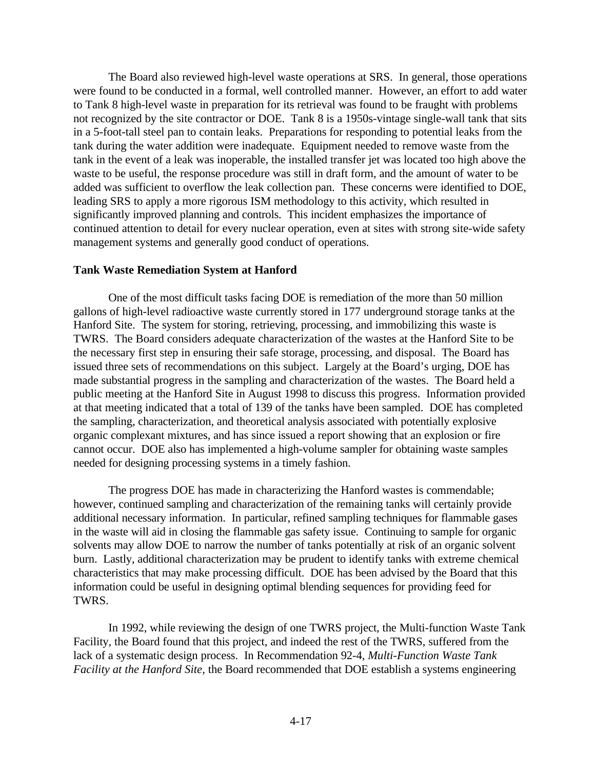The Board also reviewed high-level waste operations at SRS. In general, those operations were found to be conducted in a formal, well controlled manner. However, an effort to add water to Tank 8 high-level waste in preparation for its retrieval was found to be fraught with problems not recognized by the site contractor or DOE. Tank 8 is a 1950s-vintage single-wall tank that sits in a 5-foot-tall steel pan to contain leaks. Preparations for responding to potential leaks from the tank during the water addition were inadequate. Equipment needed to remove waste from the tank in the event of a leak was inoperable, the installed transfer jet was located too high above the waste to be useful, the response procedure was still in draft form, and the amount of water to be added was sufficient to overflow the leak collection pan. These concerns were identified to DOE, leading SRS to apply a more rigorous ISM methodology to this activity, which resulted in significantly improved planning and controls. This incident emphasizes the importance of continued attention to detail for every nuclear operation, even at sites with strong site-wide safety management systems and generally good conduct of operations.

#### **Tank Waste Remediation System at Hanford**

One of the most difficult tasks facing DOE is remediation of the more than 50 million gallons of high-level radioactive waste currently stored in 177 underground storage tanks at the Hanford Site. The system for storing, retrieving, processing, and immobilizing this waste is TWRS. The Board considers adequate characterization of the wastes at the Hanford Site to be the necessary first step in ensuring their safe storage, processing, and disposal. The Board has issued three sets of recommendations on this subject. Largely at the Board's urging, DOE has made substantial progress in the sampling and characterization of the wastes. The Board held a public meeting at the Hanford Site in August 1998 to discuss this progress. Information provided at that meeting indicated that a total of 139 of the tanks have been sampled. DOE has completed the sampling, characterization, and theoretical analysis associated with potentially explosive organic complexant mixtures, and has since issued a report showing that an explosion or fire cannot occur. DOE also has implemented a high-volume sampler for obtaining waste samples needed for designing processing systems in a timely fashion.

The progress DOE has made in characterizing the Hanford wastes is commendable; however, continued sampling and characterization of the remaining tanks will certainly provide additional necessary information. In particular, refined sampling techniques for flammable gases in the waste will aid in closing the flammable gas safety issue. Continuing to sample for organic solvents may allow DOE to narrow the number of tanks potentially at risk of an organic solvent burn. Lastly, additional characterization may be prudent to identify tanks with extreme chemical characteristics that may make processing difficult. DOE has been advised by the Board that this information could be useful in designing optimal blending sequences for providing feed for TWRS.

In 1992, while reviewing the design of one TWRS project, the Multi-function Waste Tank Facility, the Board found that this project, and indeed the rest of the TWRS, suffered from the lack of a systematic design process. In Recommendation 92-4, *Multi-Function Waste Tank Facility at the Hanford Site,* the Board recommended that DOE establish a systems engineering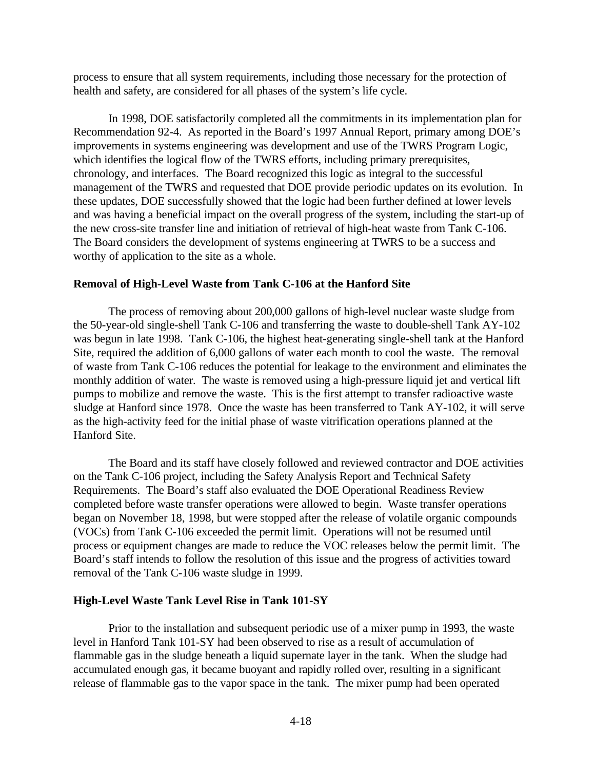process to ensure that all system requirements, including those necessary for the protection of health and safety, are considered for all phases of the system's life cycle.

In 1998, DOE satisfactorily completed all the commitments in its implementation plan for Recommendation 92-4. As reported in the Board's 1997 Annual Report, primary among DOE's improvements in systems engineering was development and use of the TWRS Program Logic, which identifies the logical flow of the TWRS efforts, including primary prerequisites, chronology, and interfaces. The Board recognized this logic as integral to the successful management of the TWRS and requested that DOE provide periodic updates on its evolution. In these updates, DOE successfully showed that the logic had been further defined at lower levels and was having a beneficial impact on the overall progress of the system, including the start-up of the new cross-site transfer line and initiation of retrieval of high-heat waste from Tank C-106. The Board considers the development of systems engineering at TWRS to be a success and worthy of application to the site as a whole.

#### **Removal of High-Level Waste from Tank C-106 at the Hanford Site**

The process of removing about 200,000 gallons of high-level nuclear waste sludge from the 50-year-old single-shell Tank C-106 and transferring the waste to double-shell Tank AY-102 was begun in late 1998. Tank C-106, the highest heat-generating single-shell tank at the Hanford Site, required the addition of 6,000 gallons of water each month to cool the waste. The removal of waste from Tank C-106 reduces the potential for leakage to the environment and eliminates the monthly addition of water. The waste is removed using a high-pressure liquid jet and vertical lift pumps to mobilize and remove the waste. This is the first attempt to transfer radioactive waste sludge at Hanford since 1978. Once the waste has been transferred to Tank AY-102, it will serve as the high-activity feed for the initial phase of waste vitrification operations planned at the Hanford Site.

The Board and its staff have closely followed and reviewed contractor and DOE activities on the Tank C-106 project, including the Safety Analysis Report and Technical Safety Requirements. The Board's staff also evaluated the DOE Operational Readiness Review completed before waste transfer operations were allowed to begin. Waste transfer operations began on November 18, 1998, but were stopped after the release of volatile organic compounds (VOCs) from Tank C-106 exceeded the permit limit. Operations will not be resumed until process or equipment changes are made to reduce the VOC releases below the permit limit. The Board's staff intends to follow the resolution of this issue and the progress of activities toward removal of the Tank C-106 waste sludge in 1999.

#### **High-Level Waste Tank Level Rise in Tank 101-SY**

Prior to the installation and subsequent periodic use of a mixer pump in 1993, the waste level in Hanford Tank 101-SY had been observed to rise as a result of accumulation of flammable gas in the sludge beneath a liquid supernate layer in the tank. When the sludge had accumulated enough gas, it became buoyant and rapidly rolled over, resulting in a significant release of flammable gas to the vapor space in the tank. The mixer pump had been operated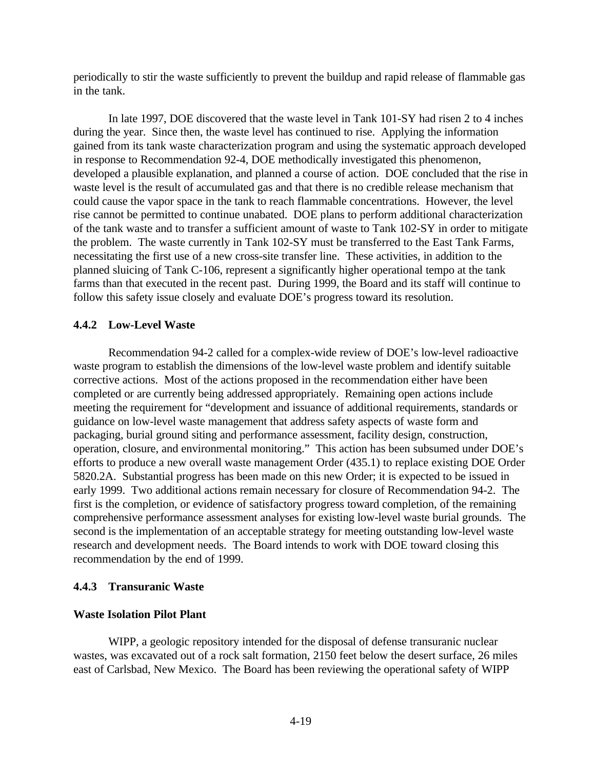periodically to stir the waste sufficiently to prevent the buildup and rapid release of flammable gas in the tank.

In late 1997, DOE discovered that the waste level in Tank 101-SY had risen 2 to 4 inches during the year. Since then, the waste level has continued to rise. Applying the information gained from its tank waste characterization program and using the systematic approach developed in response to Recommendation 92-4, DOE methodically investigated this phenomenon, developed a plausible explanation, and planned a course of action. DOE concluded that the rise in waste level is the result of accumulated gas and that there is no credible release mechanism that could cause the vapor space in the tank to reach flammable concentrations. However, the level rise cannot be permitted to continue unabated. DOE plans to perform additional characterization of the tank waste and to transfer a sufficient amount of waste to Tank 102-SY in order to mitigate the problem. The waste currently in Tank 102-SY must be transferred to the East Tank Farms, necessitating the first use of a new cross-site transfer line. These activities, in addition to the planned sluicing of Tank C-106, represent a significantly higher operational tempo at the tank farms than that executed in the recent past. During 1999, the Board and its staff will continue to follow this safety issue closely and evaluate DOE's progress toward its resolution.

#### **4.4.2 Low-Level Waste**

Recommendation 94-2 called for a complex-wide review of DOE's low-level radioactive waste program to establish the dimensions of the low-level waste problem and identify suitable corrective actions. Most of the actions proposed in the recommendation either have been completed or are currently being addressed appropriately. Remaining open actions include meeting the requirement for "development and issuance of additional requirements, standards or guidance on low-level waste management that address safety aspects of waste form and packaging, burial ground siting and performance assessment, facility design, construction, operation, closure, and environmental monitoring." This action has been subsumed under DOE's efforts to produce a new overall waste management Order (435.1) to replace existing DOE Order 5820.2A. Substantial progress has been made on this new Order; it is expected to be issued in early 1999. Two additional actions remain necessary for closure of Recommendation 94-2. The first is the completion, or evidence of satisfactory progress toward completion, of the remaining comprehensive performance assessment analyses for existing low-level waste burial grounds. The second is the implementation of an acceptable strategy for meeting outstanding low-level waste research and development needs. The Board intends to work with DOE toward closing this recommendation by the end of 1999.

#### **4.4.3 Transuranic Waste**

#### **Waste Isolation Pilot Plant**

WIPP, a geologic repository intended for the disposal of defense transuranic nuclear wastes, was excavated out of a rock salt formation, 2150 feet below the desert surface, 26 miles east of Carlsbad, New Mexico. The Board has been reviewing the operational safety of WIPP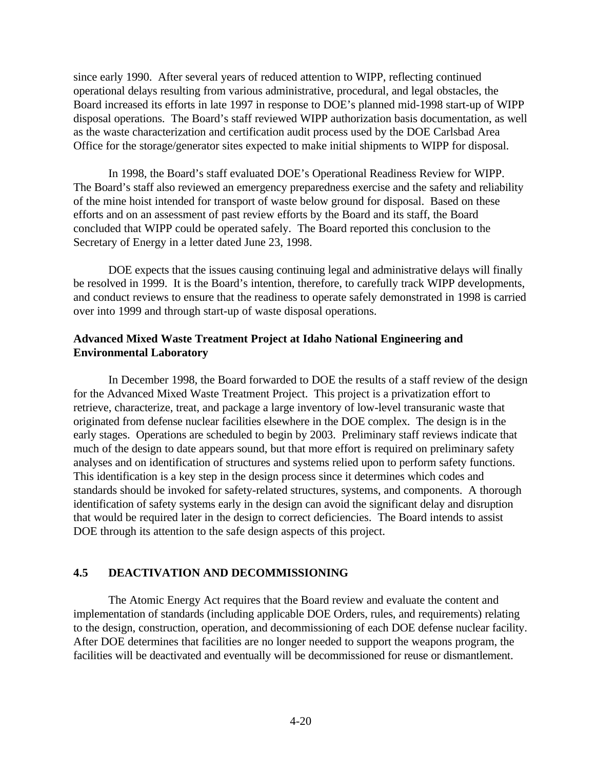since early 1990. After several years of reduced attention to WIPP, reflecting continued operational delays resulting from various administrative, procedural, and legal obstacles, the Board increased its efforts in late 1997 in response to DOE's planned mid-1998 start-up of WIPP disposal operations. The Board's staff reviewed WIPP authorization basis documentation, as well as the waste characterization and certification audit process used by the DOE Carlsbad Area Office for the storage/generator sites expected to make initial shipments to WIPP for disposal.

In 1998, the Board's staff evaluated DOE's Operational Readiness Review for WIPP. The Board's staff also reviewed an emergency preparedness exercise and the safety and reliability of the mine hoist intended for transport of waste below ground for disposal. Based on these efforts and on an assessment of past review efforts by the Board and its staff, the Board concluded that WIPP could be operated safely. The Board reported this conclusion to the Secretary of Energy in a letter dated June 23, 1998.

DOE expects that the issues causing continuing legal and administrative delays will finally be resolved in 1999. It is the Board's intention, therefore, to carefully track WIPP developments, and conduct reviews to ensure that the readiness to operate safely demonstrated in 1998 is carried over into 1999 and through start-up of waste disposal operations.

## **Advanced Mixed Waste Treatment Project at Idaho National Engineering and Environmental Laboratory**

In December 1998, the Board forwarded to DOE the results of a staff review of the design for the Advanced Mixed Waste Treatment Project. This project is a privatization effort to retrieve, characterize, treat, and package a large inventory of low-level transuranic waste that originated from defense nuclear facilities elsewhere in the DOE complex. The design is in the early stages. Operations are scheduled to begin by 2003. Preliminary staff reviews indicate that much of the design to date appears sound, but that more effort is required on preliminary safety analyses and on identification of structures and systems relied upon to perform safety functions. This identification is a key step in the design process since it determines which codes and standards should be invoked for safety-related structures, systems, and components. A thorough identification of safety systems early in the design can avoid the significant delay and disruption that would be required later in the design to correct deficiencies. The Board intends to assist DOE through its attention to the safe design aspects of this project.

# **4.5 DEACTIVATION AND DECOMMISSIONING**

The Atomic Energy Act requires that the Board review and evaluate the content and implementation of standards (including applicable DOE Orders, rules, and requirements) relating to the design, construction, operation, and decommissioning of each DOE defense nuclear facility. After DOE determines that facilities are no longer needed to support the weapons program, the facilities will be deactivated and eventually will be decommissioned for reuse or dismantlement.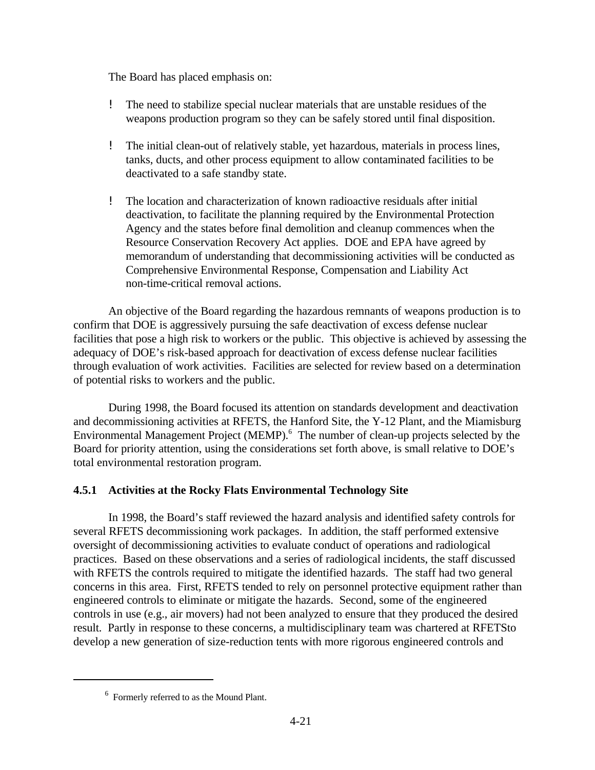The Board has placed emphasis on:

- ! The need to stabilize special nuclear materials that are unstable residues of the weapons production program so they can be safely stored until final disposition.
- ! The initial clean-out of relatively stable, yet hazardous, materials in process lines, tanks, ducts, and other process equipment to allow contaminated facilities to be deactivated to a safe standby state.
- ! The location and characterization of known radioactive residuals after initial deactivation, to facilitate the planning required by the Environmental Protection Agency and the states before final demolition and cleanup commences when the Resource Conservation Recovery Act applies. DOE and EPA have agreed by memorandum of understanding that decommissioning activities will be conducted as Comprehensive Environmental Response, Compensation and Liability Act non-time-critical removal actions.

An objective of the Board regarding the hazardous remnants of weapons production is to confirm that DOE is aggressively pursuing the safe deactivation of excess defense nuclear facilities that pose a high risk to workers or the public. This objective is achieved by assessing the adequacy of DOE's risk-based approach for deactivation of excess defense nuclear facilities through evaluation of work activities. Facilities are selected for review based on a determination of potential risks to workers and the public.

During 1998, the Board focused its attention on standards development and deactivation and decommissioning activities at RFETS, the Hanford Site, the Y-12 Plant, and the Miamisburg Environmental Management Project (MEMP). $<sup>6</sup>$  The number of clean-up projects selected by the</sup> Board for priority attention, using the considerations set forth above, is small relative to DOE's total environmental restoration program.

# **4.5.1 Activities at the Rocky Flats Environmental Technology Site**

In 1998, the Board's staff reviewed the hazard analysis and identified safety controls for several RFETS decommissioning work packages. In addition, the staff performed extensive oversight of decommissioning activities to evaluate conduct of operations and radiological practices. Based on these observations and a series of radiological incidents, the staff discussed with RFETS the controls required to mitigate the identified hazards. The staff had two general concerns in this area. First, RFETS tended to rely on personnel protective equipment rather than engineered controls to eliminate or mitigate the hazards. Second, some of the engineered controls in use (e.g., air movers) had not been analyzed to ensure that they produced the desired result. Partly in response to these concerns, a multidisciplinary team was chartered at RFETSto develop a new generation of size-reduction tents with more rigorous engineered controls and

 $6$  Formerly referred to as the Mound Plant.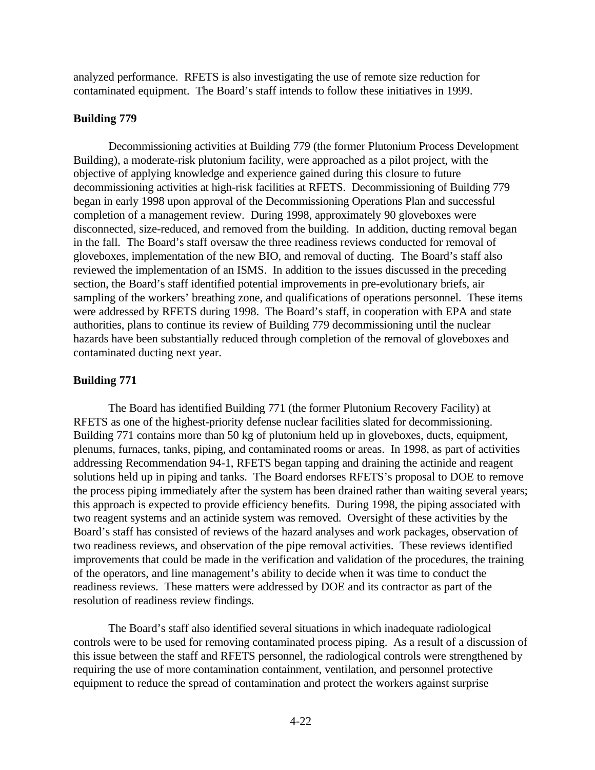analyzed performance. RFETS is also investigating the use of remote size reduction for contaminated equipment. The Board's staff intends to follow these initiatives in 1999.

#### **Building 779**

Decommissioning activities at Building 779 (the former Plutonium Process Development Building), a moderate-risk plutonium facility, were approached as a pilot project, with the objective of applying knowledge and experience gained during this closure to future decommissioning activities at high-risk facilities at RFETS. Decommissioning of Building 779 began in early 1998 upon approval of the Decommissioning Operations Plan and successful completion of a management review. During 1998, approximately 90 gloveboxes were disconnected, size-reduced, and removed from the building. In addition, ducting removal began in the fall. The Board's staff oversaw the three readiness reviews conducted for removal of gloveboxes, implementation of the new BIO, and removal of ducting. The Board's staff also reviewed the implementation of an ISMS. In addition to the issues discussed in the preceding section, the Board's staff identified potential improvements in pre-evolutionary briefs, air sampling of the workers' breathing zone, and qualifications of operations personnel. These items were addressed by RFETS during 1998. The Board's staff, in cooperation with EPA and state authorities, plans to continue its review of Building 779 decommissioning until the nuclear hazards have been substantially reduced through completion of the removal of gloveboxes and contaminated ducting next year.

# **Building 771**

The Board has identified Building 771 (the former Plutonium Recovery Facility) at RFETS as one of the highest-priority defense nuclear facilities slated for decommissioning. Building 771 contains more than 50 kg of plutonium held up in gloveboxes, ducts, equipment, plenums, furnaces, tanks, piping, and contaminated rooms or areas. In 1998, as part of activities addressing Recommendation 94-1, RFETS began tapping and draining the actinide and reagent solutions held up in piping and tanks. The Board endorses RFETS's proposal to DOE to remove the process piping immediately after the system has been drained rather than waiting several years; this approach is expected to provide efficiency benefits. During 1998, the piping associated with two reagent systems and an actinide system was removed. Oversight of these activities by the Board's staff has consisted of reviews of the hazard analyses and work packages, observation of two readiness reviews, and observation of the pipe removal activities. These reviews identified improvements that could be made in the verification and validation of the procedures, the training of the operators, and line management's ability to decide when it was time to conduct the readiness reviews. These matters were addressed by DOE and its contractor as part of the resolution of readiness review findings.

The Board's staff also identified several situations in which inadequate radiological controls were to be used for removing contaminated process piping. As a result of a discussion of this issue between the staff and RFETS personnel, the radiological controls were strengthened by requiring the use of more contamination containment, ventilation, and personnel protective equipment to reduce the spread of contamination and protect the workers against surprise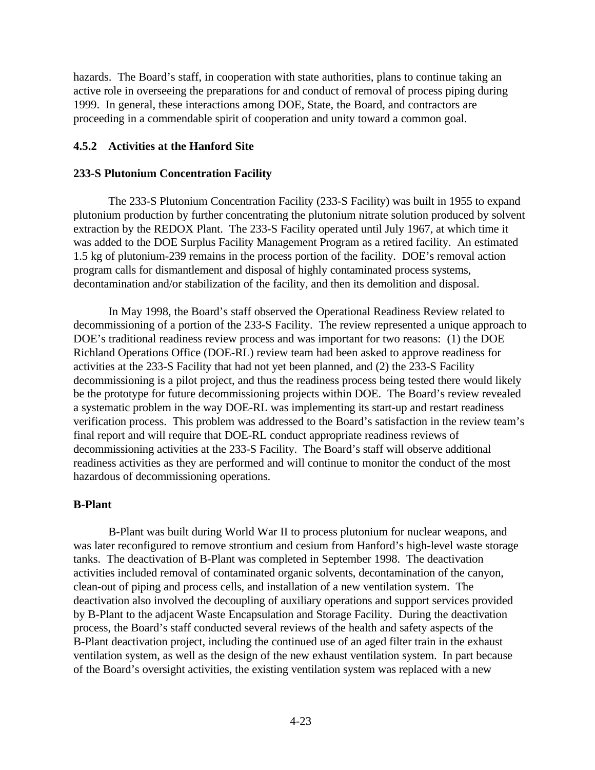hazards. The Board's staff, in cooperation with state authorities, plans to continue taking an active role in overseeing the preparations for and conduct of removal of process piping during 1999. In general, these interactions among DOE, State, the Board, and contractors are proceeding in a commendable spirit of cooperation and unity toward a common goal.

#### **4.5.2 Activities at the Hanford Site**

#### **233-S Plutonium Concentration Facility**

The 233-S Plutonium Concentration Facility (233-S Facility) was built in 1955 to expand plutonium production by further concentrating the plutonium nitrate solution produced by solvent extraction by the REDOX Plant. The 233-S Facility operated until July 1967, at which time it was added to the DOE Surplus Facility Management Program as a retired facility. An estimated 1.5 kg of plutonium-239 remains in the process portion of the facility. DOE's removal action program calls for dismantlement and disposal of highly contaminated process systems, decontamination and/or stabilization of the facility, and then its demolition and disposal.

In May 1998, the Board's staff observed the Operational Readiness Review related to decommissioning of a portion of the 233-S Facility. The review represented a unique approach to DOE's traditional readiness review process and was important for two reasons: (1) the DOE Richland Operations Office (DOE-RL) review team had been asked to approve readiness for activities at the 233-S Facility that had not yet been planned, and (2) the 233-S Facility decommissioning is a pilot project, and thus the readiness process being tested there would likely be the prototype for future decommissioning projects within DOE. The Board's review revealed a systematic problem in the way DOE-RL was implementing its start-up and restart readiness verification process. This problem was addressed to the Board's satisfaction in the review team's final report and will require that DOE-RL conduct appropriate readiness reviews of decommissioning activities at the 233-S Facility. The Board's staff will observe additional readiness activities as they are performed and will continue to monitor the conduct of the most hazardous of decommissioning operations.

#### **B-Plant**

B-Plant was built during World War II to process plutonium for nuclear weapons, and was later reconfigured to remove strontium and cesium from Hanford's high-level waste storage tanks. The deactivation of B-Plant was completed in September 1998. The deactivation activities included removal of contaminated organic solvents, decontamination of the canyon, clean-out of piping and process cells, and installation of a new ventilation system. The deactivation also involved the decoupling of auxiliary operations and support services provided by B-Plant to the adjacent Waste Encapsulation and Storage Facility. During the deactivation process, the Board's staff conducted several reviews of the health and safety aspects of the B-Plant deactivation project, including the continued use of an aged filter train in the exhaust ventilation system, as well as the design of the new exhaust ventilation system. In part because of the Board's oversight activities, the existing ventilation system was replaced with a new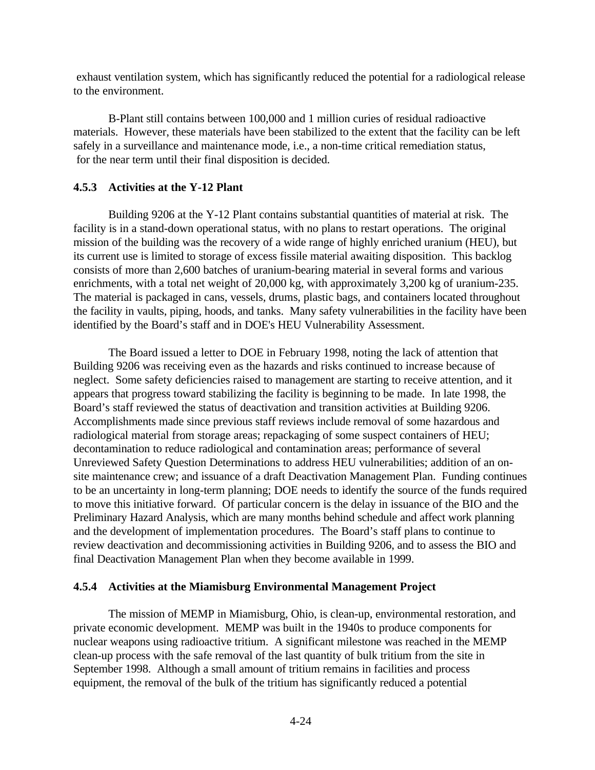exhaust ventilation system, which has significantly reduced the potential for a radiological release to the environment.

B-Plant still contains between 100,000 and 1 million curies of residual radioactive materials. However, these materials have been stabilized to the extent that the facility can be left safely in a surveillance and maintenance mode, i.e., a non-time critical remediation status, for the near term until their final disposition is decided.

## **4.5.3 Activities at the Y-12 Plant**

Building 9206 at the Y-12 Plant contains substantial quantities of material at risk. The facility is in a stand-down operational status, with no plans to restart operations. The original mission of the building was the recovery of a wide range of highly enriched uranium (HEU), but its current use is limited to storage of excess fissile material awaiting disposition. This backlog consists of more than 2,600 batches of uranium-bearing material in several forms and various enrichments, with a total net weight of 20,000 kg, with approximately 3,200 kg of uranium-235. The material is packaged in cans, vessels, drums, plastic bags, and containers located throughout the facility in vaults, piping, hoods, and tanks. Many safety vulnerabilities in the facility have been identified by the Board's staff and in DOE's HEU Vulnerability Assessment.

The Board issued a letter to DOE in February 1998, noting the lack of attention that Building 9206 was receiving even as the hazards and risks continued to increase because of neglect. Some safety deficiencies raised to management are starting to receive attention, and it appears that progress toward stabilizing the facility is beginning to be made. In late 1998, the Board's staff reviewed the status of deactivation and transition activities at Building 9206. Accomplishments made since previous staff reviews include removal of some hazardous and radiological material from storage areas; repackaging of some suspect containers of HEU; decontamination to reduce radiological and contamination areas; performance of several Unreviewed Safety Question Determinations to address HEU vulnerabilities; addition of an onsite maintenance crew; and issuance of a draft Deactivation Management Plan. Funding continues to be an uncertainty in long-term planning; DOE needs to identify the source of the funds required to move this initiative forward. Of particular concern is the delay in issuance of the BIO and the Preliminary Hazard Analysis, which are many months behind schedule and affect work planning and the development of implementation procedures. The Board's staff plans to continue to review deactivation and decommissioning activities in Building 9206, and to assess the BIO and final Deactivation Management Plan when they become available in 1999.

#### **4.5.4 Activities at the Miamisburg Environmental Management Project**

The mission of MEMP in Miamisburg, Ohio, is clean-up, environmental restoration, and private economic development. MEMP was built in the 1940s to produce components for nuclear weapons using radioactive tritium. A significant milestone was reached in the MEMP clean-up process with the safe removal of the last quantity of bulk tritium from the site in September 1998. Although a small amount of tritium remains in facilities and process equipment, the removal of the bulk of the tritium has significantly reduced a potential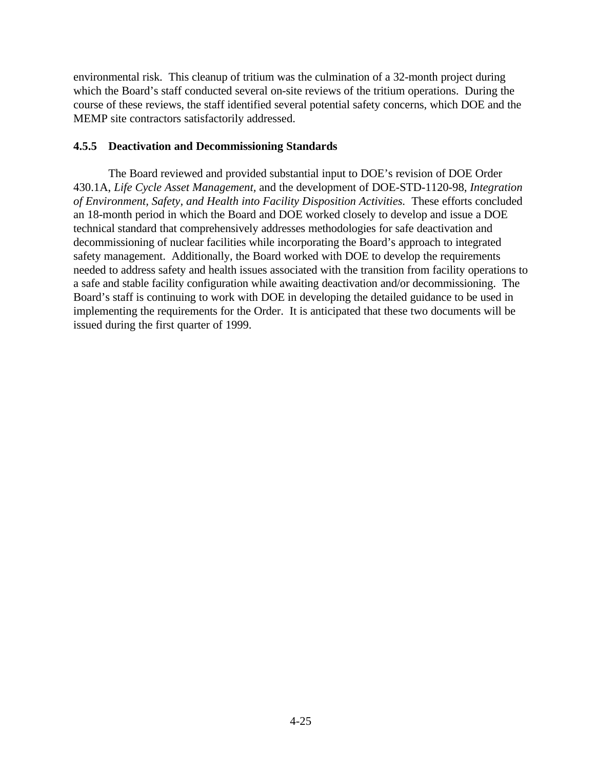environmental risk. This cleanup of tritium was the culmination of a 32-month project during which the Board's staff conducted several on-site reviews of the tritium operations. During the course of these reviews, the staff identified several potential safety concerns, which DOE and the MEMP site contractors satisfactorily addressed.

## **4.5.5 Deactivation and Decommissioning Standards**

The Board reviewed and provided substantial input to DOE's revision of DOE Order 430.1A, *Life Cycle Asset Management,* and the development of DOE-STD-1120-98, *Integration of Environment, Safety, and Health into Facility Disposition Activities.* These efforts concluded an 18-month period in which the Board and DOE worked closely to develop and issue a DOE technical standard that comprehensively addresses methodologies for safe deactivation and decommissioning of nuclear facilities while incorporating the Board's approach to integrated safety management. Additionally, the Board worked with DOE to develop the requirements needed to address safety and health issues associated with the transition from facility operations to a safe and stable facility configuration while awaiting deactivation and/or decommissioning. The Board's staff is continuing to work with DOE in developing the detailed guidance to be used in implementing the requirements for the Order. It is anticipated that these two documents will be issued during the first quarter of 1999.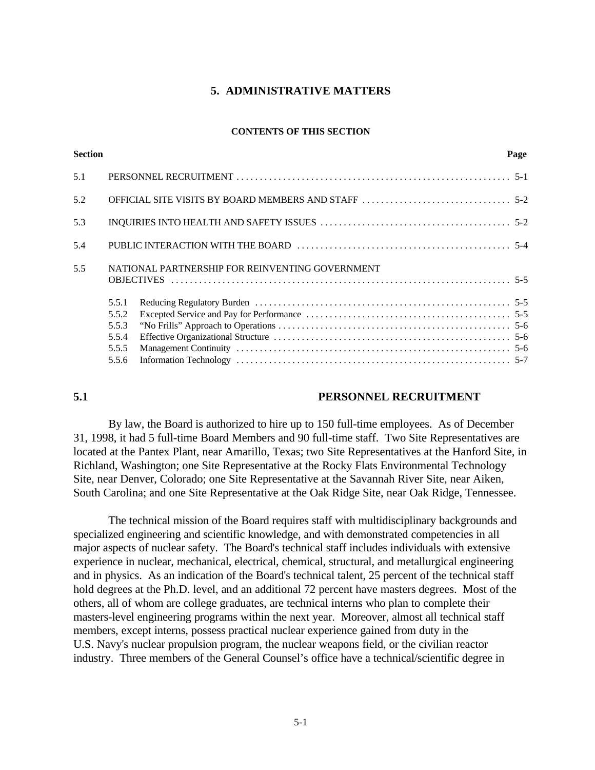#### **5. ADMINISTRATIVE MATTERS**

#### **CONTENTS OF THIS SECTION**

| <b>Section</b> |       |                                                 | Page |
|----------------|-------|-------------------------------------------------|------|
| 5.1            |       |                                                 |      |
| 5.2            |       |                                                 |      |
| 5.3            |       |                                                 |      |
| 5.4            |       |                                                 |      |
| 5.5            |       | NATIONAL PARTNERSHIP FOR REINVENTING GOVERNMENT |      |
|                | 5.5.1 |                                                 |      |
|                | 5.5.2 |                                                 |      |
|                | 5.5.3 |                                                 |      |
|                | 5.5.4 |                                                 |      |
|                | 5.5.5 |                                                 |      |
|                | 5.5.6 |                                                 |      |
|                |       |                                                 |      |

#### **5.1 PERSONNEL RECRUITMENT**

By law, the Board is authorized to hire up to 150 full-time employees. As of December 31, 1998, it had 5 full-time Board Members and 90 full-time staff. Two Site Representatives are located at the Pantex Plant, near Amarillo, Texas; two Site Representatives at the Hanford Site, in Richland, Washington; one Site Representative at the Rocky Flats Environmental Technology Site, near Denver, Colorado; one Site Representative at the Savannah River Site, near Aiken, South Carolina; and one Site Representative at the Oak Ridge Site, near Oak Ridge, Tennessee.

The technical mission of the Board requires staff with multidisciplinary backgrounds and specialized engineering and scientific knowledge, and with demonstrated competencies in all major aspects of nuclear safety. The Board's technical staff includes individuals with extensive experience in nuclear, mechanical, electrical, chemical, structural, and metallurgical engineering and in physics. As an indication of the Board's technical talent, 25 percent of the technical staff hold degrees at the Ph.D. level, and an additional 72 percent have masters degrees. Most of the others, all of whom are college graduates, are technical interns who plan to complete their masters-level engineering programs within the next year. Moreover, almost all technical staff members, except interns, possess practical nuclear experience gained from duty in the U.S. Navy's nuclear propulsion program, the nuclear weapons field, or the civilian reactor industry. Three members of the General Counsel's office have a technical/scientific degree in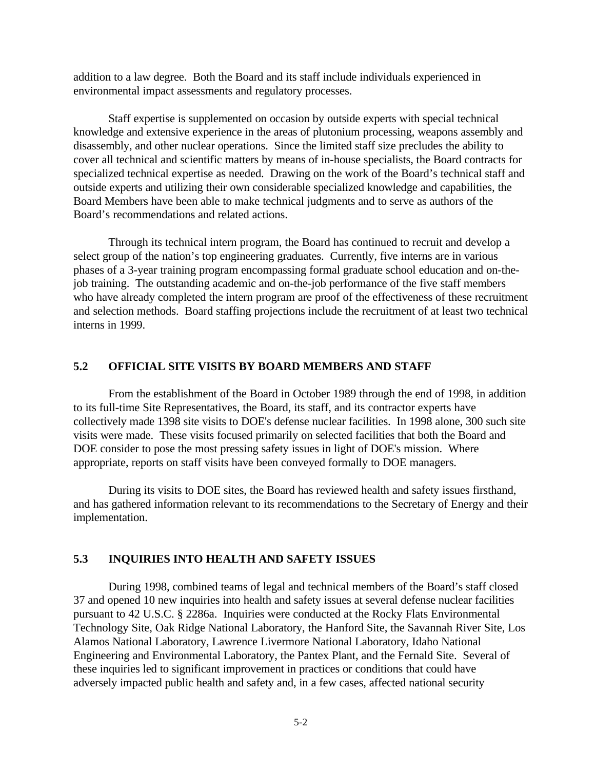addition to a law degree. Both the Board and its staff include individuals experienced in environmental impact assessments and regulatory processes.

Staff expertise is supplemented on occasion by outside experts with special technical knowledge and extensive experience in the areas of plutonium processing, weapons assembly and disassembly, and other nuclear operations. Since the limited staff size precludes the ability to cover all technical and scientific matters by means of in-house specialists, the Board contracts for specialized technical expertise as needed. Drawing on the work of the Board's technical staff and outside experts and utilizing their own considerable specialized knowledge and capabilities, the Board Members have been able to make technical judgments and to serve as authors of the Board's recommendations and related actions.

Through its technical intern program, the Board has continued to recruit and develop a select group of the nation's top engineering graduates. Currently, five interns are in various phases of a 3-year training program encompassing formal graduate school education and on-thejob training. The outstanding academic and on-the-job performance of the five staff members who have already completed the intern program are proof of the effectiveness of these recruitment and selection methods. Board staffing projections include the recruitment of at least two technical interns in 1999.

#### **5.2 OFFICIAL SITE VISITS BY BOARD MEMBERS AND STAFF**

From the establishment of the Board in October 1989 through the end of 1998, in addition to its full-time Site Representatives, the Board, its staff, and its contractor experts have collectively made 1398 site visits to DOE's defense nuclear facilities. In 1998 alone, 300 such site visits were made. These visits focused primarily on selected facilities that both the Board and DOE consider to pose the most pressing safety issues in light of DOE's mission. Where appropriate, reports on staff visits have been conveyed formally to DOE managers.

During its visits to DOE sites, the Board has reviewed health and safety issues firsthand, and has gathered information relevant to its recommendations to the Secretary of Energy and their implementation.

#### **5.3 INQUIRIES INTO HEALTH AND SAFETY ISSUES**

During 1998, combined teams of legal and technical members of the Board's staff closed 37 and opened 10 new inquiries into health and safety issues at several defense nuclear facilities pursuant to 42 U.S.C. § 2286a. Inquiries were conducted at the Rocky Flats Environmental Technology Site, Oak Ridge National Laboratory, the Hanford Site, the Savannah River Site, Los Alamos National Laboratory, Lawrence Livermore National Laboratory, Idaho National Engineering and Environmental Laboratory, the Pantex Plant, and the Fernald Site. Several of these inquiries led to significant improvement in practices or conditions that could have adversely impacted public health and safety and, in a few cases, affected national security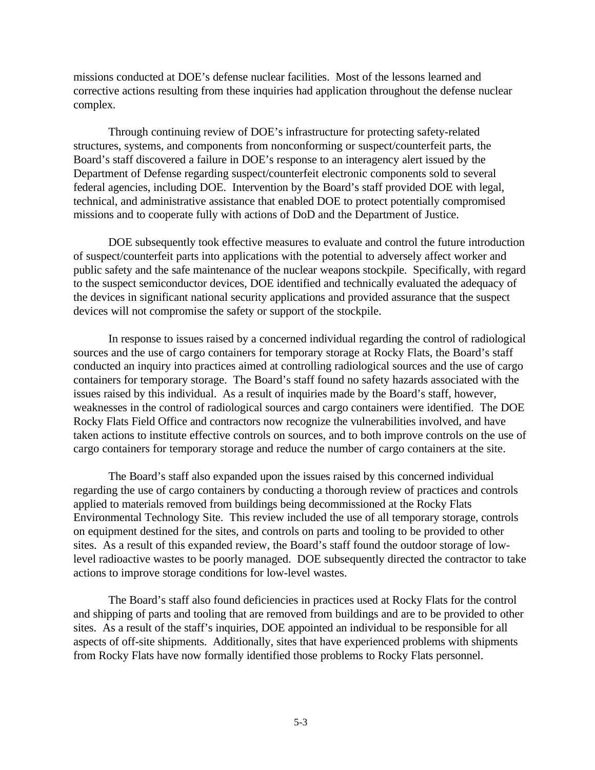missions conducted at DOE's defense nuclear facilities. Most of the lessons learned and corrective actions resulting from these inquiries had application throughout the defense nuclear complex.

Through continuing review of DOE's infrastructure for protecting safety-related structures, systems, and components from nonconforming or suspect/counterfeit parts, the Board's staff discovered a failure in DOE's response to an interagency alert issued by the Department of Defense regarding suspect/counterfeit electronic components sold to several federal agencies, including DOE. Intervention by the Board's staff provided DOE with legal, technical, and administrative assistance that enabled DOE to protect potentially compromised missions and to cooperate fully with actions of DoD and the Department of Justice.

DOE subsequently took effective measures to evaluate and control the future introduction of suspect/counterfeit parts into applications with the potential to adversely affect worker and public safety and the safe maintenance of the nuclear weapons stockpile. Specifically, with regard to the suspect semiconductor devices, DOE identified and technically evaluated the adequacy of the devices in significant national security applications and provided assurance that the suspect devices will not compromise the safety or support of the stockpile.

In response to issues raised by a concerned individual regarding the control of radiological sources and the use of cargo containers for temporary storage at Rocky Flats, the Board's staff conducted an inquiry into practices aimed at controlling radiological sources and the use of cargo containers for temporary storage. The Board's staff found no safety hazards associated with the issues raised by this individual. As a result of inquiries made by the Board's staff, however, weaknesses in the control of radiological sources and cargo containers were identified. The DOE Rocky Flats Field Office and contractors now recognize the vulnerabilities involved, and have taken actions to institute effective controls on sources, and to both improve controls on the use of cargo containers for temporary storage and reduce the number of cargo containers at the site.

The Board's staff also expanded upon the issues raised by this concerned individual regarding the use of cargo containers by conducting a thorough review of practices and controls applied to materials removed from buildings being decommissioned at the Rocky Flats Environmental Technology Site. This review included the use of all temporary storage, controls on equipment destined for the sites, and controls on parts and tooling to be provided to other sites. As a result of this expanded review, the Board's staff found the outdoor storage of lowlevel radioactive wastes to be poorly managed. DOE subsequently directed the contractor to take actions to improve storage conditions for low-level wastes.

The Board's staff also found deficiencies in practices used at Rocky Flats for the control and shipping of parts and tooling that are removed from buildings and are to be provided to other sites. As a result of the staff's inquiries, DOE appointed an individual to be responsible for all aspects of off-site shipments. Additionally, sites that have experienced problems with shipments from Rocky Flats have now formally identified those problems to Rocky Flats personnel.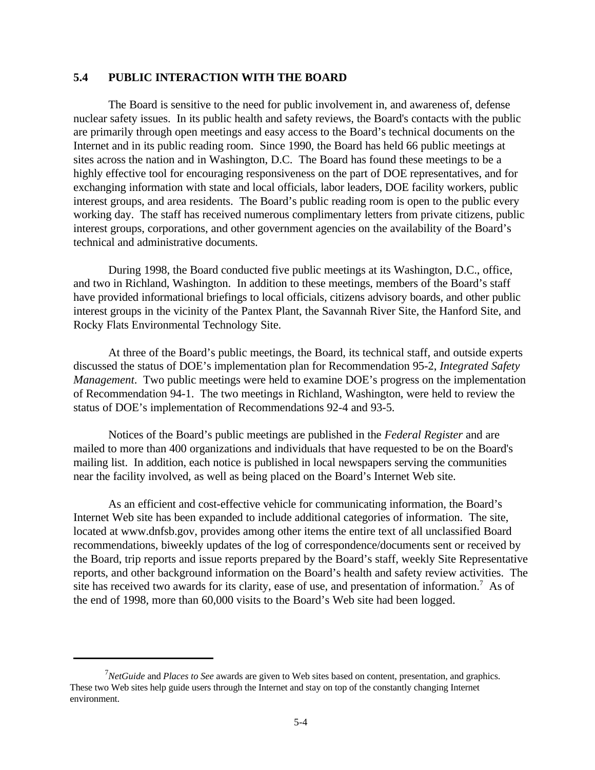#### **5.4 PUBLIC INTERACTION WITH THE BOARD**

The Board is sensitive to the need for public involvement in, and awareness of, defense nuclear safety issues. In its public health and safety reviews, the Board's contacts with the public are primarily through open meetings and easy access to the Board's technical documents on the Internet and in its public reading room. Since 1990, the Board has held 66 public meetings at sites across the nation and in Washington, D.C. The Board has found these meetings to be a highly effective tool for encouraging responsiveness on the part of DOE representatives, and for exchanging information with state and local officials, labor leaders, DOE facility workers, public interest groups, and area residents. The Board's public reading room is open to the public every working day. The staff has received numerous complimentary letters from private citizens, public interest groups, corporations, and other government agencies on the availability of the Board's technical and administrative documents.

During 1998, the Board conducted five public meetings at its Washington, D.C., office, and two in Richland, Washington. In addition to these meetings, members of the Board's staff have provided informational briefings to local officials, citizens advisory boards, and other public interest groups in the vicinity of the Pantex Plant, the Savannah River Site, the Hanford Site, and Rocky Flats Environmental Technology Site.

At three of the Board's public meetings, the Board, its technical staff, and outside experts discussed the status of DOE's implementation plan for Recommendation 95-2, *Integrated Safety Management*. Two public meetings were held to examine DOE's progress on the implementation of Recommendation 94-1. The two meetings in Richland, Washington, were held to review the status of DOE's implementation of Recommendations 92-4 and 93-5.

Notices of the Board's public meetings are published in the *Federal Register* and are mailed to more than 400 organizations and individuals that have requested to be on the Board's mailing list. In addition, each notice is published in local newspapers serving the communities near the facility involved, as well as being placed on the Board's Internet Web site.

As an efficient and cost-effective vehicle for communicating information, the Board's Internet Web site has been expanded to include additional categories of information. The site, located at www.dnfsb.gov, provides among other items the entire text of all unclassified Board recommendations, biweekly updates of the log of correspondence/documents sent or received by the Board, trip reports and issue reports prepared by the Board's staff, weekly Site Representative reports, and other background information on the Board's health and safety review activities. The site has received two awards for its clarity, ease of use, and presentation of information.<sup>7</sup> As of the end of 1998, more than 60,000 visits to the Board's Web site had been logged.

*NetGuide* and *Places to See* awards are given to Web sites based on content, presentation, and graphics. <sup>7</sup> These two Web sites help guide users through the Internet and stay on top of the constantly changing Internet environment.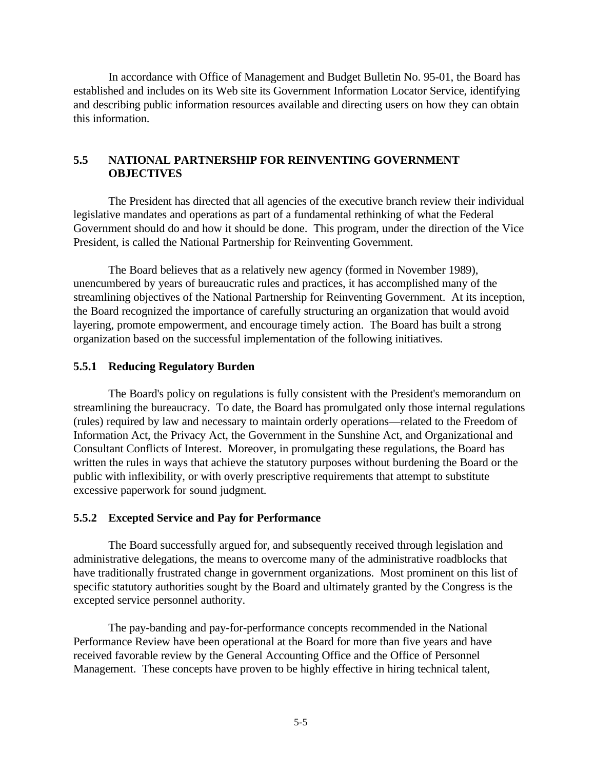In accordance with Office of Management and Budget Bulletin No. 95-01, the Board has established and includes on its Web site its Government Information Locator Service, identifying and describing public information resources available and directing users on how they can obtain this information.

# **5.5 NATIONAL PARTNERSHIP FOR REINVENTING GOVERNMENT OBJECTIVES**

The President has directed that all agencies of the executive branch review their individual legislative mandates and operations as part of a fundamental rethinking of what the Federal Government should do and how it should be done. This program, under the direction of the Vice President, is called the National Partnership for Reinventing Government.

The Board believes that as a relatively new agency (formed in November 1989), unencumbered by years of bureaucratic rules and practices, it has accomplished many of the streamlining objectives of the National Partnership for Reinventing Government. At its inception, the Board recognized the importance of carefully structuring an organization that would avoid layering, promote empowerment, and encourage timely action. The Board has built a strong organization based on the successful implementation of the following initiatives.

#### **5.5.1 Reducing Regulatory Burden**

The Board's policy on regulations is fully consistent with the President's memorandum on streamlining the bureaucracy. To date, the Board has promulgated only those internal regulations (rules) required by law and necessary to maintain orderly operations—related to the Freedom of Information Act, the Privacy Act, the Government in the Sunshine Act, and Organizational and Consultant Conflicts of Interest. Moreover, in promulgating these regulations, the Board has written the rules in ways that achieve the statutory purposes without burdening the Board or the public with inflexibility, or with overly prescriptive requirements that attempt to substitute excessive paperwork for sound judgment.

#### **5.5.2 Excepted Service and Pay for Performance**

The Board successfully argued for, and subsequently received through legislation and administrative delegations, the means to overcome many of the administrative roadblocks that have traditionally frustrated change in government organizations. Most prominent on this list of specific statutory authorities sought by the Board and ultimately granted by the Congress is the excepted service personnel authority.

The pay-banding and pay-for-performance concepts recommended in the National Performance Review have been operational at the Board for more than five years and have received favorable review by the General Accounting Office and the Office of Personnel Management. These concepts have proven to be highly effective in hiring technical talent,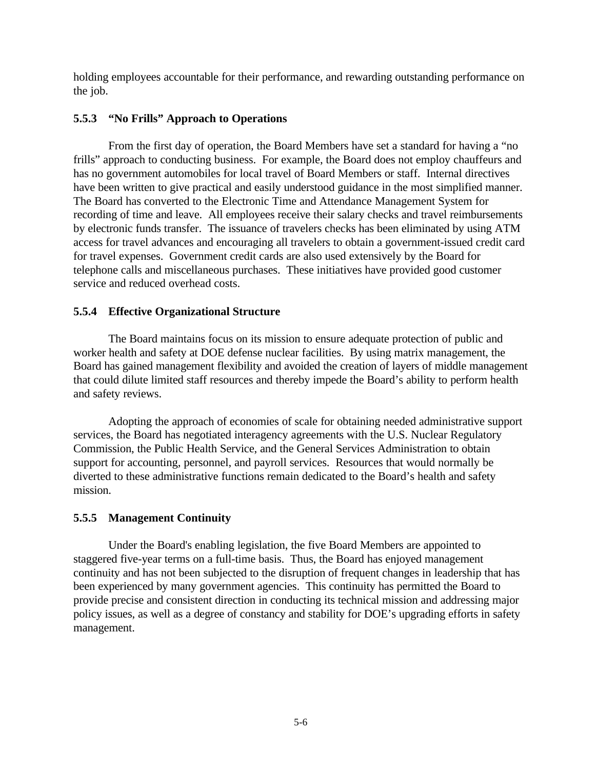holding employees accountable for their performance, and rewarding outstanding performance on the job.

## **5.5.3 "No Frills" Approach to Operations**

From the first day of operation, the Board Members have set a standard for having a "no frills" approach to conducting business. For example, the Board does not employ chauffeurs and has no government automobiles for local travel of Board Members or staff. Internal directives have been written to give practical and easily understood guidance in the most simplified manner. The Board has converted to the Electronic Time and Attendance Management System for recording of time and leave. All employees receive their salary checks and travel reimbursements by electronic funds transfer. The issuance of travelers checks has been eliminated by using ATM access for travel advances and encouraging all travelers to obtain a government-issued credit card for travel expenses. Government credit cards are also used extensively by the Board for telephone calls and miscellaneous purchases. These initiatives have provided good customer service and reduced overhead costs.

#### **5.5.4 Effective Organizational Structure**

The Board maintains focus on its mission to ensure adequate protection of public and worker health and safety at DOE defense nuclear facilities. By using matrix management, the Board has gained management flexibility and avoided the creation of layers of middle management that could dilute limited staff resources and thereby impede the Board's ability to perform health and safety reviews.

Adopting the approach of economies of scale for obtaining needed administrative support services, the Board has negotiated interagency agreements with the U.S. Nuclear Regulatory Commission, the Public Health Service, and the General Services Administration to obtain support for accounting, personnel, and payroll services. Resources that would normally be diverted to these administrative functions remain dedicated to the Board's health and safety mission.

# **5.5.5 Management Continuity**

Under the Board's enabling legislation, the five Board Members are appointed to staggered five-year terms on a full-time basis. Thus, the Board has enjoyed management continuity and has not been subjected to the disruption of frequent changes in leadership that has been experienced by many government agencies. This continuity has permitted the Board to provide precise and consistent direction in conducting its technical mission and addressing major policy issues, as well as a degree of constancy and stability for DOE's upgrading efforts in safety management.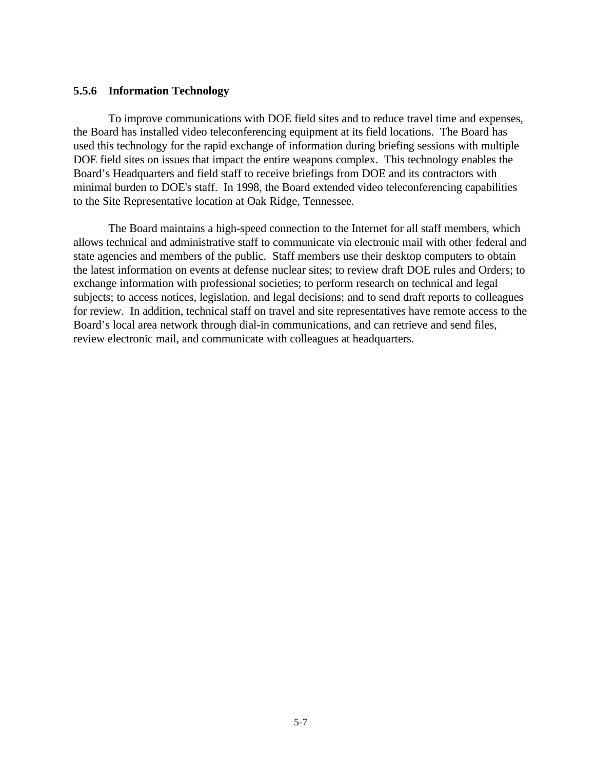#### **5.5.6 Information Technology**

To improve communications with DOE field sites and to reduce travel time and expenses, the Board has installed video teleconferencing equipment at its field locations. The Board has used this technology for the rapid exchange of information during briefing sessions with multiple DOE field sites on issues that impact the entire weapons complex. This technology enables the Board's Headquarters and field staff to receive briefings from DOE and its contractors with minimal burden to DOE's staff. In 1998, the Board extended video teleconferencing capabilities to the Site Representative location at Oak Ridge, Tennessee.

The Board maintains a high-speed connection to the Internet for all staff members, which allows technical and administrative staff to communicate via electronic mail with other federal and state agencies and members of the public. Staff members use their desktop computers to obtain the latest information on events at defense nuclear sites; to review draft DOE rules and Orders; to exchange information with professional societies; to perform research on technical and legal subjects; to access notices, legislation, and legal decisions; and to send draft reports to colleagues for review. In addition, technical staff on travel and site representatives have remote access to the Board's local area network through dial-in communications, and can retrieve and send files, review electronic mail, and communicate with colleagues at headquarters.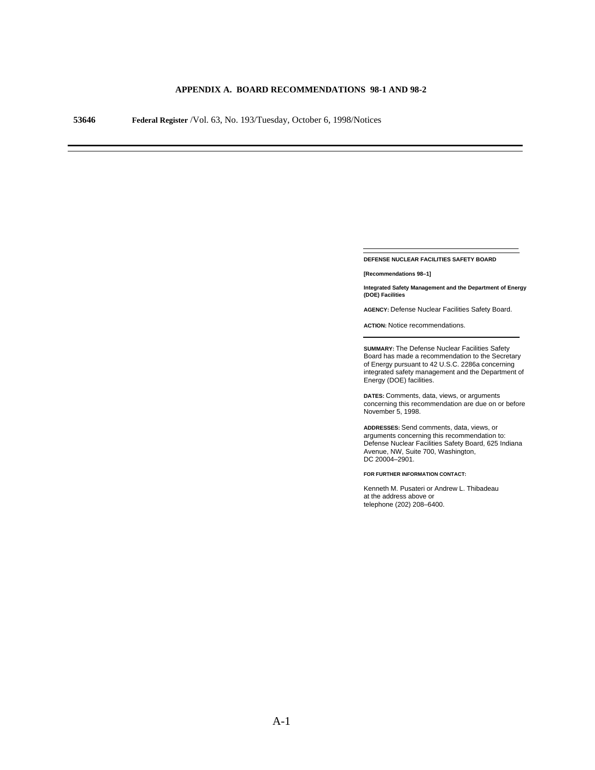#### **APPENDIX A. BOARD RECOMMENDATIONS 98-1 AND 98-2**

**53646 Federal Register** /Vol. 63, No. 193/Tuesday, October 6, 1998/Notices

**DEFENSE NUCLEAR FACILITIES SAFETY BOARD**

**[Recommendations 98–1]**

**Integrated Safety Management and the Department of Energy (DOE) Facilities**

**AGENCY:** Defense Nuclear Facilities Safety Board.

**ACTION:** Notice recommendations.

**SUMMARY:** The Defense Nuclear Facilities Safety Board has made a recommendation to the Secretary of Energy pursuant to 42 U.S.C. 2286a concerning integrated safety management and the Department of Energy (DOE) facilities.

**DATES:** Comments, data, views, or arguments concerning this recommendation are due on or before November 5, 1998.

**ADDRESSES:** Send comments, data, views, or arguments concerning this recommendation to: Defense Nuclear Facilities Safety Board, 625 Indiana Avenue, NW, Suite 700, Washington, DC 20004–2901.

**FOR FURTHER INFORMATION CONTACT:**

Kenneth M. Pusateri or Andrew L. Thibadeau at the address above or telephone (202) 208–6400.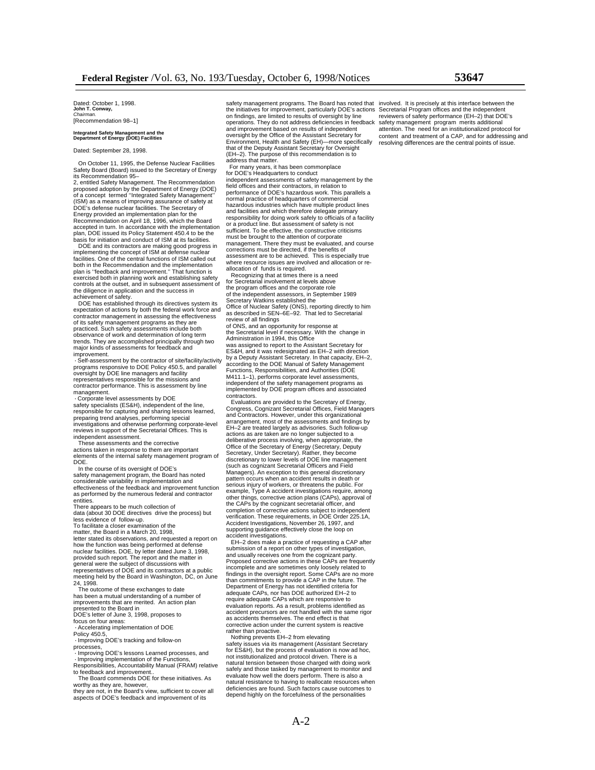#### **Integrated Safety Management and the Department of Energy (DOE) Facilities**

Dated: September 28, 1998.

 On October 11, 1995, the Defense Nuclear Facilities Safety Board (Board) issued to the Secretary of Energy its Recommendation 95–

2, entitled Safety Management. The Recommendation proposed adoption by the Department of Energy (DOE) of a concept termed ''Integrated Safety Management'' (ISM) as a means of improving assurance of safety at DOE's defense nuclear facilities. The Secretary of Energy provided an implementation plan for the Recommendation on April 18, 1996, which the Board accepted in turn. In accordance with the implementation plan, DOE issued its Policy Statement 450.4 to be the

basis for initiation and conduct of ISM at its facilities. DOE and its contractors are making good progress in implementing the concept of ISM at defense nuclear facilities. One of the central functions of ISM called out both in the Recommendation and the implementation plan is ''feedback and improvement.'' That function is exercised both in planning work and establishing safety controls at the outset, and in subsequent assessment of the diligence in application and the success in achievement of safety. DOE has established through its directives system its

expectation of actions by both the federal work force and contractor management in assessing the effectiveness of its safety management programs as they are practiced. Such safety assessments include both observance of work and determination of long term trends. They are accomplished principally through two major kinds of assessments for feedback and improvement.

 **·** Self-assessment by the contractor of site/facility/activity programs responsive to DOE Policy 450.5, and parallel oversight by DOE line managers and facility representatives responsible for the missions and contractor performance. This is assessment by line management.

 **·** Corporate level assessments by DOE safety specialists (ES&H), independent of the line, responsible for capturing and sharing lessons learned, preparing trend analyses, performing special investigations and otherwise performing corporate-level reviews in support of the Secretarial Offices. This is independent assessment.

 These assessments and the corrective actions taken in response to them are important elements of the internal safety management program of DOE.

 In the course of its oversight of DOE's safety management program, the Board has noted considerable variability in implementation and effectiveness of the feedback and improvement function as performed by the numerous federal and contractor entities.

There appears to be much collection of data (about 30 DOE directives drive the process) but less evidence of follow-up. To facilitate a closer examination of the

matter, the Board in a March 20, 1998, letter stated its observations, and requested a report on how the function was being performed at defense nuclear facilities. DOE, by letter dated June 3, 1998, provided such report. The report and the matter in general were the subject of discussions with representatives of DOE and its contractors at a public meeting held by the Board in Washington, DC, on June 24, 1998.

 The outcome of these exchanges to date has been a mutual understanding of a number of improvements that are merited. An action plan presented to the Board in DOE's letter of June 3, 1998, proposes to

focus on four areas:

**·** Accelerating implementation of DOE Policy 450.5,

**·** Improving DOE's tracking and follow-on processes,

 **·** Improving DOE's lessons Learned processes, and  **·** Improving implementation of the Functions,

Responsibilities, Accountability Manual (FRAM) relative to feedback and improvement.. The Board commends DOE for these initiatives. As

worthy as they are, however, they are not, in the Board's view, sufficient to cover all

aspects of DOE's feedback and improvement of its

safety management programs. The Board has noted that involved. It is precisely at this interface between the<br>the initiatives for improvement, particularly DOE's actions Secretarial Program offices and the independent<br>on fi the initiatives for improvement, particularly DOE's actions Secretarial Program offices and the independent on findings, are limited to results of oversight by line reviewers of safety performance (EH–2) that DOE's operations. They do not address deficiencies in feedback safety management program merits additional<br>and improvement based on results of independent attention. The need for an institutionalized protocol for and improvement based on results of independent<br>oversight by the Office of the Assistant Secretary for some than the atment of a CAP, and for addressing an<br>Environment, Health and Safety (EH)—more specifically specifical d that of the Deputy Assistant Secretary for Oversight (EH–2). The purpose of this recommendation is to address that matter.

 For many years, it has been commonplace for DOE's Headquarters to conduct independent assessments of safety management by the field offices and their contractors, in relation to performance of DOE's hazardous work. This parallels a normal practice of headquarters of commercial hazardous industries which have multiple product lines and facilities and which therefore delegate primary responsibility for doing work safely to officials of a facility or a product line. But assessment of safety is not sufficient. To be effective, the constructive criticisms must be brought to the attention of corporate management. There they must be evaluated, and course corrections must be directed, if the benefits of assessment are to be achieved. This is especially true where resource issues are involved and allocation or re-

allocation of funds is required. Recognizing that at times there is a need for Secretarial involvement at levels above the program offices and the corporate role of the independent assessors, in September 1989 Secretary Watkins established the Office of Nuclear Safety (ONS), reporting directly to him as described in SEN–6E–92. That led to Secretarial

review of all findings of ONS, and an opportunity for response at

the Secretarial level if necessary. With the change in Administration in 1994, this Office

was assigned to report to the Assistant Secretary for ES&H, and it was redesignated as EH–2 with direction by a Deputy Assistant Secretary. In that capacity, EH–2, according to the DOE Manual of Safety Management Functions, Responsibilities, and Authorities (DOE M411.1–1), performs corporate level assessments, independent of the safety management programs as implemented by DOE program offices and associated contractors.

 Evaluations are provided to the Secretary of Energy, Congress, Cognizant Secretarial Offices, Field Managers and Contractors. However, under this organizational arrangement, most of the assessments and findings by EH–2 are treated largely as advisories. Such follow-up actions as are taken are no longer subjected to a deliberative process involving, when appropriate, the Office of the Secretary of Energy (Secretary, Deputy Secretary, Under Secretary). Rather, they become discretionary to lower levels of DOE line management (such as cognizant Secretarial Officers and Field Managers). An exception to this general discretionary pattern occurs when an accident results in death or serious injury of workers, or threatens the public. For example, Type A accident investigations require, among other things, corrective action plans (CAPs), approval of the CAPs by the cognizant secretarial officer, and completion of corrective actions subject to independent verification. These requirements, in DOE Order 225.1A, Accident Investigations, November 26, 1997, and supporting guidance effectively close the loop on

accident investigations. EH–2 does make a practice of requesting a CAP after submission of a report on other types of investigation, and usually receives one from the cognizant party. Proposed corrective actions in these CAPs are frequently incomplete and are sometimes only loosely related to findings in the oversight report. Some CAPs are no more than commitments to provide a CAP in the future. The Department of Energy has not identified criteria for adequate CAPs, nor has DOE authorized EH–2 to require adequate CAPs which are responsive to evaluation reports. As a result, problems identified as accident precursors are not handled with the same rigor as accidents themselves. The end effect is that corrective action under the current system is reactive

rather than proactive. Nothing prevents EH–2 from elevating safety issues via its management (Assistant Secretary for ES&H), but the process of evaluation is now ad hoc, not institutionalized and protocol driven. There is a natural tension between those charged with doing work safely and those tasked by management to monitor and evaluate how well the doers perform. There is also a natural resistance to having to reallocate resources when deficiencies are found. Such factors cause outcomes to depend highly on the forcefulness of the personalities

content and treatment of a CAP, and for addressing and resolving differences are the central points of issue.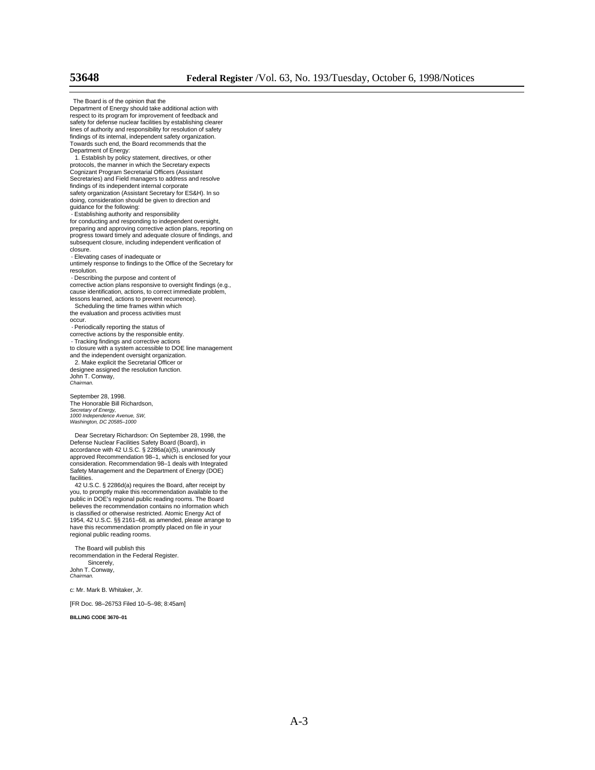The Board is of the opinion that the Department of Energy should take additional action with respect to its program for improvement of feedback and safety for defense nuclear facilities by establishing clearer lines of authority and responsibility for resolution of safety findings of its internal, independent safety organization. Towards such end, the Board recommends that the Department of Energy: 1. Establish by policy statement, directives, or other protocols, the manner in which the Secretary expects Cognizant Program Secretarial Officers (Assistant Secretaries) and Field managers to address and resolve findings of its independent internal corporate safety organization (Assistant Secretary for ES&H). In so doing, consideration should be given to direction and guidance for the following:  **·** Establishing authority and responsibility for conducting and responding to independent oversight, preparing and approving corrective action plans, reporting on progress toward timely and adequate closure of findings, and subsequent closure, including independent verification of closure.

 **·** Elevating cases of inadequate or

untimely response to findings to the Office of the Secretary for resolution.

 **·** Describing the purpose and content of corrective action plans responsive to oversight findings (e.g., cause identification, actions, to correct immediate problem, lessons learned, actions to prevent recurrence).

 Scheduling the time frames within which the evaluation and process activities must occur.

**·** Periodically reporting the status of corrective actions by the responsible entity.

 **·** Tracking findings and corrective actions

to closure with a system accessible to DOE line management

and the independent oversight organization. 2. Make explicit the Secretarial Officer or designee assigned the resolution function.

John T. Conway, *Chairman.*

September 28, 1998. The Honorable Bill Richardson, *Secretary of Energy, 1000 Independence Avenue, SW, Washington, DC 20585–1000*

 Dear Secretary Richardson: On September 28, 1998, the Defense Nuclear Facilities Safety Board (Board), in accordance with 42 U.S.C. § 2286a(a)(5), unanimously approved Recommendation 98–1, which is enclosed for your consideration. Recommendation 98–1 deals with Integrated Safety Management and the Department of Energy (DOE) facilities

 42 U.S.C. § 2286d(a) requires the Board, after receipt by you, to promptly make this recommendation available to the public in DOE's regional public reading rooms. The Board believes the recommendation contains no information which is classified or otherwise restricted. Atomic Energy Act of 1954, 42 U.S.C. §§ 2161–68, as amended, please arrange to have this recommendation promptly placed on file in your regional public reading rooms.

 The Board will publish this recommendation in the Federal Register. Sincerely, John T. Conway,

c: Mr. Mark B. Whitaker, Jr.

[FR Doc. 98–26753 Filed 10–5–98; 8:45am]

**BILLING CODE 3670–01**

*Chairman.*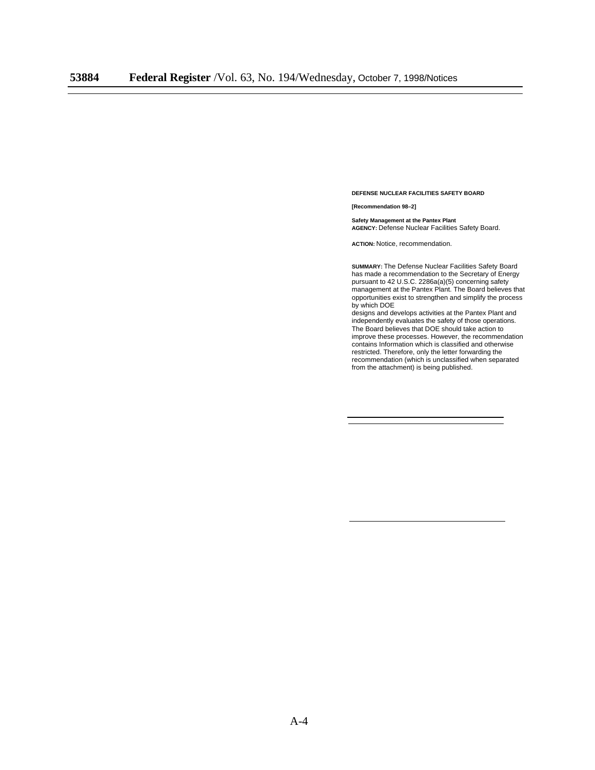**DEFENSE NUCLEAR FACILITIES SAFETY BOARD**

**[Recommendation 98–2]**

**Safety Management at the Pantex Plant AGENCY:** Defense Nuclear Facilities Safety Board.

**ACTION:** Notice, recommendation.

**SUMMARY:** The Defense Nuclear Facilities Safety Board has made a recommendation to the Secretary of Energy pursuant to 42 U.S.C. 2286a(a)(5) concerning safety management at the Pantex Plant. The Board believes that opportunities exist to strengthen and simplify the process by which DOE

designs and develops activities at the Pantex Plant and independently evaluates the safety of those operations. The Board believes that DOE should take action to improve these processes. However, the recommendation contains Information which is classified and otherwise restricted. Therefore, only the letter forwarding the recommendation (which is unclassified when separated from the attachment) is being published.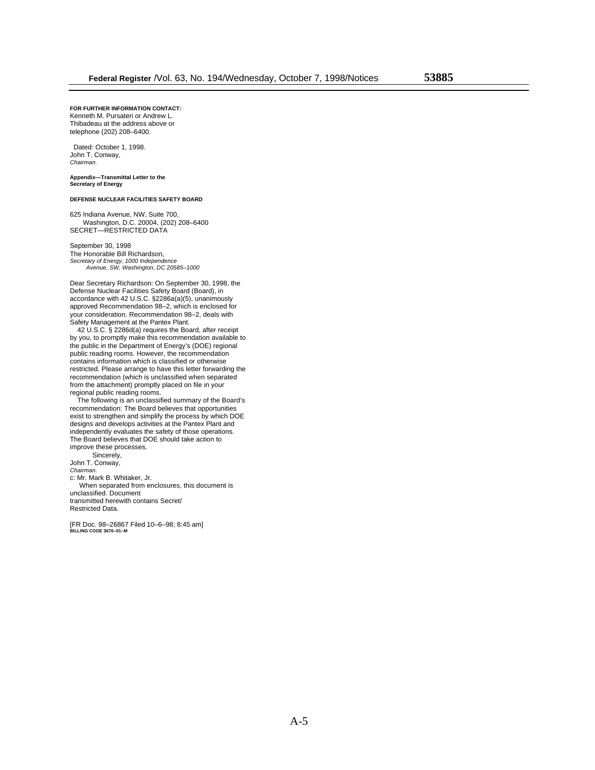**FOR FURTHER INFORMATION CONTACT:** Kenneth M. Pursateri or Andrew L. Thibadeau at the address above or

telephone (202) 208–6400.

 Dated: October 1, 1998. John T. Conway, *Chairman.*

**Appendix—Transmittal Letter to the Secretary of Energy**

#### **DEFENSE NUCLEAR FACILITIES SAFETY BOARD**

625 Indiana Avenue, NW, Suite 700, Washington, D.C. 20004, (202) 208–6400 SECRET—RESTRICTED DATA

September 30, 1998 The Honorable Bill Richardson, *Secretary of Energy, 1000 Independence Avenue, SW, Washington, DC 20585–1000*

Dear Secretary Richardson: On September 30, 1998, the Defense Nuclear Facilities Safety Board (Board), in accordance with 42 U.S.C. §2286a(a)(5), unanimously approved Recommendation 98–2, which is enclosed for your consideration. Recommendation 98–2, deals with Safety Management at the Pantex Plant.

 42 U.S.C. § 2286d(a) requires the Board, after receipt by you, to promptly make this recommendation available to the public in the Department of Energy's (DOE) regional public reading rooms. However, the recommendation contains information which is classified or otherwise restricted. Please arrange to have this letter forwarding the recommendation (which is unclassified when separated from the attachment) promptly placed on file in your regional public reading rooms.

 The following is an unclassified summary of the Board's recommendation: The Board believes that opportunities exist to strengthen and simplify the process by which DOE designs and develops activities at the Pantex Plant and independently evaluates the safety of those operations. The Board believes that DOE should take action to improve these processes.

 Sincerely, John T. Conway,

*Chairman.*

c: Mr. Mark B. Whitaker, Jr.

 When separated from enclosures, this document is unclassified. Document transmitted herewith contains Secret/ Restricted Data.

[FR Doc. 98–26867 Filed 10–6–98; 8:45 am] **BILLING CODE 3670–01–M**